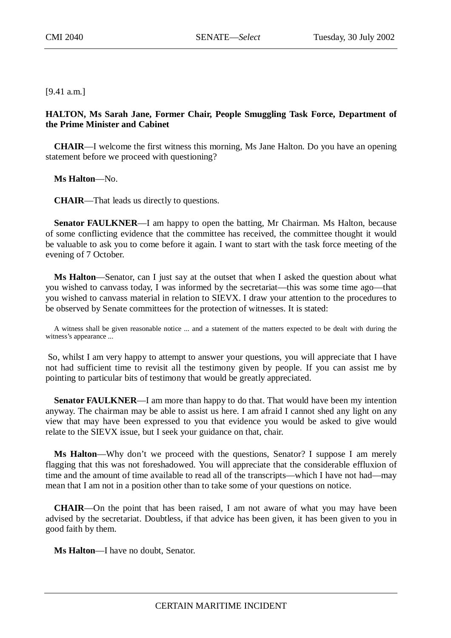[9.41 a.m.]

## **HALTON, Ms Sarah Jane, Former Chair, People Smuggling Task Force, Department of the Prime Minister and Cabinet**

**CHAIR**—I welcome the first witness this morning, Ms Jane Halton. Do you have an opening statement before we proceed with questioning?

**Ms Halton**—No.

**CHAIR**—That leads us directly to questions.

**Senator FAULKNER**—I am happy to open the batting, Mr Chairman. Ms Halton, because of some conflicting evidence that the committee has received, the committee thought it would be valuable to ask you to come before it again. I want to start with the task force meeting of the evening of 7 October.

**Ms Halton**—Senator, can I just say at the outset that when I asked the question about what you wished to canvass today, I was informed by the secretariat—this was some time ago—that you wished to canvass material in relation to SIEVX. I draw your attention to the procedures to be observed by Senate committees for the protection of witnesses. It is stated:

A witness shall be given reasonable notice ... and a statement of the matters expected to be dealt with during the witness's appearance ...

 So, whilst I am very happy to attempt to answer your questions, you will appreciate that I have not had sufficient time to revisit all the testimony given by people. If you can assist me by pointing to particular bits of testimony that would be greatly appreciated.

**Senator FAULKNER—I** am more than happy to do that. That would have been my intention anyway. The chairman may be able to assist us here. I am afraid I cannot shed any light on any view that may have been expressed to you that evidence you would be asked to give would relate to the SIEVX issue, but I seek your guidance on that, chair.

**Ms Halton**—Why don't we proceed with the questions, Senator? I suppose I am merely flagging that this was not foreshadowed. You will appreciate that the considerable effluxion of time and the amount of time available to read all of the transcripts—which I have not had—may mean that I am not in a position other than to take some of your questions on notice.

**CHAIR**—On the point that has been raised, I am not aware of what you may have been advised by the secretariat. Doubtless, if that advice has been given, it has been given to you in good faith by them.

**Ms Halton**—I have no doubt, Senator.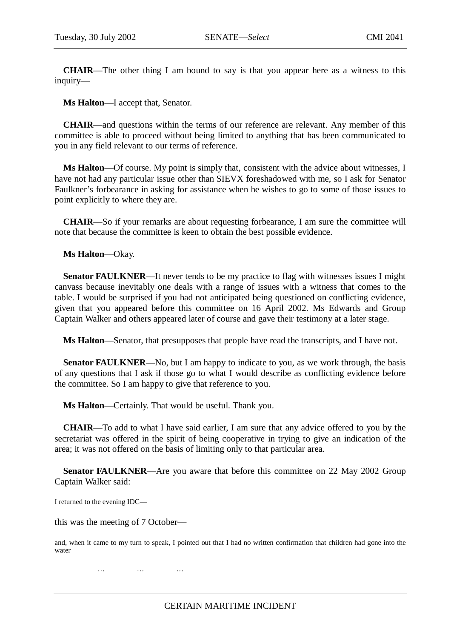**CHAIR**—The other thing I am bound to say is that you appear here as a witness to this inquiry—

**Ms Halton**—I accept that, Senator.

**CHAIR**—and questions within the terms of our reference are relevant. Any member of this committee is able to proceed without being limited to anything that has been communicated to you in any field relevant to our terms of reference.

**Ms Halton**—Of course. My point is simply that, consistent with the advice about witnesses, I have not had any particular issue other than SIEVX foreshadowed with me, so I ask for Senator Faulkner's forbearance in asking for assistance when he wishes to go to some of those issues to point explicitly to where they are.

**CHAIR**—So if your remarks are about requesting forbearance, I am sure the committee will note that because the committee is keen to obtain the best possible evidence.

**Ms Halton**—Okay.

**Senator FAULKNER—It** never tends to be my practice to flag with witnesses issues I might canvass because inevitably one deals with a range of issues with a witness that comes to the table. I would be surprised if you had not anticipated being questioned on conflicting evidence, given that you appeared before this committee on 16 April 2002. Ms Edwards and Group Captain Walker and others appeared later of course and gave their testimony at a later stage.

**Ms Halton**—Senator, that presupposes that people have read the transcripts, and I have not.

**Senator FAULKNER—No**, but I am happy to indicate to you, as we work through, the basis of any questions that I ask if those go to what I would describe as conflicting evidence before the committee. So I am happy to give that reference to you.

**Ms Halton**—Certainly. That would be useful. Thank you.

**CHAIR**—To add to what I have said earlier, I am sure that any advice offered to you by the secretariat was offered in the spirit of being cooperative in trying to give an indication of the area; it was not offered on the basis of limiting only to that particular area.

**Senator FAULKNER—Are you aware that before this committee on 22 May 2002 Group** Captain Walker said:

I returned to the evening IDC—

this was the meeting of 7 October—

and, when it came to my turn to speak, I pointed out that I had no written confirmation that children had gone into the water

………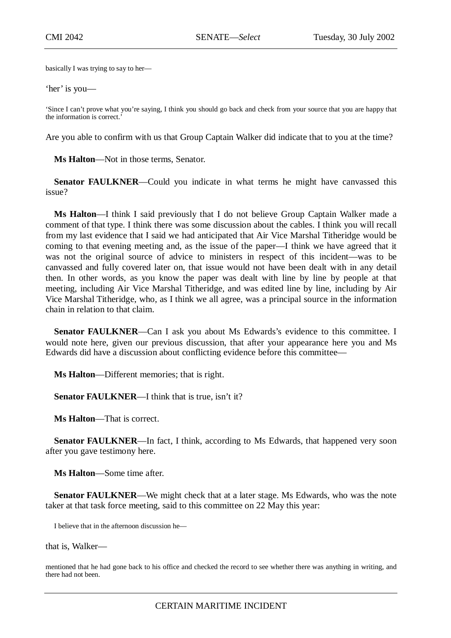basically I was trying to say to her—

'her' is you—

'Since I can't prove what you're saying, I think you should go back and check from your source that you are happy that the information is correct.'

Are you able to confirm with us that Group Captain Walker did indicate that to you at the time?

**Ms Halton**—Not in those terms, Senator.

**Senator FAULKNER—Could you indicate in what terms he might have canvassed this** issue?

**Ms Halton**—I think I said previously that I do not believe Group Captain Walker made a comment of that type. I think there was some discussion about the cables. I think you will recall from my last evidence that I said we had anticipated that Air Vice Marshal Titheridge would be coming to that evening meeting and, as the issue of the paper—I think we have agreed that it was not the original source of advice to ministers in respect of this incident—was to be canvassed and fully covered later on, that issue would not have been dealt with in any detail then. In other words, as you know the paper was dealt with line by line by people at that meeting, including Air Vice Marshal Titheridge, and was edited line by line, including by Air Vice Marshal Titheridge, who, as I think we all agree, was a principal source in the information chain in relation to that claim.

**Senator FAULKNER**—Can I ask you about Ms Edwards's evidence to this committee. I would note here, given our previous discussion, that after your appearance here you and Ms Edwards did have a discussion about conflicting evidence before this committee—

**Ms Halton**—Different memories; that is right.

**Senator FAULKNER—I** think that is true, isn't it?

**Ms Halton**—That is correct.

**Senator FAULKNER—In** fact, I think, according to Ms Edwards, that happened very soon after you gave testimony here.

**Ms Halton**—Some time after.

**Senator FAULKNER—We might check that at a later stage. Ms Edwards, who was the note** taker at that task force meeting, said to this committee on 22 May this year:

I believe that in the afternoon discussion he—

that is, Walker—

mentioned that he had gone back to his office and checked the record to see whether there was anything in writing, and there had not been.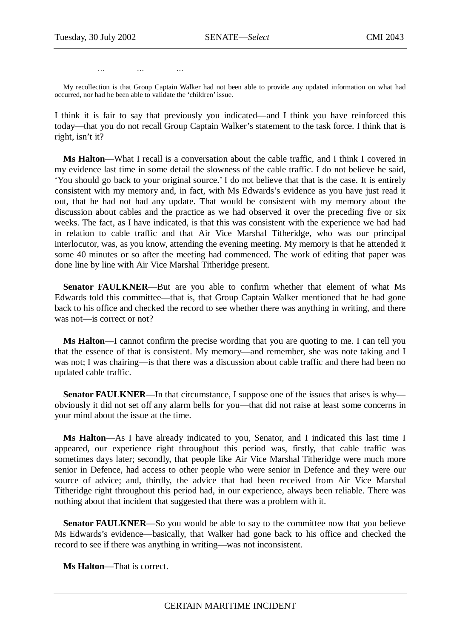………

My recollection is that Group Captain Walker had not been able to provide any updated information on what had occurred, nor had he been able to validate the 'children' issue.

I think it is fair to say that previously you indicated—and I think you have reinforced this today—that you do not recall Group Captain Walker's statement to the task force. I think that is right, isn't it?

**Ms Halton**—What I recall is a conversation about the cable traffic, and I think I covered in my evidence last time in some detail the slowness of the cable traffic. I do not believe he said, 'You should go back to your original source.' I do not believe that that is the case. It is entirely consistent with my memory and, in fact, with Ms Edwards's evidence as you have just read it out, that he had not had any update. That would be consistent with my memory about the discussion about cables and the practice as we had observed it over the preceding five or six weeks. The fact, as I have indicated, is that this was consistent with the experience we had had in relation to cable traffic and that Air Vice Marshal Titheridge, who was our principal interlocutor, was, as you know, attending the evening meeting. My memory is that he attended it some 40 minutes or so after the meeting had commenced. The work of editing that paper was done line by line with Air Vice Marshal Titheridge present.

**Senator FAULKNER**—But are you able to confirm whether that element of what Ms Edwards told this committee—that is, that Group Captain Walker mentioned that he had gone back to his office and checked the record to see whether there was anything in writing, and there was not—is correct or not?

**Ms Halton**—I cannot confirm the precise wording that you are quoting to me. I can tell you that the essence of that is consistent. My memory—and remember, she was note taking and I was not; I was chairing—is that there was a discussion about cable traffic and there had been no updated cable traffic.

**Senator FAULKNER—In** that circumstance, I suppose one of the issues that arises is why obviously it did not set off any alarm bells for you—that did not raise at least some concerns in your mind about the issue at the time.

**Ms Halton**—As I have already indicated to you, Senator, and I indicated this last time I appeared, our experience right throughout this period was, firstly, that cable traffic was sometimes days later; secondly, that people like Air Vice Marshal Titheridge were much more senior in Defence, had access to other people who were senior in Defence and they were our source of advice; and, thirdly, the advice that had been received from Air Vice Marshal Titheridge right throughout this period had, in our experience, always been reliable. There was nothing about that incident that suggested that there was a problem with it.

**Senator FAULKNER—So** you would be able to say to the committee now that you believe Ms Edwards's evidence—basically, that Walker had gone back to his office and checked the record to see if there was anything in writing—was not inconsistent.

**Ms Halton**—That is correct.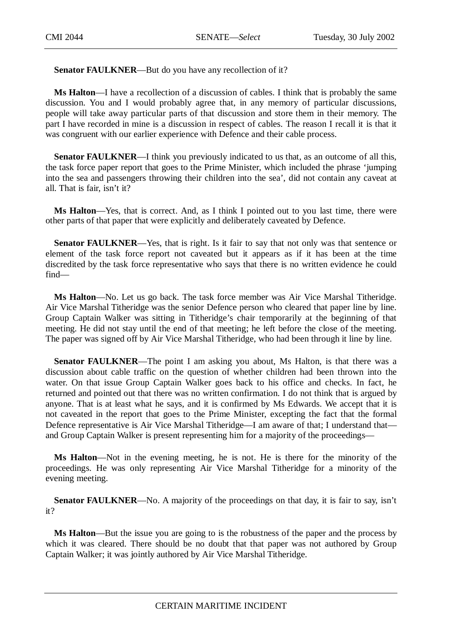Senator FAULKNER—But do you have any recollection of it?

**Ms Halton**—I have a recollection of a discussion of cables. I think that is probably the same discussion. You and I would probably agree that, in any memory of particular discussions, people will take away particular parts of that discussion and store them in their memory. The part I have recorded in mine is a discussion in respect of cables. The reason I recall it is that it was congruent with our earlier experience with Defence and their cable process.

**Senator FAULKNER—I** think you previously indicated to us that, as an outcome of all this, the task force paper report that goes to the Prime Minister, which included the phrase 'jumping into the sea and passengers throwing their children into the sea', did not contain any caveat at all. That is fair, isn't it?

**Ms Halton**—Yes, that is correct. And, as I think I pointed out to you last time, there were other parts of that paper that were explicitly and deliberately caveated by Defence.

**Senator FAULKNER—Yes, that is right.** Is it fair to say that not only was that sentence or element of the task force report not caveated but it appears as if it has been at the time discredited by the task force representative who says that there is no written evidence he could find—

**Ms Halton**—No. Let us go back. The task force member was Air Vice Marshal Titheridge. Air Vice Marshal Titheridge was the senior Defence person who cleared that paper line by line. Group Captain Walker was sitting in Titheridge's chair temporarily at the beginning of that meeting. He did not stay until the end of that meeting; he left before the close of the meeting. The paper was signed off by Air Vice Marshal Titheridge, who had been through it line by line.

**Senator FAULKNER—The point I am asking you about, Ms Halton, is that there was a** discussion about cable traffic on the question of whether children had been thrown into the water. On that issue Group Captain Walker goes back to his office and checks. In fact, he returned and pointed out that there was no written confirmation. I do not think that is argued by anyone. That is at least what he says, and it is confirmed by Ms Edwards. We accept that it is not caveated in the report that goes to the Prime Minister, excepting the fact that the formal Defence representative is Air Vice Marshal Titheridge—I am aware of that: I understand that and Group Captain Walker is present representing him for a majority of the proceedings—

**Ms Halton**—Not in the evening meeting, he is not. He is there for the minority of the proceedings. He was only representing Air Vice Marshal Titheridge for a minority of the evening meeting.

**Senator FAULKNER—No.** A majority of the proceedings on that day, it is fair to say, isn't it?

**Ms Halton**—But the issue you are going to is the robustness of the paper and the process by which it was cleared. There should be no doubt that that paper was not authored by Group Captain Walker; it was jointly authored by Air Vice Marshal Titheridge.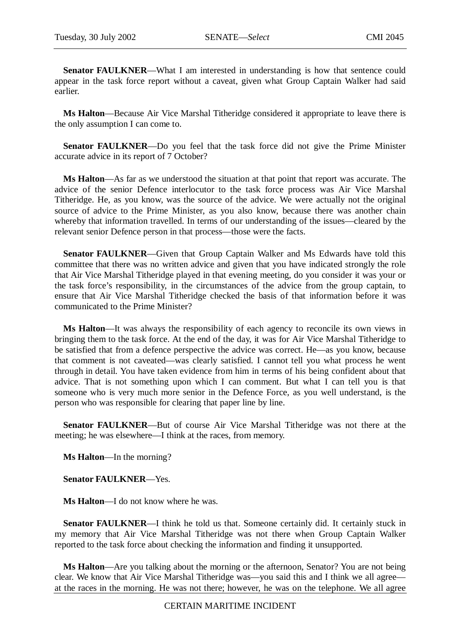**Senator FAULKNER**—What I am interested in understanding is how that sentence could appear in the task force report without a caveat, given what Group Captain Walker had said earlier.

**Ms Halton**—Because Air Vice Marshal Titheridge considered it appropriate to leave there is the only assumption I can come to.

**Senator FAULKNER**—Do you feel that the task force did not give the Prime Minister accurate advice in its report of 7 October?

**Ms Halton**—As far as we understood the situation at that point that report was accurate. The advice of the senior Defence interlocutor to the task force process was Air Vice Marshal Titheridge. He, as you know, was the source of the advice. We were actually not the original source of advice to the Prime Minister, as you also know, because there was another chain whereby that information travelled. In terms of our understanding of the issues—cleared by the relevant senior Defence person in that process—those were the facts.

**Senator FAULKNER**—Given that Group Captain Walker and Ms Edwards have told this committee that there was no written advice and given that you have indicated strongly the role that Air Vice Marshal Titheridge played in that evening meeting, do you consider it was your or the task force's responsibility, in the circumstances of the advice from the group captain, to ensure that Air Vice Marshal Titheridge checked the basis of that information before it was communicated to the Prime Minister?

**Ms Halton**—It was always the responsibility of each agency to reconcile its own views in bringing them to the task force. At the end of the day, it was for Air Vice Marshal Titheridge to be satisfied that from a defence perspective the advice was correct. He—as you know, because that comment is not caveated—was clearly satisfied. I cannot tell you what process he went through in detail. You have taken evidence from him in terms of his being confident about that advice. That is not something upon which I can comment. But what I can tell you is that someone who is very much more senior in the Defence Force, as you well understand, is the person who was responsible for clearing that paper line by line.

**Senator FAULKNER**—But of course Air Vice Marshal Titheridge was not there at the meeting; he was elsewhere—I think at the races, from memory.

**Ms Halton**—In the morning?

**Senator FAULKNER**—Yes.

**Ms Halton**—I do not know where he was.

**Senator FAULKNER—I** think he told us that. Someone certainly did. It certainly stuck in my memory that Air Vice Marshal Titheridge was not there when Group Captain Walker reported to the task force about checking the information and finding it unsupported.

**Ms Halton**—Are you talking about the morning or the afternoon, Senator? You are not being clear. We know that Air Vice Marshal Titheridge was—you said this and I think we all agree at the races in the morning. He was not there; however, he was on the telephone. We all agree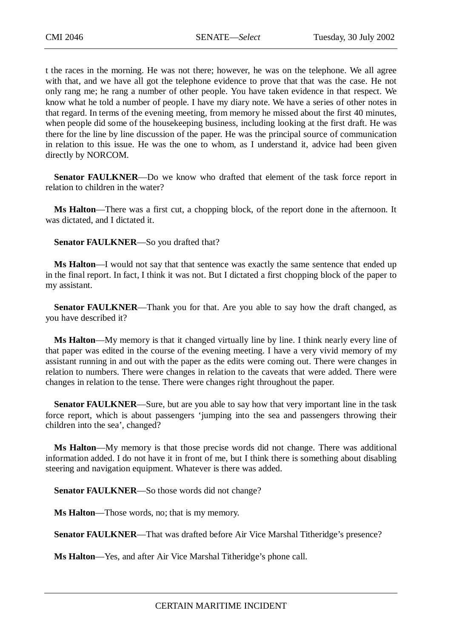t the races in the morning. He was not there; however, he was on the telephone. We all agree with that, and we have all got the telephone evidence to prove that that was the case. He not only rang me; he rang a number of other people. You have taken evidence in that respect. We know what he told a number of people. I have my diary note. We have a series of other notes in that regard. In terms of the evening meeting, from memory he missed about the first 40 minutes, when people did some of the housekeeping business, including looking at the first draft. He was there for the line by line discussion of the paper. He was the principal source of communication in relation to this issue. He was the one to whom, as I understand it, advice had been given directly by NORCOM.

**Senator FAULKNER**—Do we know who drafted that element of the task force report in relation to children in the water?

**Ms Halton**—There was a first cut, a chopping block, of the report done in the afternoon. It was dictated, and I dictated it.

**Senator FAULKNER**—So you drafted that?

**Ms Halton**—I would not say that that sentence was exactly the same sentence that ended up in the final report. In fact, I think it was not. But I dictated a first chopping block of the paper to my assistant.

**Senator FAULKNER—Thank you for that. Are you able to say how the draft changed, as** you have described it?

**Ms Halton**—My memory is that it changed virtually line by line. I think nearly every line of that paper was edited in the course of the evening meeting. I have a very vivid memory of my assistant running in and out with the paper as the edits were coming out. There were changes in relation to numbers. There were changes in relation to the caveats that were added. There were changes in relation to the tense. There were changes right throughout the paper.

**Senator FAULKNER—Sure, but are you able to say how that very important line in the task** force report, which is about passengers 'jumping into the sea and passengers throwing their children into the sea', changed?

**Ms Halton**—My memory is that those precise words did not change. There was additional information added. I do not have it in front of me, but I think there is something about disabling steering and navigation equipment. Whatever is there was added.

**Senator FAULKNER**—So those words did not change?

**Ms Halton**—Those words, no; that is my memory.

**Senator FAULKNER**—That was drafted before Air Vice Marshal Titheridge's presence?

**Ms Halton**—Yes, and after Air Vice Marshal Titheridge's phone call.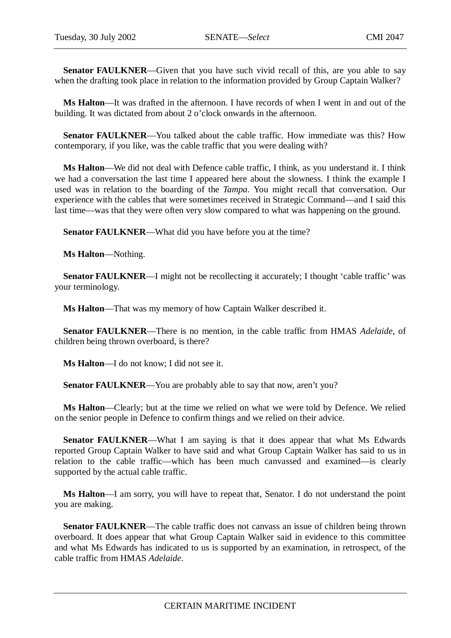**Senator FAULKNER—Given that you have such vivid recall of this, are you able to say** when the drafting took place in relation to the information provided by Group Captain Walker?

**Ms Halton**—It was drafted in the afternoon. I have records of when I went in and out of the building. It was dictated from about 2 o'clock onwards in the afternoon.

**Senator FAULKNER—You talked about the cable traffic. How immediate was this? How** contemporary, if you like, was the cable traffic that you were dealing with?

**Ms Halton**—We did not deal with Defence cable traffic, I think, as you understand it. I think we had a conversation the last time I appeared here about the slowness. I think the example I used was in relation to the boarding of the *Tampa*. You might recall that conversation. Our experience with the cables that were sometimes received in Strategic Command—and I said this last time—was that they were often very slow compared to what was happening on the ground.

**Senator FAULKNER—What did you have before you at the time?** 

**Ms Halton**—Nothing.

**Senator FAULKNER—I** might not be recollecting it accurately; I thought 'cable traffic' was your terminology.

**Ms Halton**—That was my memory of how Captain Walker described it.

**Senator FAULKNER**—There is no mention, in the cable traffic from HMAS *Adelaide,* of children being thrown overboard, is there?

**Ms Halton**—I do not know; I did not see it.

**Senator FAULKNER—You are probably able to say that now, aren't you?** 

**Ms Halton**—Clearly; but at the time we relied on what we were told by Defence. We relied on the senior people in Defence to confirm things and we relied on their advice.

**Senator FAULKNER—What I am saying is that it does appear that what Ms Edwards** reported Group Captain Walker to have said and what Group Captain Walker has said to us in relation to the cable traffic—which has been much canvassed and examined—is clearly supported by the actual cable traffic.

**Ms Halton**—I am sorry, you will have to repeat that, Senator. I do not understand the point you are making.

**Senator FAULKNER—The cable traffic does not canvass an issue of children being thrown** overboard. It does appear that what Group Captain Walker said in evidence to this committee and what Ms Edwards has indicated to us is supported by an examination, in retrospect, of the cable traffic from HMAS *Adelaide*.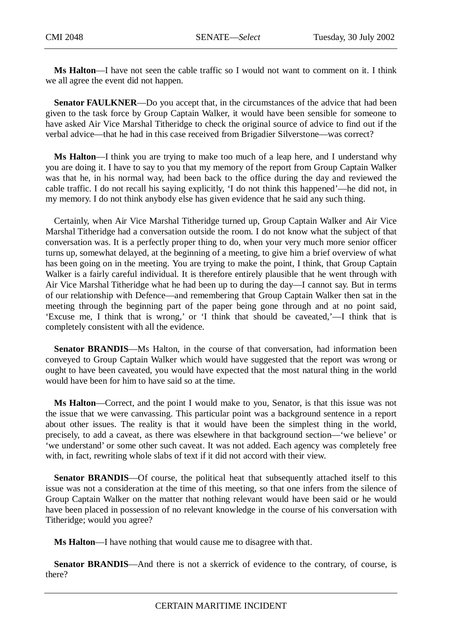**Ms Halton**—I have not seen the cable traffic so I would not want to comment on it. I think we all agree the event did not happen.

**Senator FAULKNER—Do** you accept that, in the circumstances of the advice that had been given to the task force by Group Captain Walker, it would have been sensible for someone to have asked Air Vice Marshal Titheridge to check the original source of advice to find out if the verbal advice—that he had in this case received from Brigadier Silverstone—was correct?

**Ms Halton**—I think you are trying to make too much of a leap here, and I understand why you are doing it. I have to say to you that my memory of the report from Group Captain Walker was that he, in his normal way, had been back to the office during the day and reviewed the cable traffic. I do not recall his saying explicitly, 'I do not think this happened'—he did not, in my memory. I do not think anybody else has given evidence that he said any such thing.

Certainly, when Air Vice Marshal Titheridge turned up, Group Captain Walker and Air Vice Marshal Titheridge had a conversation outside the room. I do not know what the subject of that conversation was. It is a perfectly proper thing to do, when your very much more senior officer turns up, somewhat delayed, at the beginning of a meeting, to give him a brief overview of what has been going on in the meeting. You are trying to make the point, I think, that Group Captain Walker is a fairly careful individual. It is therefore entirely plausible that he went through with Air Vice Marshal Titheridge what he had been up to during the day—I cannot say. But in terms of our relationship with Defence—and remembering that Group Captain Walker then sat in the meeting through the beginning part of the paper being gone through and at no point said, 'Excuse me, I think that is wrong,' or 'I think that should be caveated,'—I think that is completely consistent with all the evidence.

**Senator BRANDIS—Ms** Halton, in the course of that conversation, had information been conveyed to Group Captain Walker which would have suggested that the report was wrong or ought to have been caveated, you would have expected that the most natural thing in the world would have been for him to have said so at the time.

**Ms Halton**—Correct, and the point I would make to you, Senator, is that this issue was not the issue that we were canvassing. This particular point was a background sentence in a report about other issues. The reality is that it would have been the simplest thing in the world, precisely, to add a caveat, as there was elsewhere in that background section—'we believe' or 'we understand' or some other such caveat. It was not added. Each agency was completely free with, in fact, rewriting whole slabs of text if it did not accord with their view.

**Senator BRANDIS—Of** course, the political heat that subsequently attached itself to this issue was not a consideration at the time of this meeting, so that one infers from the silence of Group Captain Walker on the matter that nothing relevant would have been said or he would have been placed in possession of no relevant knowledge in the course of his conversation with Titheridge; would you agree?

**Ms Halton**—I have nothing that would cause me to disagree with that.

**Senator BRANDIS—And there is not a skerrick of evidence to the contrary, of course, is** there?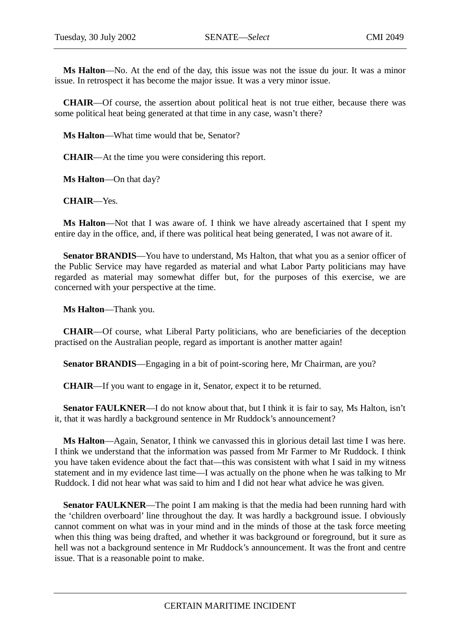**Ms Halton**—No. At the end of the day, this issue was not the issue du jour. It was a minor issue. In retrospect it has become the major issue. It was a very minor issue.

**CHAIR**—Of course, the assertion about political heat is not true either, because there was some political heat being generated at that time in any case, wasn't there?

**Ms Halton**—What time would that be, Senator?

**CHAIR**—At the time you were considering this report.

**Ms Halton**—On that day?

**CHAIR**—Yes.

**Ms Halton**—Not that I was aware of. I think we have already ascertained that I spent my entire day in the office, and, if there was political heat being generated, I was not aware of it.

**Senator BRANDIS**—You have to understand, Ms Halton, that what you as a senior officer of the Public Service may have regarded as material and what Labor Party politicians may have regarded as material may somewhat differ but, for the purposes of this exercise, we are concerned with your perspective at the time.

**Ms Halton**—Thank you.

**CHAIR**—Of course, what Liberal Party politicians, who are beneficiaries of the deception practised on the Australian people, regard as important is another matter again!

**Senator BRANDIS**—Engaging in a bit of point-scoring here, Mr Chairman, are you?

**CHAIR**—If you want to engage in it, Senator, expect it to be returned.

**Senator FAULKNER—I** do not know about that, but I think it is fair to say, Ms Halton, isn't it, that it was hardly a background sentence in Mr Ruddock's announcement?

**Ms Halton**—Again, Senator, I think we canvassed this in glorious detail last time I was here. I think we understand that the information was passed from Mr Farmer to Mr Ruddock. I think you have taken evidence about the fact that—this was consistent with what I said in my witness statement and in my evidence last time—I was actually on the phone when he was talking to Mr Ruddock. I did not hear what was said to him and I did not hear what advice he was given.

**Senator FAULKNER—The point I am making is that the media had been running hard with** the 'children overboard' line throughout the day. It was hardly a background issue. I obviously cannot comment on what was in your mind and in the minds of those at the task force meeting when this thing was being drafted, and whether it was background or foreground, but it sure as hell was not a background sentence in Mr Ruddock's announcement. It was the front and centre issue. That is a reasonable point to make.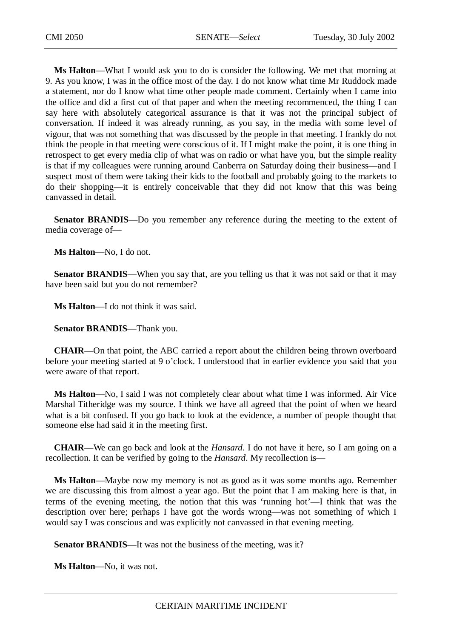**Ms Halton**—What I would ask you to do is consider the following. We met that morning at 9. As you know, I was in the office most of the day. I do not know what time Mr Ruddock made a statement, nor do I know what time other people made comment. Certainly when I came into the office and did a first cut of that paper and when the meeting recommenced, the thing I can say here with absolutely categorical assurance is that it was not the principal subject of conversation. If indeed it was already running, as you say, in the media with some level of vigour, that was not something that was discussed by the people in that meeting. I frankly do not think the people in that meeting were conscious of it. If I might make the point, it is one thing in retrospect to get every media clip of what was on radio or what have you, but the simple reality is that if my colleagues were running around Canberra on Saturday doing their business—and I suspect most of them were taking their kids to the football and probably going to the markets to do their shopping—it is entirely conceivable that they did not know that this was being canvassed in detail.

**Senator BRANDIS**—Do you remember any reference during the meeting to the extent of media coverage of—

**Ms Halton**—No, I do not.

**Senator BRANDIS—When** you say that, are you telling us that it was not said or that it may have been said but you do not remember?

**Ms Halton**—I do not think it was said.

**Senator BRANDIS**—Thank you.

**CHAIR**—On that point, the ABC carried a report about the children being thrown overboard before your meeting started at 9 o'clock. I understood that in earlier evidence you said that you were aware of that report.

**Ms Halton**—No, I said I was not completely clear about what time I was informed. Air Vice Marshal Titheridge was my source. I think we have all agreed that the point of when we heard what is a bit confused. If you go back to look at the evidence, a number of people thought that someone else had said it in the meeting first.

**CHAIR**—We can go back and look at the *Hansard*. I do not have it here, so I am going on a recollection. It can be verified by going to the *Hansard*. My recollection is—

**Ms Halton**—Maybe now my memory is not as good as it was some months ago. Remember we are discussing this from almost a year ago. But the point that I am making here is that, in terms of the evening meeting, the notion that this was 'running hot'—I think that was the description over here; perhaps I have got the words wrong—was not something of which I would say I was conscious and was explicitly not canvassed in that evening meeting.

**Senator BRANDIS—It** was not the business of the meeting, was it?

**Ms Halton**—No, it was not.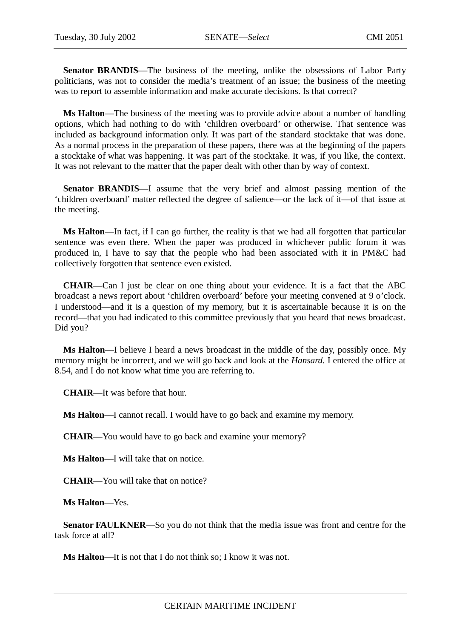**Senator BRANDIS**—The business of the meeting, unlike the obsessions of Labor Party politicians, was not to consider the media's treatment of an issue; the business of the meeting was to report to assemble information and make accurate decisions. Is that correct?

**Ms Halton**—The business of the meeting was to provide advice about a number of handling options, which had nothing to do with 'children overboard' or otherwise. That sentence was included as background information only. It was part of the standard stocktake that was done. As a normal process in the preparation of these papers, there was at the beginning of the papers a stocktake of what was happening. It was part of the stocktake. It was, if you like, the context. It was not relevant to the matter that the paper dealt with other than by way of context.

**Senator BRANDIS**—I assume that the very brief and almost passing mention of the 'children overboard' matter reflected the degree of salience—or the lack of it—of that issue at the meeting.

**Ms Halton**—In fact, if I can go further, the reality is that we had all forgotten that particular sentence was even there. When the paper was produced in whichever public forum it was produced in, I have to say that the people who had been associated with it in PM&C had collectively forgotten that sentence even existed.

**CHAIR**—Can I just be clear on one thing about your evidence. It is a fact that the ABC broadcast a news report about 'children overboard' before your meeting convened at 9 o'clock. I understood—and it is a question of my memory, but it is ascertainable because it is on the record—that you had indicated to this committee previously that you heard that news broadcast. Did you?

**Ms Halton**—I believe I heard a news broadcast in the middle of the day, possibly once. My memory might be incorrect, and we will go back and look at the *Hansard*. I entered the office at 8.54, and I do not know what time you are referring to.

**CHAIR**—It was before that hour.

**Ms Halton**—I cannot recall. I would have to go back and examine my memory.

**CHAIR**—You would have to go back and examine your memory?

**Ms Halton**—I will take that on notice.

**CHAIR**—You will take that on notice?

**Ms Halton**—Yes.

**Senator FAULKNER**—So you do not think that the media issue was front and centre for the task force at all?

**Ms Halton**—It is not that I do not think so; I know it was not.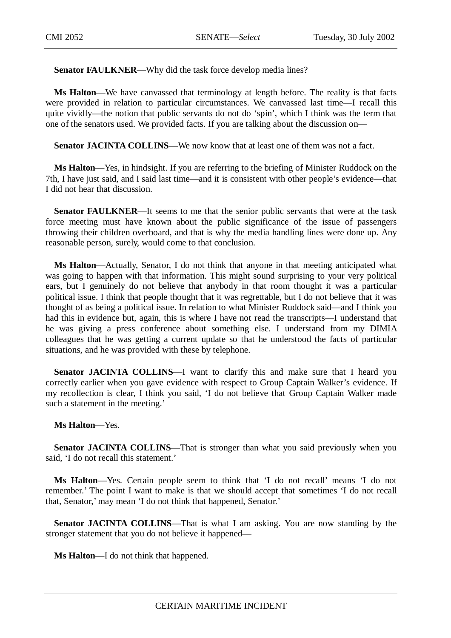**Senator FAULKNER—Why did the task force develop media lines?** 

**Ms Halton**—We have canvassed that terminology at length before. The reality is that facts were provided in relation to particular circumstances. We canvassed last time—I recall this quite vividly—the notion that public servants do not do 'spin', which I think was the term that one of the senators used. We provided facts. If you are talking about the discussion on—

Senator JACINTA COLLINS—We now know that at least one of them was not a fact.

**Ms Halton**—Yes, in hindsight. If you are referring to the briefing of Minister Ruddock on the 7th, I have just said, and I said last time—and it is consistent with other people's evidence—that I did not hear that discussion.

**Senator FAULKNER**—It seems to me that the senior public servants that were at the task force meeting must have known about the public significance of the issue of passengers throwing their children overboard, and that is why the media handling lines were done up. Any reasonable person, surely, would come to that conclusion.

**Ms Halton**—Actually, Senator, I do not think that anyone in that meeting anticipated what was going to happen with that information. This might sound surprising to your very political ears, but I genuinely do not believe that anybody in that room thought it was a particular political issue. I think that people thought that it was regrettable, but I do not believe that it was thought of as being a political issue. In relation to what Minister Ruddock said—and I think you had this in evidence but, again, this is where I have not read the transcripts—I understand that he was giving a press conference about something else. I understand from my DIMIA colleagues that he was getting a current update so that he understood the facts of particular situations, and he was provided with these by telephone.

**Senator JACINTA COLLINS—I** want to clarify this and make sure that I heard you correctly earlier when you gave evidence with respect to Group Captain Walker's evidence. If my recollection is clear, I think you said, 'I do not believe that Group Captain Walker made such a statement in the meeting.'

### **Ms Halton**—Yes.

**Senator JACINTA COLLINS—That** is stronger than what you said previously when you said, 'I do not recall this statement.'

**Ms Halton**—Yes. Certain people seem to think that 'I do not recall' means 'I do not remember.' The point I want to make is that we should accept that sometimes 'I do not recall that, Senator,' may mean 'I do not think that happened, Senator.'

**Senator JACINTA COLLINS—That is what I am asking. You are now standing by the** stronger statement that you do not believe it happened—

**Ms Halton**—I do not think that happened.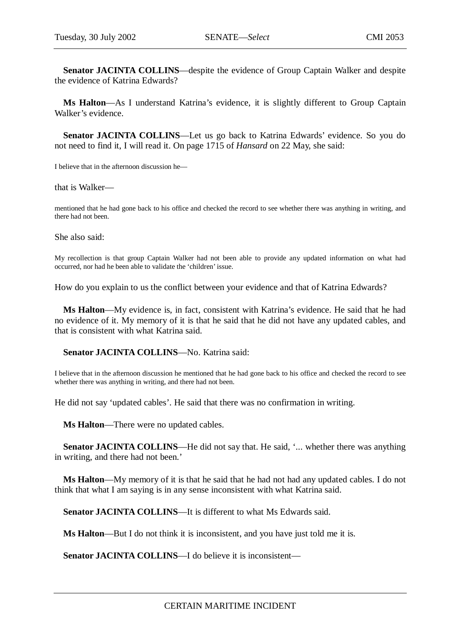**Senator JACINTA COLLINS**—despite the evidence of Group Captain Walker and despite the evidence of Katrina Edwards?

**Ms Halton**—As I understand Katrina's evidence, it is slightly different to Group Captain Walker's evidence.

**Senator JACINTA COLLINS**—Let us go back to Katrina Edwards' evidence. So you do not need to find it, I will read it. On page 1715 of *Hansard* on 22 May, she said:

I believe that in the afternoon discussion he—

that is Walker—

mentioned that he had gone back to his office and checked the record to see whether there was anything in writing, and there had not been.

She also said:

My recollection is that group Captain Walker had not been able to provide any updated information on what had occurred, nor had he been able to validate the 'children' issue.

How do you explain to us the conflict between your evidence and that of Katrina Edwards?

**Ms Halton**—My evidence is, in fact, consistent with Katrina's evidence. He said that he had no evidence of it. My memory of it is that he said that he did not have any updated cables, and that is consistent with what Katrina said.

**Senator JACINTA COLLINS**—No. Katrina said:

I believe that in the afternoon discussion he mentioned that he had gone back to his office and checked the record to see whether there was anything in writing, and there had not been.

He did not say 'updated cables'. He said that there was no confirmation in writing.

**Ms Halton**—There were no updated cables.

**Senator JACINTA COLLINS—He did not say that. He said, '... whether there was anything** in writing, and there had not been.'

**Ms Halton**—My memory of it is that he said that he had not had any updated cables. I do not think that what I am saying is in any sense inconsistent with what Katrina said.

**Senator JACINTA COLLINS—It is different to what Ms Edwards said.** 

**Ms Halton**—But I do not think it is inconsistent, and you have just told me it is.

**Senator JACINTA COLLINS—I** do believe it is inconsistent—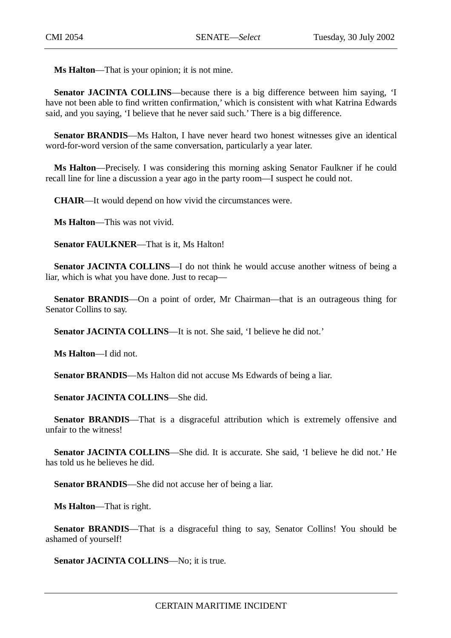**Ms Halton**—That is your opinion; it is not mine.

**Senator JACINTA COLLINS—because there is a big difference between him saying, 'I** have not been able to find written confirmation,' which is consistent with what Katrina Edwards said, and you saying, 'I believe that he never said such.' There is a big difference.

**Senator BRANDIS—Ms** Halton, I have never heard two honest witnesses give an identical word-for-word version of the same conversation, particularly a year later.

**Ms Halton**—Precisely. I was considering this morning asking Senator Faulkner if he could recall line for line a discussion a year ago in the party room—I suspect he could not.

**CHAIR**—It would depend on how vivid the circumstances were.

**Ms Halton**—This was not vivid.

**Senator FAULKNER**—That is it, Ms Halton!

**Senator JACINTA COLLINS—I** do not think he would accuse another witness of being a liar, which is what you have done. Just to recap—

**Senator BRANDIS**—On a point of order, Mr Chairman—that is an outrageous thing for Senator Collins to say.

**Senator JACINTA COLLINS**—It is not. She said, 'I believe he did not.'

**Ms Halton**—I did not.

**Senator BRANDIS—Ms** Halton did not accuse Ms Edwards of being a liar.

**Senator JACINTA COLLINS**—She did.

**Senator BRANDIS—That** is a disgraceful attribution which is extremely offensive and unfair to the witness!

**Senator JACINTA COLLINS**—She did. It is accurate. She said, 'I believe he did not.' He has told us he believes he did.

**Senator BRANDIS**—She did not accuse her of being a liar.

**Ms Halton**—That is right.

**Senator BRANDIS—That is a disgraceful thing to say, Senator Collins! You should be** ashamed of yourself!

**Senator JACINTA COLLINS—No; it is true.**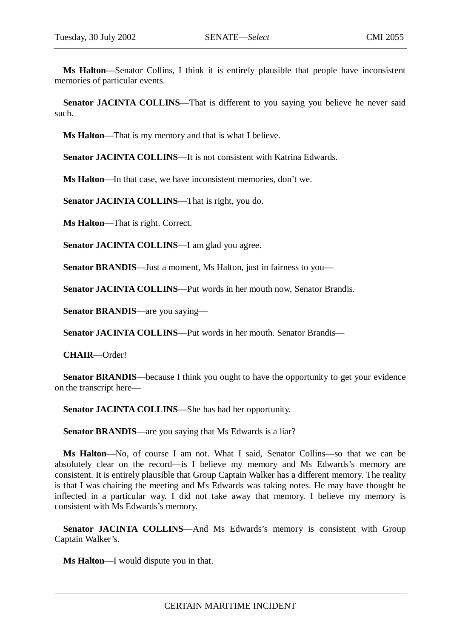**Ms Halton**—Senator Collins, I think it is entirely plausible that people have inconsistent memories of particular events.

**Senator JACINTA COLLINS—That is different to you saying you believe he never said** such.

**Ms Halton**—That is my memory and that is what I believe.

**Senator JACINTA COLLINS—It is not consistent with Katrina Edwards.** 

**Ms Halton**—In that case, we have inconsistent memories, don't we.

**Senator JACINTA COLLINS**—That is right, you do.

**Ms Halton**—That is right. Correct.

**Senator JACINTA COLLINS—I** am glad you agree.

**Senator BRANDIS—Just a moment, Ms Halton, just in fairness to you—** 

**Senator JACINTA COLLINS**—Put words in her mouth now, Senator Brandis.

**Senator BRANDIS**—are you saying—

**Senator JACINTA COLLINS**—Put words in her mouth. Senator Brandis—

**CHAIR**—Order!

**Senator BRANDIS**—because I think you ought to have the opportunity to get your evidence on the transcript here—

**Senator JACINTA COLLINS**—She has had her opportunity.

**Senator BRANDIS—are you saying that Ms Edwards is a liar?** 

**Ms Halton**—No, of course I am not. What I said, Senator Collins—so that we can be absolutely clear on the record—is I believe my memory and Ms Edwards's memory are consistent. It is entirely plausible that Group Captain Walker has a different memory. The reality is that I was chairing the meeting and Ms Edwards was taking notes. He may have thought he inflected in a particular way. I did not take away that memory. I believe my memory is consistent with Ms Edwards's memory.

**Senator JACINTA COLLINS—And Ms Edwards's memory is consistent with Group** Captain Walker's.

**Ms Halton**—I would dispute you in that.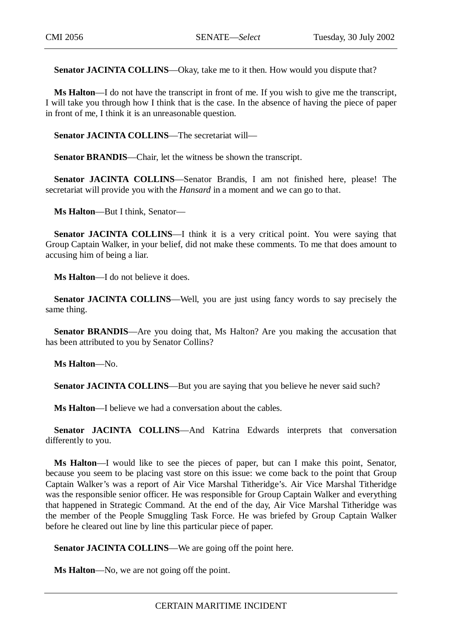Senator JACINTA COLLINS—Okay, take me to it then. How would you dispute that?

**Ms Halton**—I do not have the transcript in front of me. If you wish to give me the transcript, I will take you through how I think that is the case. In the absence of having the piece of paper in front of me, I think it is an unreasonable question.

**Senator JACINTA COLLINS**—The secretariat will—

**Senator BRANDIS**—Chair, let the witness be shown the transcript.

**Senator JACINTA COLLINS**—Senator Brandis, I am not finished here, please! The secretariat will provide you with the *Hansard* in a moment and we can go to that.

**Ms Halton**—But I think, Senator—

**Senator JACINTA COLLINS—I** think it is a very critical point. You were saying that Group Captain Walker, in your belief, did not make these comments. To me that does amount to accusing him of being a liar.

**Ms Halton**—I do not believe it does.

**Senator JACINTA COLLINS—Well, you are just using fancy words to say precisely the** same thing.

**Senator BRANDIS—Are** you doing that, Ms Halton? Are you making the accusation that has been attributed to you by Senator Collins?

**Ms Halton**—No.

**Senator JACINTA COLLINS—But you are saying that you believe he never said such?** 

**Ms Halton**—I believe we had a conversation about the cables.

**Senator JACINTA COLLINS**—And Katrina Edwards interprets that conversation differently to you.

**Ms Halton**—I would like to see the pieces of paper, but can I make this point, Senator, because you seem to be placing vast store on this issue: we come back to the point that Group Captain Walker's was a report of Air Vice Marshal Titheridge's. Air Vice Marshal Titheridge was the responsible senior officer. He was responsible for Group Captain Walker and everything that happened in Strategic Command. At the end of the day, Air Vice Marshal Titheridge was the member of the People Smuggling Task Force. He was briefed by Group Captain Walker before he cleared out line by line this particular piece of paper.

**Senator JACINTA COLLINS—We are going off the point here.** 

**Ms Halton**—No, we are not going off the point.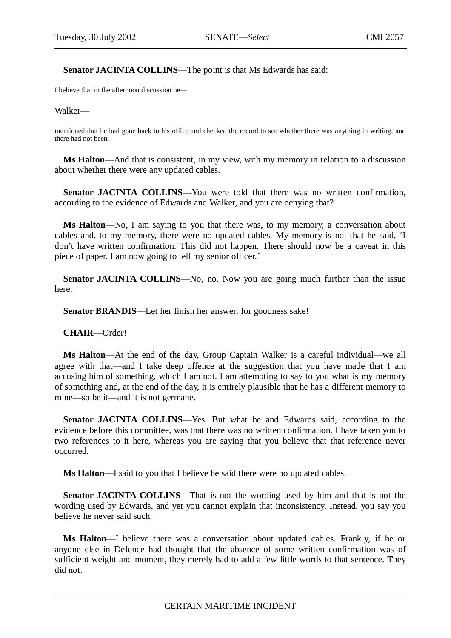Senator JACINTA COLLINS—The point is that Ms Edwards has said:

I believe that in the afternoon discussion he—

Walker—

mentioned that he had gone back to his office and checked the record to see whether there was anything in writing, and there had not been.

**Ms Halton**—And that is consistent, in my view, with my memory in relation to a discussion about whether there were any updated cables.

**Senator JACINTA COLLINS**—You were told that there was no written confirmation, according to the evidence of Edwards and Walker, and you are denying that?

**Ms Halton**—No, I am saying to you that there was, to my memory, a conversation about cables and, to my memory, there were no updated cables. My memory is not that he said, 'I don't have written confirmation. This did not happen. There should now be a caveat in this piece of paper. I am now going to tell my senior officer.'

**Senator JACINTA COLLINS**—No, no. Now you are going much further than the issue here.

**Senator BRANDIS**—Let her finish her answer, for goodness sake!

**CHAIR**—Order!

**Ms Halton**—At the end of the day, Group Captain Walker is a careful individual—we all agree with that—and I take deep offence at the suggestion that you have made that I am accusing him of something, which I am not. I am attempting to say to you what is my memory of something and, at the end of the day, it is entirely plausible that he has a different memory to mine—so be it—and it is not germane.

**Senator JACINTA COLLINS**—Yes. But what he and Edwards said, according to the evidence before this committee, was that there was no written confirmation. I have taken you to two references to it here, whereas you are saying that you believe that that reference never occurred.

**Ms Halton**—I said to you that I believe he said there were no updated cables.

**Senator JACINTA COLLINS**—That is not the wording used by him and that is not the wording used by Edwards, and yet you cannot explain that inconsistency. Instead, you say you believe he never said such.

**Ms Halton**—I believe there was a conversation about updated cables. Frankly, if he or anyone else in Defence had thought that the absence of some written confirmation was of sufficient weight and moment, they merely had to add a few little words to that sentence. They did not.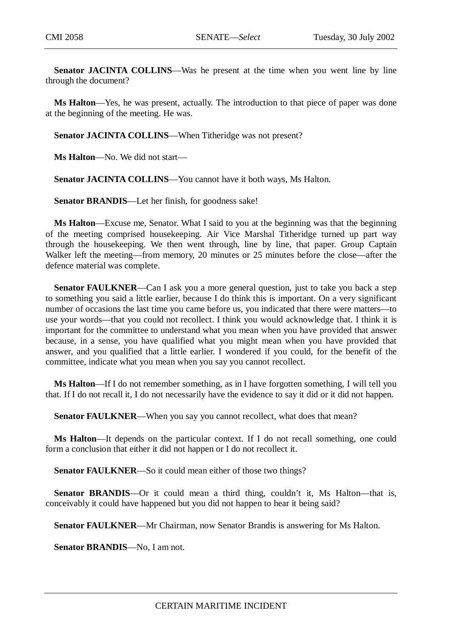**Senator JACINTA COLLINS**—Was he present at the time when you went line by line through the document?

**Ms Halton**—Yes, he was present, actually. The introduction to that piece of paper was done at the beginning of the meeting. He was.

**Senator JACINTA COLLINS—When Titheridge was not present?** 

**Ms Halton**—No. We did not start—

**Senator JACINTA COLLINS**—You cannot have it both ways, Ms Halton.

**Senator BRANDIS**—Let her finish, for goodness sake!

**Ms Halton**—Excuse me, Senator. What I said to you at the beginning was that the beginning of the meeting comprised housekeeping. Air Vice Marshal Titheridge turned up part way through the housekeeping. We then went through, line by line, that paper. Group Captain Walker left the meeting—from memory, 20 minutes or 25 minutes before the close—after the defence material was complete.

**Senator FAULKNER—Can I ask you a more general question, just to take you back a step** to something you said a little earlier, because I do think this is important. On a very significant number of occasions the last time you came before us, you indicated that there were matters—to use your words—that you could not recollect. I think you would acknowledge that. I think it is important for the committee to understand what you mean when you have provided that answer because, in a sense, you have qualified what you might mean when you have provided that answer, and you qualified that a little earlier. I wondered if you could, for the benefit of the committee, indicate what you mean when you say you cannot recollect.

**Ms Halton**—If I do not remember something, as in I have forgotten something, I will tell you that. If I do not recall it, I do not necessarily have the evidence to say it did or it did not happen.

**Senator FAULKNER—When you say you cannot recollect, what does that mean?** 

**Ms Halton**—It depends on the particular context. If I do not recall something, one could form a conclusion that either it did not happen or I do not recollect it.

**Senator FAULKNER**—So it could mean either of those two things?

**Senator BRANDIS**—Or it could mean a third thing, couldn't it, Ms Halton—that is, conceivably it could have happened but you did not happen to hear it being said?

**Senator FAULKNER**—Mr Chairman, now Senator Brandis is answering for Ms Halton.

**Senator BRANDIS**—No, I am not.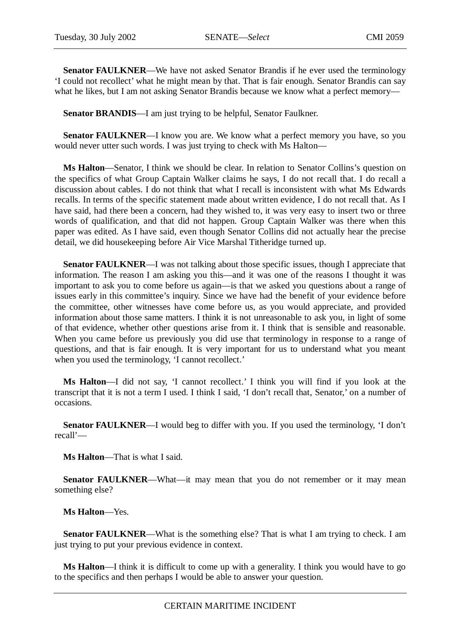**Senator FAULKNER**—We have not asked Senator Brandis if he ever used the terminology 'I could not recollect' what he might mean by that. That is fair enough. Senator Brandis can say what he likes, but I am not asking Senator Brandis because we know what a perfect memory—

**Senator BRANDIS**—I am just trying to be helpful, Senator Faulkner.

**Senator FAULKNER—I** know you are. We know what a perfect memory you have, so you would never utter such words. I was just trying to check with Ms Halton—

**Ms Halton**—Senator, I think we should be clear. In relation to Senator Collins's question on the specifics of what Group Captain Walker claims he says, I do not recall that. I do recall a discussion about cables. I do not think that what I recall is inconsistent with what Ms Edwards recalls. In terms of the specific statement made about written evidence, I do not recall that. As I have said, had there been a concern, had they wished to, it was very easy to insert two or three words of qualification, and that did not happen. Group Captain Walker was there when this paper was edited. As I have said, even though Senator Collins did not actually hear the precise detail, we did housekeeping before Air Vice Marshal Titheridge turned up.

**Senator FAULKNER—I** was not talking about those specific issues, though I appreciate that information. The reason I am asking you this—and it was one of the reasons I thought it was important to ask you to come before us again—is that we asked you questions about a range of issues early in this committee's inquiry. Since we have had the benefit of your evidence before the committee, other witnesses have come before us, as you would appreciate, and provided information about those same matters. I think it is not unreasonable to ask you, in light of some of that evidence, whether other questions arise from it. I think that is sensible and reasonable. When you came before us previously you did use that terminology in response to a range of questions, and that is fair enough. It is very important for us to understand what you meant when you used the terminology, 'I cannot recollect.'

**Ms Halton**—I did not say, 'I cannot recollect.' I think you will find if you look at the transcript that it is not a term I used. I think I said, 'I don't recall that, Senator,' on a number of occasions.

**Senator FAULKNER—I** would beg to differ with you. If you used the terminology, 'I don't recall'—

**Ms Halton**—That is what I said.

Senator FAULKNER—What—it may mean that you do not remember or it may mean something else?

# **Ms Halton**—Yes.

**Senator FAULKNER—What is the something else? That is what I am trying to check. I am** just trying to put your previous evidence in context.

**Ms Halton**—I think it is difficult to come up with a generality. I think you would have to go to the specifics and then perhaps I would be able to answer your question.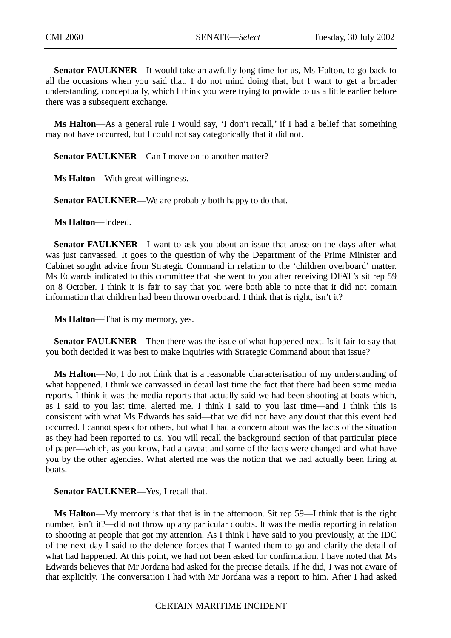**Senator FAULKNER**—It would take an awfully long time for us, Ms Halton, to go back to all the occasions when you said that. I do not mind doing that, but I want to get a broader understanding, conceptually, which I think you were trying to provide to us a little earlier before there was a subsequent exchange.

**Ms Halton**—As a general rule I would say, 'I don't recall,' if I had a belief that something may not have occurred, but I could not say categorically that it did not.

**Senator FAULKNER—Can I move on to another matter?** 

**Ms Halton**—With great willingness.

**Senator FAULKNER—We are probably both happy to do that.** 

**Ms Halton**—Indeed.

**Senator FAULKNER**—I want to ask you about an issue that arose on the days after what was just canvassed. It goes to the question of why the Department of the Prime Minister and Cabinet sought advice from Strategic Command in relation to the 'children overboard' matter. Ms Edwards indicated to this committee that she went to you after receiving DFAT's sit rep 59 on 8 October. I think it is fair to say that you were both able to note that it did not contain information that children had been thrown overboard. I think that is right, isn't it?

**Ms Halton**—That is my memory, yes.

**Senator FAULKNER**—Then there was the issue of what happened next. Is it fair to say that you both decided it was best to make inquiries with Strategic Command about that issue?

**Ms Halton**—No, I do not think that is a reasonable characterisation of my understanding of what happened. I think we canvassed in detail last time the fact that there had been some media reports. I think it was the media reports that actually said we had been shooting at boats which, as I said to you last time, alerted me. I think I said to you last time—and I think this is consistent with what Ms Edwards has said—that we did not have any doubt that this event had occurred. I cannot speak for others, but what I had a concern about was the facts of the situation as they had been reported to us. You will recall the background section of that particular piece of paper—which, as you know, had a caveat and some of the facts were changed and what have you by the other agencies. What alerted me was the notion that we had actually been firing at boats.

### **Senator FAULKNER—Yes, I recall that.**

**Ms Halton**—My memory is that that is in the afternoon. Sit rep 59—I think that is the right number, isn't it?—did not throw up any particular doubts. It was the media reporting in relation to shooting at people that got my attention. As I think I have said to you previously, at the IDC of the next day I said to the defence forces that I wanted them to go and clarify the detail of what had happened. At this point, we had not been asked for confirmation. I have noted that Ms Edwards believes that Mr Jordana had asked for the precise details. If he did, I was not aware of that explicitly. The conversation I had with Mr Jordana was a report to him. After I had asked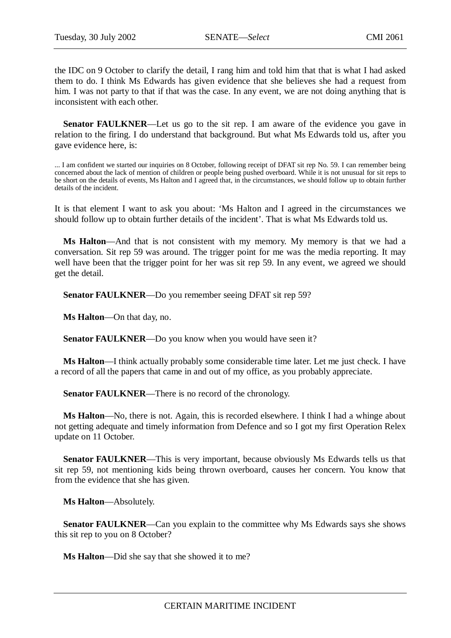the IDC on 9 October to clarify the detail, I rang him and told him that that is what I had asked them to do. I think Ms Edwards has given evidence that she believes she had a request from him. I was not party to that if that was the case. In any event, we are not doing anything that is inconsistent with each other.

**Senator FAULKNER—Let** us go to the sit rep. I am aware of the evidence you gave in relation to the firing. I do understand that background. But what Ms Edwards told us, after you gave evidence here, is:

... I am confident we started our inquiries on 8 October, following receipt of DFAT sit rep No. 59. I can remember being concerned about the lack of mention of children or people being pushed overboard. While it is not unusual for sit reps to be short on the details of events, Ms Halton and I agreed that, in the circumstances, we should follow up to obtain further details of the incident.

It is that element I want to ask you about: 'Ms Halton and I agreed in the circumstances we should follow up to obtain further details of the incident'. That is what Ms Edwards told us.

**Ms Halton**—And that is not consistent with my memory. My memory is that we had a conversation. Sit rep 59 was around. The trigger point for me was the media reporting. It may well have been that the trigger point for her was sit rep 59. In any event, we agreed we should get the detail.

**Senator FAULKNER**—Do you remember seeing DFAT sit rep 59?

**Ms Halton**—On that day, no.

**Senator FAULKNER—Do** you know when you would have seen it?

**Ms Halton**—I think actually probably some considerable time later. Let me just check. I have a record of all the papers that came in and out of my office, as you probably appreciate.

**Senator FAULKNER—There is no record of the chronology.** 

**Ms Halton**—No, there is not. Again, this is recorded elsewhere. I think I had a whinge about not getting adequate and timely information from Defence and so I got my first Operation Relex update on 11 October.

**Senator FAULKNER**—This is very important, because obviously Ms Edwards tells us that sit rep 59, not mentioning kids being thrown overboard, causes her concern. You know that from the evidence that she has given.

**Ms Halton**—Absolutely.

**Senator FAULKNER—Can you explain to the committee why Ms Edwards says she shows** this sit rep to you on 8 October?

**Ms Halton**—Did she say that she showed it to me?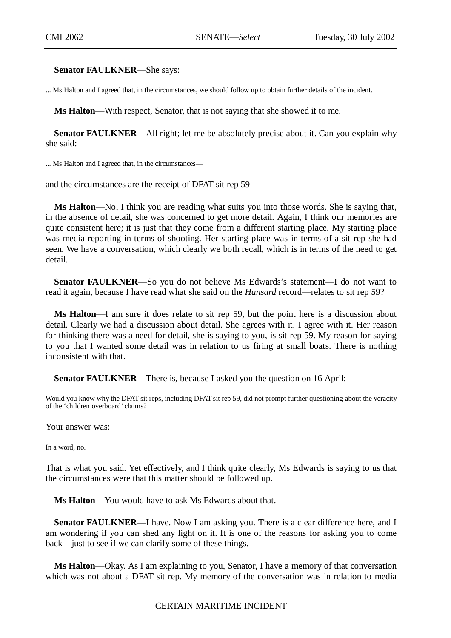**Senator FAULKNER**—She says:

... Ms Halton and I agreed that, in the circumstances, we should follow up to obtain further details of the incident.

**Ms Halton**—With respect, Senator, that is not saying that she showed it to me.

**Senator FAULKNER—All right; let me be absolutely precise about it. Can you explain why** she said:

... Ms Halton and I agreed that, in the circumstances—

and the circumstances are the receipt of DFAT sit rep 59—

**Ms Halton**—No, I think you are reading what suits you into those words. She is saying that, in the absence of detail, she was concerned to get more detail. Again, I think our memories are quite consistent here; it is just that they come from a different starting place. My starting place was media reporting in terms of shooting. Her starting place was in terms of a sit rep she had seen. We have a conversation, which clearly we both recall, which is in terms of the need to get detail.

**Senator FAULKNER**—So you do not believe Ms Edwards's statement—I do not want to read it again, because I have read what she said on the *Hansard* record—relates to sit rep 59?

**Ms Halton**—I am sure it does relate to sit rep 59, but the point here is a discussion about detail. Clearly we had a discussion about detail. She agrees with it. I agree with it. Her reason for thinking there was a need for detail, she is saying to you, is sit rep 59. My reason for saying to you that I wanted some detail was in relation to us firing at small boats. There is nothing inconsistent with that.

**Senator FAULKNER**—There is, because I asked you the question on 16 April:

Would you know why the DFAT sit reps, including DFAT sit rep 59, did not prompt further questioning about the veracity of the 'children overboard' claims?

Your answer was:

In a word, no.

That is what you said. Yet effectively, and I think quite clearly, Ms Edwards is saying to us that the circumstances were that this matter should be followed up.

**Ms Halton**—You would have to ask Ms Edwards about that.

**Senator FAULKNER—I** have. Now I am asking you. There is a clear difference here, and I am wondering if you can shed any light on it. It is one of the reasons for asking you to come back—just to see if we can clarify some of these things.

**Ms Halton**—Okay. As I am explaining to you, Senator, I have a memory of that conversation which was not about a DFAT sit rep. My memory of the conversation was in relation to media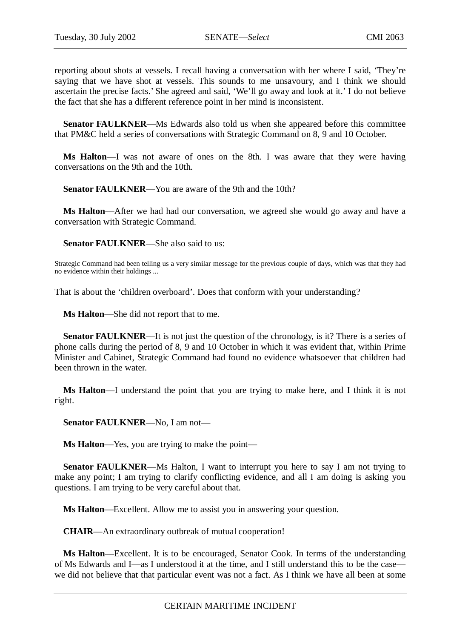reporting about shots at vessels. I recall having a conversation with her where I said, 'They're saying that we have shot at vessels. This sounds to me unsavoury, and I think we should ascertain the precise facts.' She agreed and said, 'We'll go away and look at it.' I do not believe the fact that she has a different reference point in her mind is inconsistent.

**Senator FAULKNER**—Ms Edwards also told us when she appeared before this committee that PM&C held a series of conversations with Strategic Command on 8, 9 and 10 October.

**Ms Halton**—I was not aware of ones on the 8th. I was aware that they were having conversations on the 9th and the 10th.

**Senator FAULKNER—You are aware of the 9th and the 10th?** 

**Ms Halton**—After we had had our conversation, we agreed she would go away and have a conversation with Strategic Command.

**Senator FAULKNER**—She also said to us:

Strategic Command had been telling us a very similar message for the previous couple of days, which was that they had no evidence within their holdings ...

That is about the 'children overboard'. Does that conform with your understanding?

**Ms Halton**—She did not report that to me.

**Senator FAULKNER—It** is not just the question of the chronology, is it? There is a series of phone calls during the period of 8, 9 and 10 October in which it was evident that, within Prime Minister and Cabinet, Strategic Command had found no evidence whatsoever that children had been thrown in the water.

**Ms Halton**—I understand the point that you are trying to make here, and I think it is not right.

**Senator FAULKNER**—No, I am not—

**Ms Halton**—Yes, you are trying to make the point—

**Senator FAULKNER—Ms** Halton, I want to interrupt you here to say I am not trying to make any point; I am trying to clarify conflicting evidence, and all I am doing is asking you questions. I am trying to be very careful about that.

**Ms Halton**—Excellent. Allow me to assist you in answering your question.

**CHAIR**—An extraordinary outbreak of mutual cooperation!

**Ms Halton**—Excellent. It is to be encouraged, Senator Cook. In terms of the understanding of Ms Edwards and I—as I understood it at the time, and I still understand this to be the case we did not believe that that particular event was not a fact. As I think we have all been at some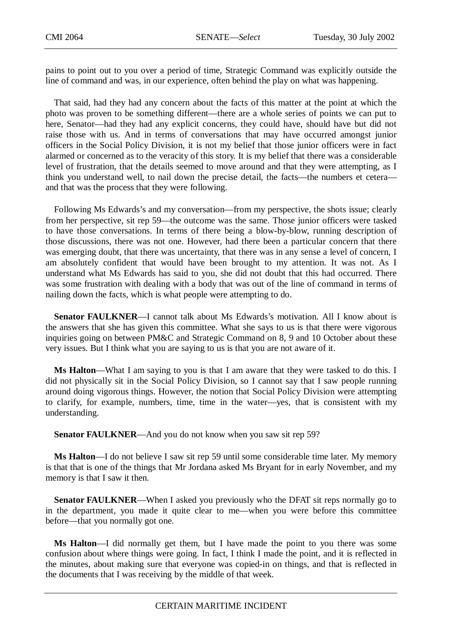pains to point out to you over a period of time, Strategic Command was explicitly outside the line of command and was, in our experience, often behind the play on what was happening.

That said, had they had any concern about the facts of this matter at the point at which the photo was proven to be something different—there are a whole series of points we can put to here, Senator—had they had any explicit concerns, they could have, should have but did not raise those with us. And in terms of conversations that may have occurred amongst junior officers in the Social Policy Division, it is not my belief that those junior officers were in fact alarmed or concerned as to the veracity of this story. It is my belief that there was a considerable level of frustration, that the details seemed to move around and that they were attempting, as I think you understand well, to nail down the precise detail, the facts—the numbers et cetera and that was the process that they were following.

Following Ms Edwards's and my conversation—from my perspective, the shots issue; clearly from her perspective, sit rep 59—the outcome was the same. Those junior officers were tasked to have those conversations. In terms of there being a blow-by-blow, running description of those discussions, there was not one. However, had there been a particular concern that there was emerging doubt, that there was uncertainty, that there was in any sense a level of concern, I am absolutely confident that would have been brought to my attention. It was not. As I understand what Ms Edwards has said to you, she did not doubt that this had occurred. There was some frustration with dealing with a body that was out of the line of command in terms of nailing down the facts, which is what people were attempting to do.

**Senator FAULKNER**—I cannot talk about Ms Edwards's motivation. All I know about is the answers that she has given this committee. What she says to us is that there were vigorous inquiries going on between PM&C and Strategic Command on 8, 9 and 10 October about these very issues. But I think what you are saying to us is that you are not aware of it.

**Ms Halton**—What I am saying to you is that I am aware that they were tasked to do this. I did not physically sit in the Social Policy Division, so I cannot say that I saw people running around doing vigorous things. However, the notion that Social Policy Division were attempting to clarify, for example, numbers, time, time in the water—yes, that is consistent with my understanding.

**Senator FAULKNER**—And you do not know when you saw sit rep 59?

**Ms Halton**—I do not believe I saw sit rep 59 until some considerable time later. My memory is that that is one of the things that Mr Jordana asked Ms Bryant for in early November, and my memory is that I saw it then.

**Senator FAULKNER—When I asked you previously who the DFAT sit reps normally go to** in the department, you made it quite clear to me—when you were before this committee before—that you normally got one.

**Ms Halton**—I did normally get them, but I have made the point to you there was some confusion about where things were going. In fact, I think I made the point, and it is reflected in the minutes, about making sure that everyone was copied-in on things, and that is reflected in the documents that I was receiving by the middle of that week.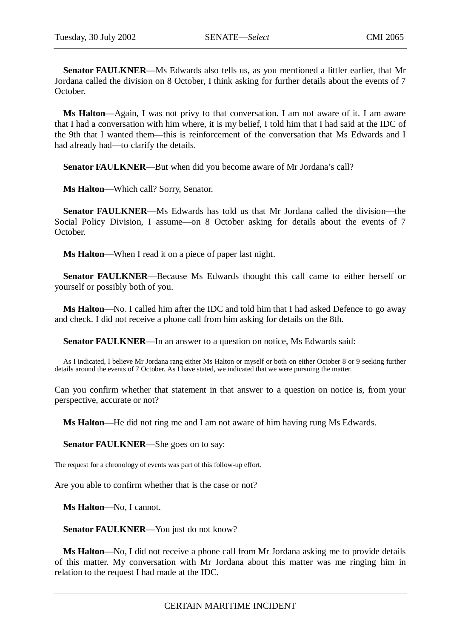**Senator FAULKNER**—Ms Edwards also tells us, as you mentioned a littler earlier, that Mr Jordana called the division on 8 October, I think asking for further details about the events of 7 October.

**Ms Halton**—Again, I was not privy to that conversation. I am not aware of it. I am aware that I had a conversation with him where, it is my belief, I told him that I had said at the IDC of the 9th that I wanted them—this is reinforcement of the conversation that Ms Edwards and I had already had—to clarify the details.

**Senator FAULKNER**—But when did you become aware of Mr Jordana's call?

**Ms Halton**—Which call? Sorry, Senator.

**Senator FAULKNER**—Ms Edwards has told us that Mr Jordana called the division—the Social Policy Division, I assume—on 8 October asking for details about the events of 7 October.

**Ms Halton**—When I read it on a piece of paper last night.

**Senator FAULKNER**—Because Ms Edwards thought this call came to either herself or yourself or possibly both of you.

**Ms Halton**—No. I called him after the IDC and told him that I had asked Defence to go away and check. I did not receive a phone call from him asking for details on the 8th.

**Senator FAULKNER**—In an answer to a question on notice, Ms Edwards said:

As I indicated, I believe Mr Jordana rang either Ms Halton or myself or both on either October 8 or 9 seeking further details around the events of 7 October. As I have stated, we indicated that we were pursuing the matter.

Can you confirm whether that statement in that answer to a question on notice is, from your perspective, accurate or not?

**Ms Halton**—He did not ring me and I am not aware of him having rung Ms Edwards.

**Senator FAULKNER**—She goes on to say:

The request for a chronology of events was part of this follow-up effort.

Are you able to confirm whether that is the case or not?

**Ms Halton**—No, I cannot.

Senator FAULKNER—You just do not know?

**Ms Halton**—No, I did not receive a phone call from Mr Jordana asking me to provide details of this matter. My conversation with Mr Jordana about this matter was me ringing him in relation to the request I had made at the IDC.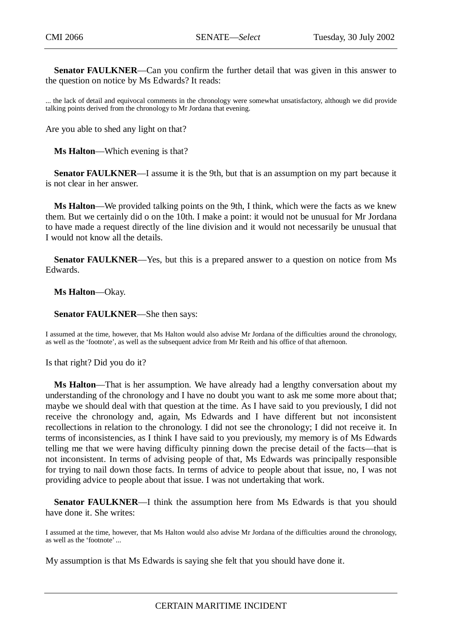**Senator FAULKNER**—Can you confirm the further detail that was given in this answer to the question on notice by Ms Edwards? It reads:

... the lack of detail and equivocal comments in the chronology were somewhat unsatisfactory, although we did provide talking points derived from the chronology to Mr Jordana that evening.

Are you able to shed any light on that?

**Ms Halton**—Which evening is that?

**Senator FAULKNER**—I assume it is the 9th, but that is an assumption on my part because it is not clear in her answer.

**Ms Halton**—We provided talking points on the 9th, I think, which were the facts as we knew them. But we certainly did o on the 10th. I make a point: it would not be unusual for Mr Jordana to have made a request directly of the line division and it would not necessarily be unusual that I would not know all the details.

**Senator FAULKNER**—Yes, but this is a prepared answer to a question on notice from Ms Edwards.

**Ms Halton**—Okay.

**Senator FAULKNER**—She then says:

I assumed at the time, however, that Ms Halton would also advise Mr Jordana of the difficulties around the chronology, as well as the 'footnote', as well as the subsequent advice from Mr Reith and his office of that afternoon.

Is that right? Did you do it?

**Ms Halton**—That is her assumption. We have already had a lengthy conversation about my understanding of the chronology and I have no doubt you want to ask me some more about that; maybe we should deal with that question at the time. As I have said to you previously, I did not receive the chronology and, again, Ms Edwards and I have different but not inconsistent recollections in relation to the chronology. I did not see the chronology; I did not receive it. In terms of inconsistencies, as I think I have said to you previously, my memory is of Ms Edwards telling me that we were having difficulty pinning down the precise detail of the facts—that is not inconsistent. In terms of advising people of that, Ms Edwards was principally responsible for trying to nail down those facts. In terms of advice to people about that issue, no, I was not providing advice to people about that issue. I was not undertaking that work.

**Senator FAULKNER—I** think the assumption here from Ms Edwards is that you should have done it. She writes:

I assumed at the time, however, that Ms Halton would also advise Mr Jordana of the difficulties around the chronology, as well as the 'footnote' ...

My assumption is that Ms Edwards is saying she felt that you should have done it.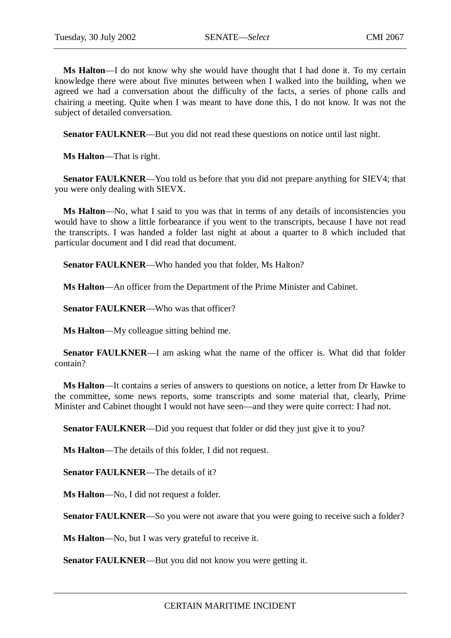**Ms Halton**—I do not know why she would have thought that I had done it. To my certain knowledge there were about five minutes between when I walked into the building, when we agreed we had a conversation about the difficulty of the facts, a series of phone calls and chairing a meeting. Quite when I was meant to have done this, I do not know. It was not the subject of detailed conversation.

**Senator FAULKNER**—But you did not read these questions on notice until last night.

**Ms Halton**—That is right.

**Senator FAULKNER**—You told us before that you did not prepare anything for SIEV4; that you were only dealing with SIEVX.

**Ms Halton**—No, what I said to you was that in terms of any details of inconsistencies you would have to show a little forbearance if you went to the transcripts, because I have not read the transcripts. I was handed a folder last night at about a quarter to 8 which included that particular document and I did read that document.

Senator FAULKNER—Who handed you that folder, Ms Halton?

**Ms Halton**—An officer from the Department of the Prime Minister and Cabinet.

**Senator FAULKNER—Who was that officer?** 

**Ms Halton**—My colleague sitting behind me.

**Senator FAULKNER**—I am asking what the name of the officer is. What did that folder contain?

**Ms Halton**—It contains a series of answers to questions on notice, a letter from Dr Hawke to the committee, some news reports, some transcripts and some material that, clearly, Prime Minister and Cabinet thought I would not have seen—and they were quite correct: I had not.

**Senator FAULKNER—Did you request that folder or did they just give it to you?** 

**Ms Halton**—The details of this folder, I did not request.

**Senator FAULKNER—The details of it?** 

**Ms Halton**—No, I did not request a folder.

**Senator FAULKNER—So** you were not aware that you were going to receive such a folder?

**Ms Halton**—No, but I was very grateful to receive it.

**Senator FAULKNER—But you did not know you were getting it.**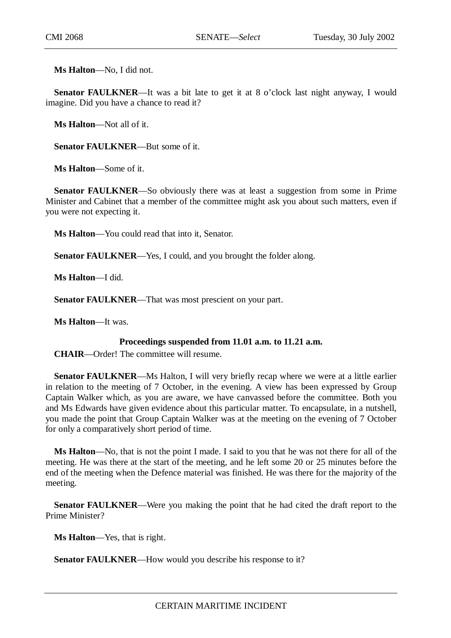**Ms Halton**—No, I did not.

**Senator FAULKNER—It** was a bit late to get it at 8 o'clock last night anyway, I would imagine. Did you have a chance to read it?

**Ms Halton**—Not all of it.

**Senator FAULKNER**—But some of it.

**Ms Halton**—Some of it.

**Senator FAULKNER—So** obviously there was at least a suggestion from some in Prime Minister and Cabinet that a member of the committee might ask you about such matters, even if you were not expecting it.

**Ms Halton**—You could read that into it, Senator.

**Senator FAULKNER**—Yes, I could, and you brought the folder along.

**Ms Halton**—I did.

**Senator FAULKNER**—That was most prescient on your part.

**Ms Halton**—It was.

# **Proceedings suspended from 11.01 a.m. to 11.21 a.m.**

**CHAIR**—Order! The committee will resume.

**Senator FAULKNER**—Ms Halton, I will very briefly recap where we were at a little earlier in relation to the meeting of 7 October, in the evening. A view has been expressed by Group Captain Walker which, as you are aware, we have canvassed before the committee. Both you and Ms Edwards have given evidence about this particular matter. To encapsulate, in a nutshell, you made the point that Group Captain Walker was at the meeting on the evening of 7 October for only a comparatively short period of time.

**Ms Halton**—No, that is not the point I made. I said to you that he was not there for all of the meeting. He was there at the start of the meeting, and he left some 20 or 25 minutes before the end of the meeting when the Defence material was finished. He was there for the majority of the meeting.

**Senator FAULKNER**—Were you making the point that he had cited the draft report to the Prime Minister?

**Ms Halton**—Yes, that is right.

**Senator FAULKNER—How would you describe his response to it?**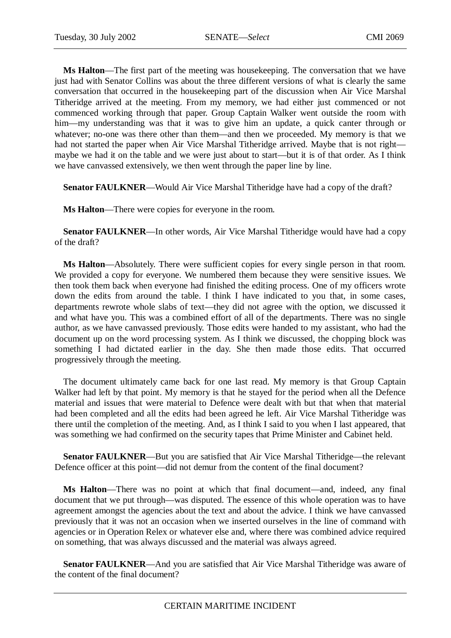**Ms Halton**—The first part of the meeting was housekeeping. The conversation that we have just had with Senator Collins was about the three different versions of what is clearly the same conversation that occurred in the housekeeping part of the discussion when Air Vice Marshal Titheridge arrived at the meeting. From my memory, we had either just commenced or not commenced working through that paper. Group Captain Walker went outside the room with him—my understanding was that it was to give him an update, a quick canter through or whatever; no-one was there other than them—and then we proceeded. My memory is that we had not started the paper when Air Vice Marshal Titheridge arrived. Maybe that is not right maybe we had it on the table and we were just about to start—but it is of that order. As I think we have canvassed extensively, we then went through the paper line by line.

**Senator FAULKNER**—Would Air Vice Marshal Titheridge have had a copy of the draft?

**Ms Halton**—There were copies for everyone in the room.

**Senator FAULKNER**—In other words, Air Vice Marshal Titheridge would have had a copy of the draft?

**Ms Halton**—Absolutely. There were sufficient copies for every single person in that room. We provided a copy for everyone. We numbered them because they were sensitive issues. We then took them back when everyone had finished the editing process. One of my officers wrote down the edits from around the table. I think I have indicated to you that, in some cases, departments rewrote whole slabs of text—they did not agree with the option, we discussed it and what have you. This was a combined effort of all of the departments. There was no single author, as we have canvassed previously. Those edits were handed to my assistant, who had the document up on the word processing system. As I think we discussed, the chopping block was something I had dictated earlier in the day. She then made those edits. That occurred progressively through the meeting.

The document ultimately came back for one last read. My memory is that Group Captain Walker had left by that point. My memory is that he stayed for the period when all the Defence material and issues that were material to Defence were dealt with but that when that material had been completed and all the edits had been agreed he left. Air Vice Marshal Titheridge was there until the completion of the meeting. And, as I think I said to you when I last appeared, that was something we had confirmed on the security tapes that Prime Minister and Cabinet held.

**Senator FAULKNER—But you are satisfied that Air Vice Marshal Titheridge—the relevant** Defence officer at this point—did not demur from the content of the final document?

**Ms Halton**—There was no point at which that final document—and, indeed, any final document that we put through—was disputed. The essence of this whole operation was to have agreement amongst the agencies about the text and about the advice. I think we have canvassed previously that it was not an occasion when we inserted ourselves in the line of command with agencies or in Operation Relex or whatever else and, where there was combined advice required on something, that was always discussed and the material was always agreed.

**Senator FAULKNER**—And you are satisfied that Air Vice Marshal Titheridge was aware of the content of the final document?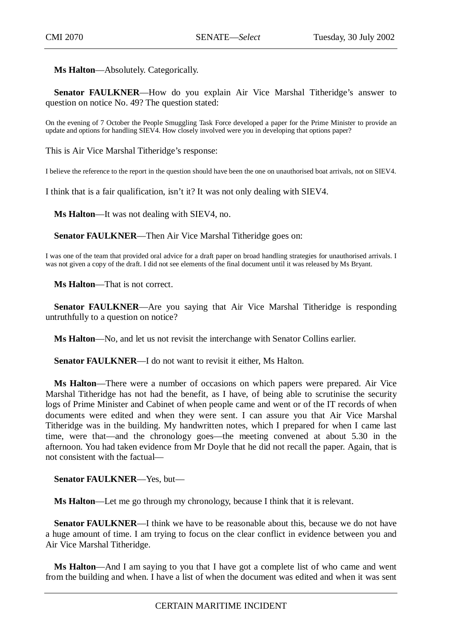**Ms Halton**—Absolutely. Categorically.

**Senator FAULKNER—How** do you explain Air Vice Marshal Titheridge's answer to question on notice No. 49? The question stated:

On the evening of 7 October the People Smuggling Task Force developed a paper for the Prime Minister to provide an update and options for handling SIEV4. How closely involved were you in developing that options paper?

This is Air Vice Marshal Titheridge's response:

I believe the reference to the report in the question should have been the one on unauthorised boat arrivals, not on SIEV4.

I think that is a fair qualification, isn't it? It was not only dealing with SIEV4.

**Ms Halton**—It was not dealing with SIEV4, no.

**Senator FAULKNER**—Then Air Vice Marshal Titheridge goes on:

I was one of the team that provided oral advice for a draft paper on broad handling strategies for unauthorised arrivals. I was not given a copy of the draft. I did not see elements of the final document until it was released by Ms Bryant.

**Ms Halton**—That is not correct.

**Senator FAULKNER—Are** you saying that Air Vice Marshal Titheridge is responding untruthfully to a question on notice?

**Ms Halton**—No, and let us not revisit the interchange with Senator Collins earlier.

**Senator FAULKNER—I** do not want to revisit it either. Ms Halton.

**Ms Halton**—There were a number of occasions on which papers were prepared. Air Vice Marshal Titheridge has not had the benefit, as I have, of being able to scrutinise the security logs of Prime Minister and Cabinet of when people came and went or of the IT records of when documents were edited and when they were sent. I can assure you that Air Vice Marshal Titheridge was in the building. My handwritten notes, which I prepared for when I came last time, were that—and the chronology goes—the meeting convened at about 5.30 in the afternoon. You had taken evidence from Mr Doyle that he did not recall the paper. Again, that is not consistent with the factual—

**Senator FAULKNER**—Yes, but—

**Ms Halton**—Let me go through my chronology, because I think that it is relevant.

**Senator FAULKNER—I** think we have to be reasonable about this, because we do not have a huge amount of time. I am trying to focus on the clear conflict in evidence between you and Air Vice Marshal Titheridge.

**Ms Halton**—And I am saying to you that I have got a complete list of who came and went from the building and when. I have a list of when the document was edited and when it was sent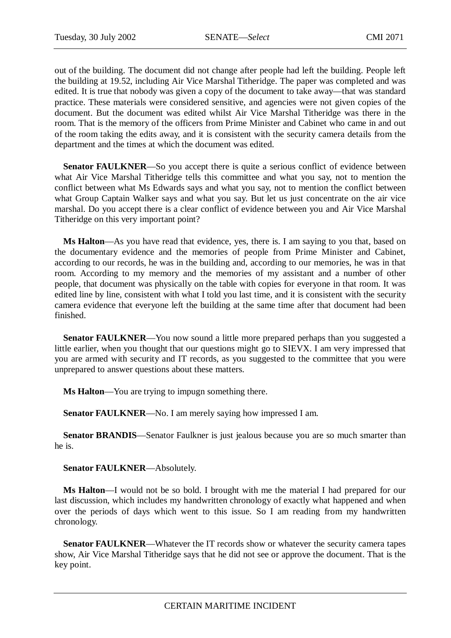out of the building. The document did not change after people had left the building. People left the building at 19.52, including Air Vice Marshal Titheridge. The paper was completed and was edited. It is true that nobody was given a copy of the document to take away—that was standard practice. These materials were considered sensitive, and agencies were not given copies of the document. But the document was edited whilst Air Vice Marshal Titheridge was there in the room. That is the memory of the officers from Prime Minister and Cabinet who came in and out of the room taking the edits away, and it is consistent with the security camera details from the department and the times at which the document was edited.

**Senator FAULKNER—So** you accept there is quite a serious conflict of evidence between what Air Vice Marshal Titheridge tells this committee and what you say, not to mention the conflict between what Ms Edwards says and what you say, not to mention the conflict between what Group Captain Walker says and what you say. But let us just concentrate on the air vice marshal. Do you accept there is a clear conflict of evidence between you and Air Vice Marshal Titheridge on this very important point?

**Ms Halton**—As you have read that evidence, yes, there is. I am saying to you that, based on the documentary evidence and the memories of people from Prime Minister and Cabinet, according to our records, he was in the building and, according to our memories, he was in that room. According to my memory and the memories of my assistant and a number of other people, that document was physically on the table with copies for everyone in that room. It was edited line by line, consistent with what I told you last time, and it is consistent with the security camera evidence that everyone left the building at the same time after that document had been finished.

**Senator FAULKNER—You** now sound a little more prepared perhaps than you suggested a little earlier, when you thought that our questions might go to SIEVX. I am very impressed that you are armed with security and IT records, as you suggested to the committee that you were unprepared to answer questions about these matters.

**Ms Halton**—You are trying to impugn something there.

**Senator FAULKNER—No.** I am merely saying how impressed I am.

**Senator BRANDIS**—Senator Faulkner is just jealous because you are so much smarter than he is.

**Senator FAULKNER**—Absolutely.

**Ms Halton**—I would not be so bold. I brought with me the material I had prepared for our last discussion, which includes my handwritten chronology of exactly what happened and when over the periods of days which went to this issue. So I am reading from my handwritten chronology.

**Senator FAULKNER—Whatever the IT records show or whatever the security camera tapes** show, Air Vice Marshal Titheridge says that he did not see or approve the document. That is the key point.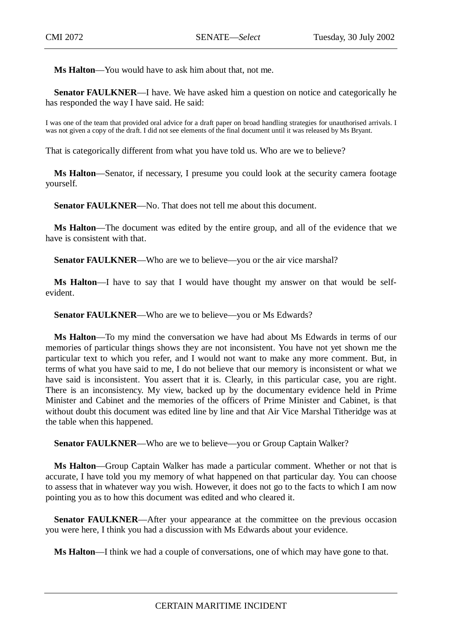**Ms Halton**—You would have to ask him about that, not me.

**Senator FAULKNER—I** have. We have asked him a question on notice and categorically he has responded the way I have said. He said:

I was one of the team that provided oral advice for a draft paper on broad handling strategies for unauthorised arrivals. I was not given a copy of the draft. I did not see elements of the final document until it was released by Ms Bryant.

That is categorically different from what you have told us. Who are we to believe?

**Ms Halton**—Senator, if necessary, I presume you could look at the security camera footage yourself.

**Senator FAULKNER—No.** That does not tell me about this document.

**Ms Halton**—The document was edited by the entire group, and all of the evidence that we have is consistent with that.

**Senator FAULKNER—Who are we to believe—you or the air vice marshal?** 

**Ms Halton**—I have to say that I would have thought my answer on that would be selfevident.

**Senator FAULKNER—Who are we to believe—you or Ms Edwards?** 

**Ms Halton**—To my mind the conversation we have had about Ms Edwards in terms of our memories of particular things shows they are not inconsistent. You have not yet shown me the particular text to which you refer, and I would not want to make any more comment. But, in terms of what you have said to me, I do not believe that our memory is inconsistent or what we have said is inconsistent. You assert that it is. Clearly, in this particular case, you are right. There is an inconsistency. My view, backed up by the documentary evidence held in Prime Minister and Cabinet and the memories of the officers of Prime Minister and Cabinet, is that without doubt this document was edited line by line and that Air Vice Marshal Titheridge was at the table when this happened.

**Senator FAULKNER**—Who are we to believe—you or Group Captain Walker?

**Ms Halton**—Group Captain Walker has made a particular comment. Whether or not that is accurate, I have told you my memory of what happened on that particular day. You can choose to assess that in whatever way you wish. However, it does not go to the facts to which I am now pointing you as to how this document was edited and who cleared it.

**Senator FAULKNER—After your appearance at the committee on the previous occasion** you were here, I think you had a discussion with Ms Edwards about your evidence.

**Ms Halton**—I think we had a couple of conversations, one of which may have gone to that.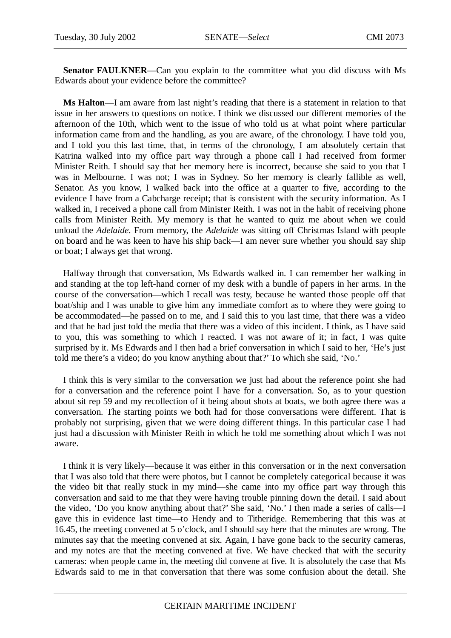**Senator FAULKNER**—Can you explain to the committee what you did discuss with Ms Edwards about your evidence before the committee?

**Ms Halton**—I am aware from last night's reading that there is a statement in relation to that issue in her answers to questions on notice. I think we discussed our different memories of the afternoon of the 10th, which went to the issue of who told us at what point where particular information came from and the handling, as you are aware, of the chronology. I have told you, and I told you this last time, that, in terms of the chronology, I am absolutely certain that Katrina walked into my office part way through a phone call I had received from former Minister Reith. I should say that her memory here is incorrect, because she said to you that I was in Melbourne. I was not; I was in Sydney. So her memory is clearly fallible as well, Senator. As you know, I walked back into the office at a quarter to five, according to the evidence I have from a Cabcharge receipt; that is consistent with the security information. As I walked in, I received a phone call from Minister Reith. I was not in the habit of receiving phone calls from Minister Reith. My memory is that he wanted to quiz me about when we could unload the *Adelaide*. From memory, the *Adelaide* was sitting off Christmas Island with people on board and he was keen to have his ship back—I am never sure whether you should say ship or boat; I always get that wrong.

Halfway through that conversation, Ms Edwards walked in. I can remember her walking in and standing at the top left-hand corner of my desk with a bundle of papers in her arms. In the course of the conversation—which I recall was testy, because he wanted those people off that boat/ship and I was unable to give him any immediate comfort as to where they were going to be accommodated—he passed on to me, and I said this to you last time, that there was a video and that he had just told the media that there was a video of this incident. I think, as I have said to you, this was something to which I reacted. I was not aware of it; in fact, I was quite surprised by it. Ms Edwards and I then had a brief conversation in which I said to her, 'He's just told me there's a video; do you know anything about that?' To which she said, 'No.'

I think this is very similar to the conversation we just had about the reference point she had for a conversation and the reference point I have for a conversation. So, as to your question about sit rep 59 and my recollection of it being about shots at boats, we both agree there was a conversation. The starting points we both had for those conversations were different. That is probably not surprising, given that we were doing different things. In this particular case I had just had a discussion with Minister Reith in which he told me something about which I was not aware.

I think it is very likely—because it was either in this conversation or in the next conversation that I was also told that there were photos, but I cannot be completely categorical because it was the video bit that really stuck in my mind—she came into my office part way through this conversation and said to me that they were having trouble pinning down the detail. I said about the video, 'Do you know anything about that?' She said, 'No.' I then made a series of calls—I gave this in evidence last time—to Hendy and to Titheridge. Remembering that this was at 16.45, the meeting convened at 5 o'clock, and I should say here that the minutes are wrong. The minutes say that the meeting convened at six. Again, I have gone back to the security cameras, and my notes are that the meeting convened at five. We have checked that with the security cameras: when people came in, the meeting did convene at five. It is absolutely the case that Ms Edwards said to me in that conversation that there was some confusion about the detail. She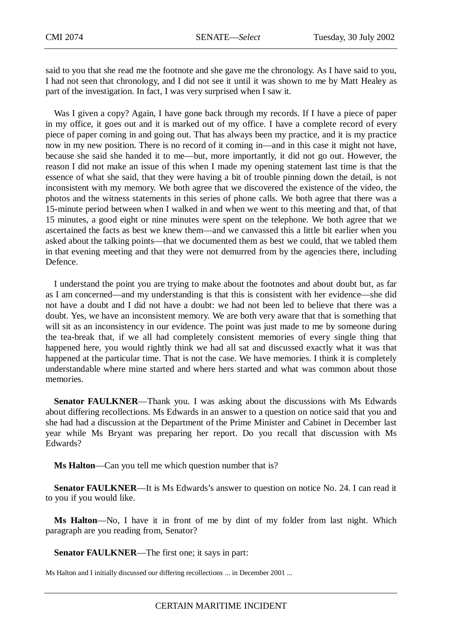said to you that she read me the footnote and she gave me the chronology. As I have said to you, I had not seen that chronology, and I did not see it until it was shown to me by Matt Healey as part of the investigation. In fact, I was very surprised when I saw it.

Was I given a copy? Again, I have gone back through my records. If I have a piece of paper in my office, it goes out and it is marked out of my office. I have a complete record of every piece of paper coming in and going out. That has always been my practice, and it is my practice now in my new position. There is no record of it coming in—and in this case it might not have, because she said she handed it to me—but, more importantly, it did not go out. However, the reason I did not make an issue of this when I made my opening statement last time is that the essence of what she said, that they were having a bit of trouble pinning down the detail, is not inconsistent with my memory. We both agree that we discovered the existence of the video, the photos and the witness statements in this series of phone calls. We both agree that there was a 15-minute period between when I walked in and when we went to this meeting and that, of that 15 minutes, a good eight or nine minutes were spent on the telephone. We both agree that we ascertained the facts as best we knew them—and we canvassed this a little bit earlier when you asked about the talking points—that we documented them as best we could, that we tabled them in that evening meeting and that they were not demurred from by the agencies there, including Defence.

I understand the point you are trying to make about the footnotes and about doubt but, as far as I am concerned—and my understanding is that this is consistent with her evidence—she did not have a doubt and I did not have a doubt: we had not been led to believe that there was a doubt. Yes, we have an inconsistent memory. We are both very aware that that is something that will sit as an inconsistency in our evidence. The point was just made to me by someone during the tea-break that, if we all had completely consistent memories of every single thing that happened here, you would rightly think we had all sat and discussed exactly what it was that happened at the particular time. That is not the case. We have memories. I think it is completely understandable where mine started and where hers started and what was common about those memories.

**Senator FAULKNER**—Thank you. I was asking about the discussions with Ms Edwards about differing recollections. Ms Edwards in an answer to a question on notice said that you and she had had a discussion at the Department of the Prime Minister and Cabinet in December last year while Ms Bryant was preparing her report. Do you recall that discussion with Ms Edwards?

**Ms Halton**—Can you tell me which question number that is?

**Senator FAULKNER—It** is Ms Edwards's answer to question on notice No. 24. I can read it to you if you would like.

**Ms Halton**—No, I have it in front of me by dint of my folder from last night. Which paragraph are you reading from, Senator?

**Senator FAULKNER**—The first one; it says in part:

Ms Halton and I initially discussed our differing recollections ... in December 2001 ...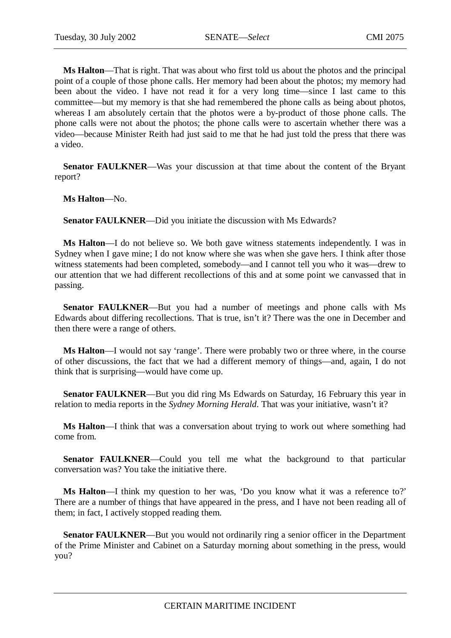**Ms Halton**—That is right. That was about who first told us about the photos and the principal point of a couple of those phone calls. Her memory had been about the photos; my memory had been about the video. I have not read it for a very long time—since I last came to this committee—but my memory is that she had remembered the phone calls as being about photos, whereas I am absolutely certain that the photos were a by-product of those phone calls. The phone calls were not about the photos; the phone calls were to ascertain whether there was a video—because Minister Reith had just said to me that he had just told the press that there was a video.

**Senator FAULKNER**—Was your discussion at that time about the content of the Bryant report?

**Ms Halton**—No.

**Senator FAULKNER**—Did you initiate the discussion with Ms Edwards?

**Ms Halton**—I do not believe so. We both gave witness statements independently. I was in Sydney when I gave mine; I do not know where she was when she gave hers. I think after those witness statements had been completed, somebody—and I cannot tell you who it was—drew to our attention that we had different recollections of this and at some point we canvassed that in passing.

**Senator FAULKNER—But** you had a number of meetings and phone calls with Ms Edwards about differing recollections. That is true, isn't it? There was the one in December and then there were a range of others.

**Ms Halton**—I would not say 'range'. There were probably two or three where, in the course of other discussions, the fact that we had a different memory of things—and, again, I do not think that is surprising—would have come up.

**Senator FAULKNER**—But you did ring Ms Edwards on Saturday, 16 February this year in relation to media reports in the *Sydney Morning Herald*. That was your initiative, wasn't it?

**Ms Halton**—I think that was a conversation about trying to work out where something had come from.

**Senator FAULKNER**—Could you tell me what the background to that particular conversation was? You take the initiative there.

**Ms Halton**—I think my question to her was, 'Do you know what it was a reference to?' There are a number of things that have appeared in the press, and I have not been reading all of them; in fact, I actively stopped reading them.

**Senator FAULKNER—But you would not ordinarily ring a senior officer in the Department** of the Prime Minister and Cabinet on a Saturday morning about something in the press, would you?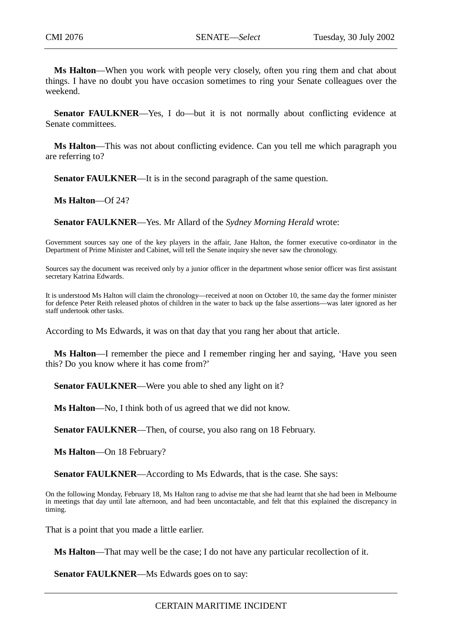**Ms Halton**—When you work with people very closely, often you ring them and chat about things. I have no doubt you have occasion sometimes to ring your Senate colleagues over the weekend.

**Senator FAULKNER**—Yes, I do—but it is not normally about conflicting evidence at Senate committees.

**Ms Halton**—This was not about conflicting evidence. Can you tell me which paragraph you are referring to?

**Senator FAULKNER**—It is in the second paragraph of the same question.

**Ms Halton**—Of 24?

**Senator FAULKNER**—Yes. Mr Allard of the *Sydney Morning Herald* wrote:

Government sources say one of the key players in the affair, Jane Halton, the former executive co-ordinator in the Department of Prime Minister and Cabinet, will tell the Senate inquiry she never saw the chronology.

Sources say the document was received only by a junior officer in the department whose senior officer was first assistant secretary Katrina Edwards.

It is understood Ms Halton will claim the chronology—received at noon on October 10, the same day the former minister for defence Peter Reith released photos of children in the water to back up the false assertions—was later ignored as her staff undertook other tasks.

According to Ms Edwards, it was on that day that you rang her about that article.

**Ms Halton**—I remember the piece and I remember ringing her and saying, 'Have you seen this? Do you know where it has come from?'

**Senator FAULKNER—Were you able to shed any light on it?** 

**Ms Halton**—No, I think both of us agreed that we did not know.

**Senator FAULKNER**—Then, of course, you also rang on 18 February.

**Ms Halton**—On 18 February?

**Senator FAULKNER**—According to Ms Edwards, that is the case. She says:

On the following Monday, February 18, Ms Halton rang to advise me that she had learnt that she had been in Melbourne in meetings that day until late afternoon, and had been uncontactable, and felt that this explained the discrepancy in timing.

That is a point that you made a little earlier.

**Ms Halton**—That may well be the case; I do not have any particular recollection of it.

**Senator FAULKNER—Ms Edwards goes on to say:**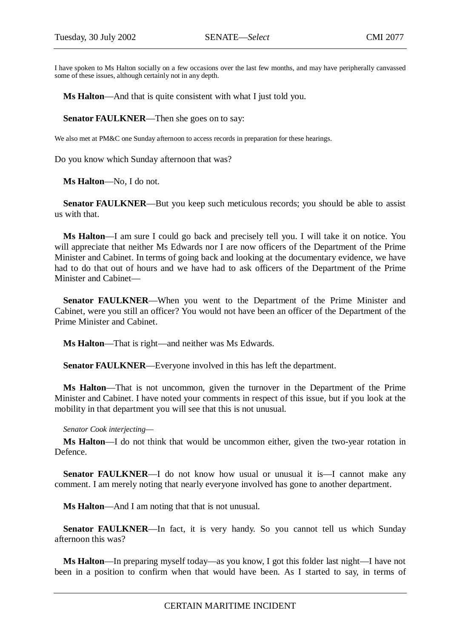I have spoken to Ms Halton socially on a few occasions over the last few months, and may have peripherally canvassed some of these issues, although certainly not in any depth.

**Ms Halton**—And that is quite consistent with what I just told you.

**Senator FAULKNER**—Then she goes on to say:

We also met at PM&C one Sunday afternoon to access records in preparation for these hearings.

Do you know which Sunday afternoon that was?

**Ms Halton**—No, I do not.

**Senator FAULKNER—But you keep such meticulous records; you should be able to assist** us with that.

**Ms Halton**—I am sure I could go back and precisely tell you. I will take it on notice. You will appreciate that neither Ms Edwards nor I are now officers of the Department of the Prime Minister and Cabinet. In terms of going back and looking at the documentary evidence, we have had to do that out of hours and we have had to ask officers of the Department of the Prime Minister and Cabinet—

**Senator FAULKNER**—When you went to the Department of the Prime Minister and Cabinet, were you still an officer? You would not have been an officer of the Department of the Prime Minister and Cabinet.

**Ms Halton**—That is right—and neither was Ms Edwards.

**Senator FAULKNER**—Everyone involved in this has left the department.

**Ms Halton**—That is not uncommon, given the turnover in the Department of the Prime Minister and Cabinet. I have noted your comments in respect of this issue, but if you look at the mobility in that department you will see that this is not unusual.

*Senator Cook interjecting*—

**Ms Halton**—I do not think that would be uncommon either, given the two-year rotation in Defence.

**Senator FAULKNER—I** do not know how usual or unusual it is—I cannot make any comment. I am merely noting that nearly everyone involved has gone to another department.

**Ms Halton**—And I am noting that that is not unusual.

**Senator FAULKNER**—In fact, it is very handy. So you cannot tell us which Sunday afternoon this was?

**Ms Halton**—In preparing myself today—as you know, I got this folder last night—I have not been in a position to confirm when that would have been. As I started to say, in terms of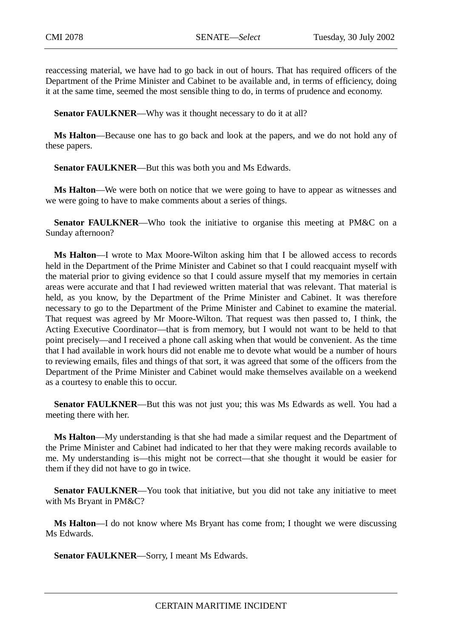reaccessing material, we have had to go back in out of hours. That has required officers of the Department of the Prime Minister and Cabinet to be available and, in terms of efficiency, doing it at the same time, seemed the most sensible thing to do, in terms of prudence and economy.

**Senator FAULKNER—Why was it thought necessary to do it at all?** 

**Ms Halton**—Because one has to go back and look at the papers, and we do not hold any of these papers.

**Senator FAULKNER—But this was both you and Ms Edwards.** 

**Ms Halton**—We were both on notice that we were going to have to appear as witnesses and we were going to have to make comments about a series of things.

**Senator FAULKNER—Who took the initiative to organise this meeting at PM&C on a** Sunday afternoon?

**Ms Halton**—I wrote to Max Moore-Wilton asking him that I be allowed access to records held in the Department of the Prime Minister and Cabinet so that I could reacquaint myself with the material prior to giving evidence so that I could assure myself that my memories in certain areas were accurate and that I had reviewed written material that was relevant. That material is held, as you know, by the Department of the Prime Minister and Cabinet. It was therefore necessary to go to the Department of the Prime Minister and Cabinet to examine the material. That request was agreed by Mr Moore-Wilton. That request was then passed to, I think, the Acting Executive Coordinator—that is from memory, but I would not want to be held to that point precisely—and I received a phone call asking when that would be convenient. As the time that I had available in work hours did not enable me to devote what would be a number of hours to reviewing emails, files and things of that sort, it was agreed that some of the officers from the Department of the Prime Minister and Cabinet would make themselves available on a weekend as a courtesy to enable this to occur.

**Senator FAULKNER**—But this was not just you; this was Ms Edwards as well. You had a meeting there with her.

**Ms Halton**—My understanding is that she had made a similar request and the Department of the Prime Minister and Cabinet had indicated to her that they were making records available to me. My understanding is—this might not be correct—that she thought it would be easier for them if they did not have to go in twice.

**Senator FAULKNER—Y**ou took that initiative, but you did not take any initiative to meet with Ms Bryant in PM&C?

**Ms Halton**—I do not know where Ms Bryant has come from; I thought we were discussing Ms Edwards.

**Senator FAULKNER**—Sorry, I meant Ms Edwards.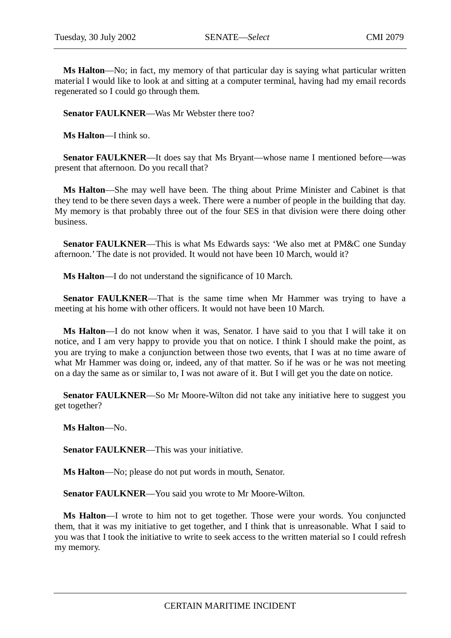**Ms Halton**—No; in fact, my memory of that particular day is saying what particular written material I would like to look at and sitting at a computer terminal, having had my email records regenerated so I could go through them.

**Senator FAULKNER**—Was Mr Webster there too?

**Ms Halton**—I think so.

**Senator FAULKNER**—It does say that Ms Bryant—whose name I mentioned before—was present that afternoon. Do you recall that?

**Ms Halton**—She may well have been. The thing about Prime Minister and Cabinet is that they tend to be there seven days a week. There were a number of people in the building that day. My memory is that probably three out of the four SES in that division were there doing other business.

**Senator FAULKNER**—This is what Ms Edwards says: 'We also met at PM&C one Sunday afternoon.' The date is not provided. It would not have been 10 March, would it?

**Ms Halton**—I do not understand the significance of 10 March.

**Senator FAULKNER—That** is the same time when Mr Hammer was trying to have a meeting at his home with other officers. It would not have been 10 March.

**Ms Halton**—I do not know when it was, Senator. I have said to you that I will take it on notice, and I am very happy to provide you that on notice. I think I should make the point, as you are trying to make a conjunction between those two events, that I was at no time aware of what Mr Hammer was doing or, indeed, any of that matter. So if he was or he was not meeting on a day the same as or similar to, I was not aware of it. But I will get you the date on notice.

**Senator FAULKNER**—So Mr Moore-Wilton did not take any initiative here to suggest you get together?

**Ms Halton**—No.

**Senator FAULKNER**—This was your initiative.

**Ms Halton**—No; please do not put words in mouth, Senator.

**Senator FAULKNER**—You said you wrote to Mr Moore-Wilton.

**Ms Halton**—I wrote to him not to get together. Those were your words. You conjuncted them, that it was my initiative to get together, and I think that is unreasonable. What I said to you was that I took the initiative to write to seek access to the written material so I could refresh my memory.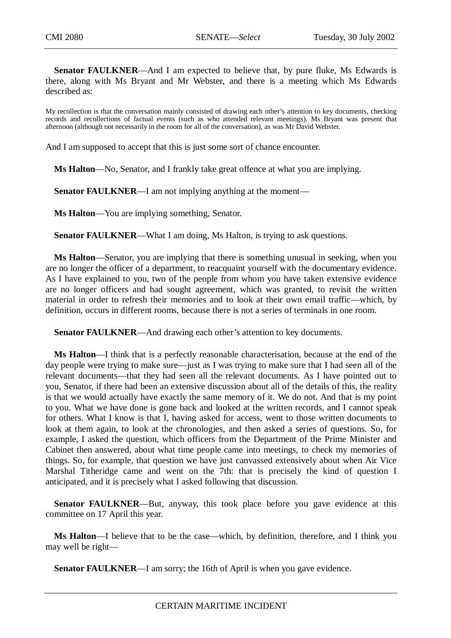**Senator FAULKNER—And I am expected to believe that, by pure fluke, Ms Edwards is** there, along with Ms Bryant and Mr Webster, and there is a meeting which Ms Edwards described as:

My recollection is that the conversation mainly consisted of drawing each other's attention to key documents, checking records and recollections of factual events (such as who attended relevant meetings). Ms Bryant was present that afternoon (although not necessarily in the room for all of the conversation), as was Mr David Webster.

And I am supposed to accept that this is just some sort of chance encounter.

**Ms Halton**—No, Senator, and I frankly take great offence at what you are implying.

**Senator FAULKNER—I** am not implying anything at the moment—

**Ms Halton**—You are implying something, Senator.

**Senator FAULKNER—What I am doing, Ms Halton, is trying to ask questions.** 

**Ms Halton**—Senator, you are implying that there is something unusual in seeking, when you are no longer the officer of a department, to reacquaint yourself with the documentary evidence. As I have explained to you, two of the people from whom you have taken extensive evidence are no longer officers and had sought agreement, which was granted, to revisit the written material in order to refresh their memories and to look at their own email traffic—which, by definition, occurs in different rooms, because there is not a series of terminals in one room.

**Senator FAULKNER**—And drawing each other's attention to key documents.

**Ms Halton**—I think that is a perfectly reasonable characterisation, because at the end of the day people were trying to make sure—just as I was trying to make sure that I had seen all of the relevant documents—that they had seen all the relevant documents. As I have pointed out to you, Senator, if there had been an extensive discussion about all of the details of this, the reality is that we would actually have exactly the same memory of it. We do not. And that is my point to you. What we have done is gone back and looked at the written records, and I cannot speak for others. What I know is that I, having asked for access, went to those written documents to look at them again, to look at the chronologies, and then asked a series of questions. So, for example, I asked the question, which officers from the Department of the Prime Minister and Cabinet then answered, about what time people came into meetings, to check my memories of things. So, for example, that question we have just canvassed extensively about when Air Vice Marshal Titheridge came and went on the 7th: that is precisely the kind of question I anticipated, and it is precisely what I asked following that discussion.

**Senator FAULKNER—But, anyway, this took place before you gave evidence at this** committee on 17 April this year.

**Ms Halton**—I believe that to be the case—which, by definition, therefore, and I think you may well be right—

**Senator FAULKNER—I** am sorry; the 16th of April is when you gave evidence.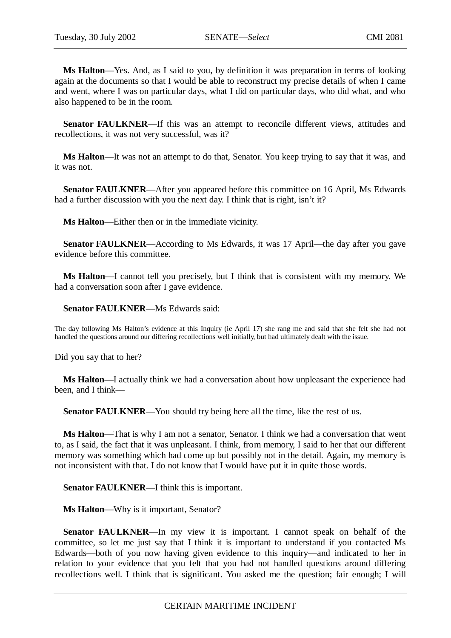**Ms Halton**—Yes. And, as I said to you, by definition it was preparation in terms of looking again at the documents so that I would be able to reconstruct my precise details of when I came and went, where I was on particular days, what I did on particular days, who did what, and who also happened to be in the room.

**Senator FAULKNER**—If this was an attempt to reconcile different views, attitudes and recollections, it was not very successful, was it?

**Ms Halton**—It was not an attempt to do that, Senator. You keep trying to say that it was, and it was not.

**Senator FAULKNER—After you appeared before this committee on 16 April, Ms Edwards** had a further discussion with you the next day. I think that is right, isn't it?

**Ms Halton**—Either then or in the immediate vicinity.

**Senator FAULKNER—According to Ms Edwards, it was 17 April—the day after you gave** evidence before this committee.

**Ms Halton**—I cannot tell you precisely, but I think that is consistent with my memory. We had a conversation soon after I gave evidence.

**Senator FAULKNER**—Ms Edwards said:

The day following Ms Halton's evidence at this Inquiry (ie April 17) she rang me and said that she felt she had not handled the questions around our differing recollections well initially, but had ultimately dealt with the issue.

Did you say that to her?

**Ms Halton**—I actually think we had a conversation about how unpleasant the experience had been, and I think—

**Senator FAULKNER**—You should try being here all the time, like the rest of us.

**Ms Halton**—That is why I am not a senator, Senator. I think we had a conversation that went to, as I said, the fact that it was unpleasant. I think, from memory, I said to her that our different memory was something which had come up but possibly not in the detail. Again, my memory is not inconsistent with that. I do not know that I would have put it in quite those words.

**Senator FAULKNER**—I think this is important.

**Ms Halton**—Why is it important, Senator?

**Senator FAULKNER**—In my view it is important. I cannot speak on behalf of the committee, so let me just say that I think it is important to understand if you contacted Ms Edwards—both of you now having given evidence to this inquiry—and indicated to her in relation to your evidence that you felt that you had not handled questions around differing recollections well. I think that is significant. You asked me the question; fair enough; I will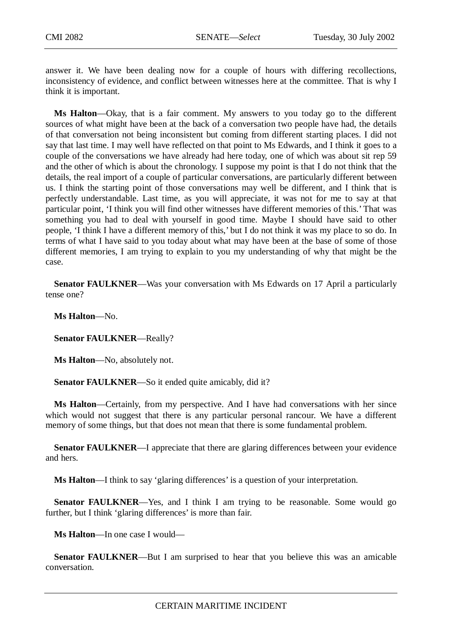answer it. We have been dealing now for a couple of hours with differing recollections, inconsistency of evidence, and conflict between witnesses here at the committee. That is why I think it is important.

**Ms Halton**—Okay, that is a fair comment. My answers to you today go to the different sources of what might have been at the back of a conversation two people have had, the details of that conversation not being inconsistent but coming from different starting places. I did not say that last time. I may well have reflected on that point to Ms Edwards, and I think it goes to a couple of the conversations we have already had here today, one of which was about sit rep 59 and the other of which is about the chronology. I suppose my point is that I do not think that the details, the real import of a couple of particular conversations, are particularly different between us. I think the starting point of those conversations may well be different, and I think that is perfectly understandable. Last time, as you will appreciate, it was not for me to say at that particular point, 'I think you will find other witnesses have different memories of this.' That was something you had to deal with yourself in good time. Maybe I should have said to other people, 'I think I have a different memory of this,' but I do not think it was my place to so do. In terms of what I have said to you today about what may have been at the base of some of those different memories, I am trying to explain to you my understanding of why that might be the case.

**Senator FAULKNER—Was your conversation with Ms Edwards on 17 April a particularly** tense one?

**Ms Halton**—No.

**Senator FAULKNER**—Really?

**Ms Halton**—No, absolutely not.

**Senator FAULKNER—So** it ended quite amicably, did it?

**Ms Halton**—Certainly, from my perspective. And I have had conversations with her since which would not suggest that there is any particular personal rancour. We have a different memory of some things, but that does not mean that there is some fundamental problem.

**Senator FAULKNER—I** appreciate that there are glaring differences between your evidence and hers.

**Ms Halton**—I think to say 'glaring differences' is a question of your interpretation.

**Senator FAULKNER**—Yes, and I think I am trying to be reasonable. Some would go further, but I think 'glaring differences' is more than fair.

**Ms Halton**—In one case I would—

**Senator FAULKNER**—But I am surprised to hear that you believe this was an amicable conversation.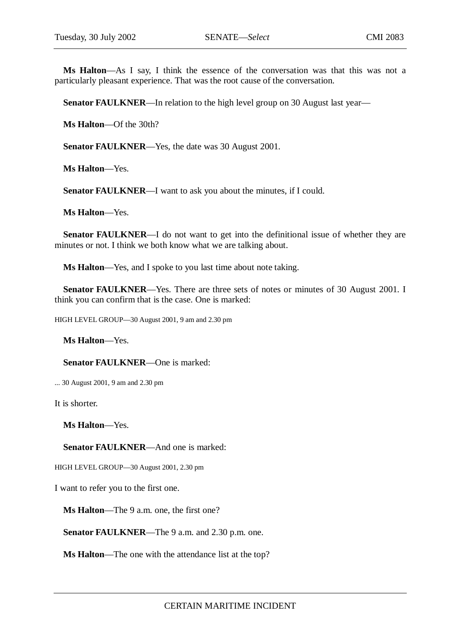**Ms Halton**—As I say, I think the essence of the conversation was that this was not a particularly pleasant experience. That was the root cause of the conversation.

**Senator FAULKNER**—In relation to the high level group on 30 August last year—

**Ms Halton**—Of the 30th?

**Senator FAULKNER**—Yes, the date was 30 August 2001.

**Ms Halton**—Yes.

**Senator FAULKNER—I** want to ask you about the minutes, if I could.

**Ms Halton**—Yes.

**Senator FAULKNER—I** do not want to get into the definitional issue of whether they are minutes or not. I think we both know what we are talking about.

**Ms Halton**—Yes, and I spoke to you last time about note taking.

**Senator FAULKNER—Yes.** There are three sets of notes or minutes of 30 August 2001. I think you can confirm that is the case. One is marked:

HIGH LEVEL GROUP—30 August 2001, 9 am and 2.30 pm

**Ms Halton**—Yes.

**Senator FAULKNER**—One is marked:

... 30 August 2001, 9 am and 2.30 pm

It is shorter.

**Ms Halton**—Yes.

**Senator FAULKNER**—And one is marked:

HIGH LEVEL GROUP—30 August 2001, 2.30 pm

I want to refer you to the first one.

**Ms Halton**—The 9 a.m. one, the first one?

**Senator FAULKNER**—The 9 a.m. and 2.30 p.m. one.

**Ms Halton**—The one with the attendance list at the top?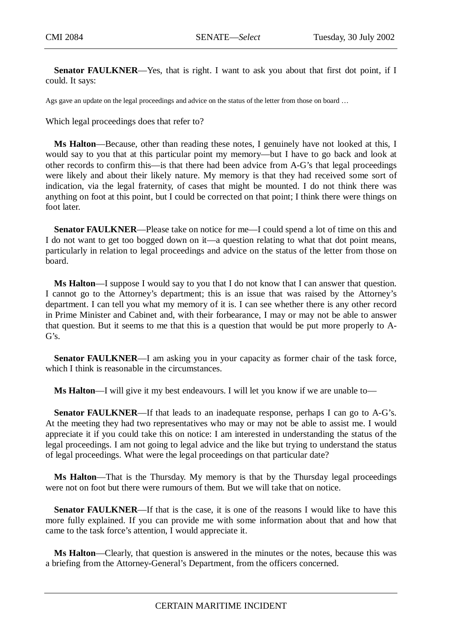Senator FAULKNER—Yes, that is right. I want to ask you about that first dot point, if I could. It says:

Ags gave an update on the legal proceedings and advice on the status of the letter from those on board …

Which legal proceedings does that refer to?

**Ms Halton**—Because, other than reading these notes, I genuinely have not looked at this, I would say to you that at this particular point my memory—but I have to go back and look at other records to confirm this—is that there had been advice from A-G's that legal proceedings were likely and about their likely nature. My memory is that they had received some sort of indication, via the legal fraternity, of cases that might be mounted. I do not think there was anything on foot at this point, but I could be corrected on that point; I think there were things on foot later.

**Senator FAULKNER**—Please take on notice for me—I could spend a lot of time on this and I do not want to get too bogged down on it—a question relating to what that dot point means, particularly in relation to legal proceedings and advice on the status of the letter from those on board.

**Ms Halton**—I suppose I would say to you that I do not know that I can answer that question. I cannot go to the Attorney's department; this is an issue that was raised by the Attorney's department. I can tell you what my memory of it is. I can see whether there is any other record in Prime Minister and Cabinet and, with their forbearance, I may or may not be able to answer that question. But it seems to me that this is a question that would be put more properly to A-G's.

**Senator FAULKNER—I** am asking you in your capacity as former chair of the task force, which I think is reasonable in the circumstances.

**Ms Halton**—I will give it my best endeavours. I will let you know if we are unable to—

**Senator FAULKNER—If that leads to an inadequate response, perhaps I can go to A-G's.** At the meeting they had two representatives who may or may not be able to assist me. I would appreciate it if you could take this on notice: I am interested in understanding the status of the legal proceedings. I am not going to legal advice and the like but trying to understand the status of legal proceedings. What were the legal proceedings on that particular date?

**Ms Halton**—That is the Thursday. My memory is that by the Thursday legal proceedings were not on foot but there were rumours of them. But we will take that on notice.

**Senator FAULKNER—If** that is the case, it is one of the reasons I would like to have this more fully explained. If you can provide me with some information about that and how that came to the task force's attention, I would appreciate it.

**Ms Halton**—Clearly, that question is answered in the minutes or the notes, because this was a briefing from the Attorney-General's Department, from the officers concerned.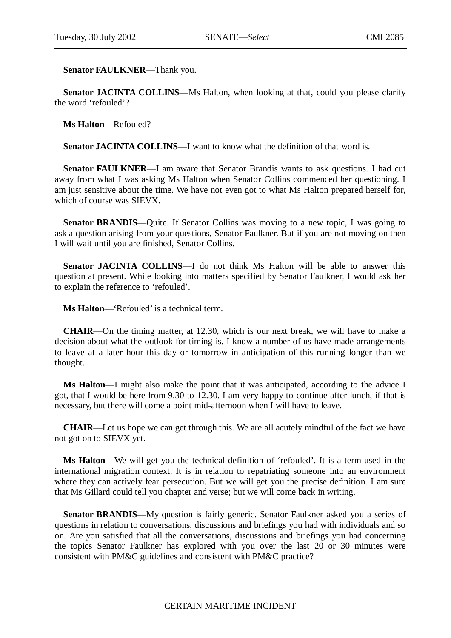**Senator FAULKNER**—Thank you.

**Senator JACINTA COLLINS—Ms** Halton, when looking at that, could you please clarify the word 'refouled'?

**Ms Halton**—Refouled?

**Senator JACINTA COLLINS—I** want to know what the definition of that word is.

**Senator FAULKNER**—I am aware that Senator Brandis wants to ask questions. I had cut away from what I was asking Ms Halton when Senator Collins commenced her questioning. I am just sensitive about the time. We have not even got to what Ms Halton prepared herself for, which of course was SIEVX.

**Senator BRANDIS**—Quite. If Senator Collins was moving to a new topic, I was going to ask a question arising from your questions, Senator Faulkner. But if you are not moving on then I will wait until you are finished, Senator Collins.

**Senator JACINTA COLLINS**—I do not think Ms Halton will be able to answer this question at present. While looking into matters specified by Senator Faulkner, I would ask her to explain the reference to 'refouled'.

**Ms Halton**—'Refouled' is a technical term.

**CHAIR**—On the timing matter, at 12.30, which is our next break, we will have to make a decision about what the outlook for timing is. I know a number of us have made arrangements to leave at a later hour this day or tomorrow in anticipation of this running longer than we thought.

**Ms Halton**—I might also make the point that it was anticipated, according to the advice I got, that I would be here from 9.30 to 12.30. I am very happy to continue after lunch, if that is necessary, but there will come a point mid-afternoon when I will have to leave.

**CHAIR**—Let us hope we can get through this. We are all acutely mindful of the fact we have not got on to SIEVX yet.

**Ms Halton**—We will get you the technical definition of 'refouled'. It is a term used in the international migration context. It is in relation to repatriating someone into an environment where they can actively fear persecution. But we will get you the precise definition. I am sure that Ms Gillard could tell you chapter and verse; but we will come back in writing.

**Senator BRANDIS**—My question is fairly generic. Senator Faulkner asked you a series of questions in relation to conversations, discussions and briefings you had with individuals and so on. Are you satisfied that all the conversations, discussions and briefings you had concerning the topics Senator Faulkner has explored with you over the last 20 or 30 minutes were consistent with PM&C guidelines and consistent with PM&C practice?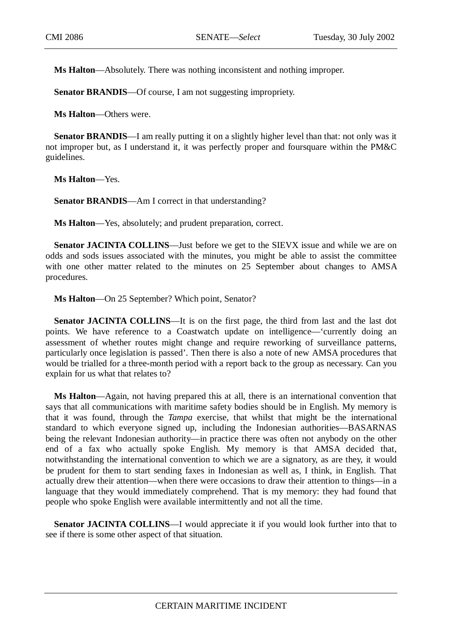**Ms Halton**—Absolutely. There was nothing inconsistent and nothing improper.

**Senator BRANDIS**—Of course, I am not suggesting impropriety.

**Ms Halton**—Others were.

**Senator BRANDIS**—I am really putting it on a slightly higher level than that: not only was it not improper but, as I understand it, it was perfectly proper and foursquare within the PM&C guidelines.

**Ms Halton**—Yes.

**Senator BRANDIS**—Am I correct in that understanding?

**Ms Halton**—Yes, absolutely; and prudent preparation, correct.

**Senator JACINTA COLLINS—Just before we get to the SIEVX issue and while we are on** odds and sods issues associated with the minutes, you might be able to assist the committee with one other matter related to the minutes on 25 September about changes to AMSA procedures.

**Ms Halton**—On 25 September? Which point, Senator?

**Senator JACINTA COLLINS**—It is on the first page, the third from last and the last dot points. We have reference to a Coastwatch update on intelligence—'currently doing an assessment of whether routes might change and require reworking of surveillance patterns, particularly once legislation is passed'. Then there is also a note of new AMSA procedures that would be trialled for a three-month period with a report back to the group as necessary. Can you explain for us what that relates to?

**Ms Halton**—Again, not having prepared this at all, there is an international convention that says that all communications with maritime safety bodies should be in English. My memory is that it was found, through the *Tampa* exercise, that whilst that might be the international standard to which everyone signed up, including the Indonesian authorities—BASARNAS being the relevant Indonesian authority—in practice there was often not anybody on the other end of a fax who actually spoke English. My memory is that AMSA decided that, notwithstanding the international convention to which we are a signatory, as are they, it would be prudent for them to start sending faxes in Indonesian as well as, I think, in English. That actually drew their attention—when there were occasions to draw their attention to things—in a language that they would immediately comprehend. That is my memory: they had found that people who spoke English were available intermittently and not all the time.

**Senator JACINTA COLLINS**—I would appreciate it if you would look further into that to see if there is some other aspect of that situation.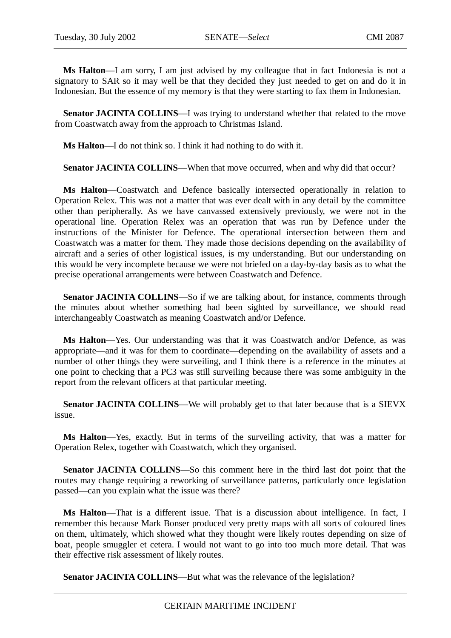**Ms Halton**—I am sorry, I am just advised by my colleague that in fact Indonesia is not a signatory to SAR so it may well be that they decided they just needed to get on and do it in Indonesian. But the essence of my memory is that they were starting to fax them in Indonesian.

**Senator JACINTA COLLINS**—I was trying to understand whether that related to the move from Coastwatch away from the approach to Christmas Island.

**Ms Halton**—I do not think so. I think it had nothing to do with it.

**Senator JACINTA COLLINS—When that move occurred, when and why did that occur?** 

**Ms Halton**—Coastwatch and Defence basically intersected operationally in relation to Operation Relex. This was not a matter that was ever dealt with in any detail by the committee other than peripherally. As we have canvassed extensively previously, we were not in the operational line. Operation Relex was an operation that was run by Defence under the instructions of the Minister for Defence. The operational intersection between them and Coastwatch was a matter for them. They made those decisions depending on the availability of aircraft and a series of other logistical issues, is my understanding. But our understanding on this would be very incomplete because we were not briefed on a day-by-day basis as to what the precise operational arrangements were between Coastwatch and Defence.

**Senator JACINTA COLLINS**—So if we are talking about, for instance, comments through the minutes about whether something had been sighted by surveillance, we should read interchangeably Coastwatch as meaning Coastwatch and/or Defence.

**Ms Halton**—Yes. Our understanding was that it was Coastwatch and/or Defence, as was appropriate—and it was for them to coordinate—depending on the availability of assets and a number of other things they were surveiling, and I think there is a reference in the minutes at one point to checking that a PC3 was still surveiling because there was some ambiguity in the report from the relevant officers at that particular meeting.

**Senator JACINTA COLLINS—We** will probably get to that later because that is a SIEVX issue.

**Ms Halton**—Yes, exactly. But in terms of the surveiling activity, that was a matter for Operation Relex, together with Coastwatch, which they organised.

**Senator JACINTA COLLINS**—So this comment here in the third last dot point that the routes may change requiring a reworking of surveillance patterns, particularly once legislation passed—can you explain what the issue was there?

**Ms Halton**—That is a different issue. That is a discussion about intelligence. In fact, I remember this because Mark Bonser produced very pretty maps with all sorts of coloured lines on them, ultimately, which showed what they thought were likely routes depending on size of boat, people smuggler et cetera. I would not want to go into too much more detail. That was their effective risk assessment of likely routes.

**Senator JACINTA COLLINS—But what was the relevance of the legislation?**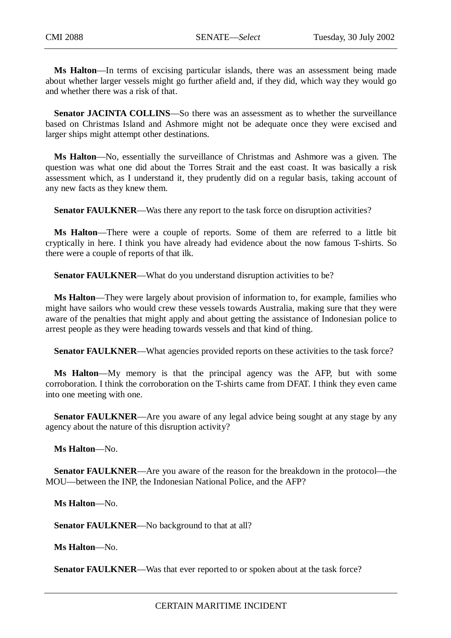**Ms Halton**—In terms of excising particular islands, there was an assessment being made about whether larger vessels might go further afield and, if they did, which way they would go and whether there was a risk of that.

**Senator JACINTA COLLINS**—So there was an assessment as to whether the surveillance based on Christmas Island and Ashmore might not be adequate once they were excised and larger ships might attempt other destinations.

**Ms Halton**—No, essentially the surveillance of Christmas and Ashmore was a given. The question was what one did about the Torres Strait and the east coast. It was basically a risk assessment which, as I understand it, they prudently did on a regular basis, taking account of any new facts as they knew them.

**Senator FAULKNER—Was there any report to the task force on disruption activities?** 

**Ms Halton**—There were a couple of reports. Some of them are referred to a little bit cryptically in here. I think you have already had evidence about the now famous T-shirts. So there were a couple of reports of that ilk.

**Senator FAULKNER—What do you understand disruption activities to be?** 

**Ms Halton**—They were largely about provision of information to, for example, families who might have sailors who would crew these vessels towards Australia, making sure that they were aware of the penalties that might apply and about getting the assistance of Indonesian police to arrest people as they were heading towards vessels and that kind of thing.

**Senator FAULKNER—What agencies provided reports on these activities to the task force?** 

**Ms Halton**—My memory is that the principal agency was the AFP, but with some corroboration. I think the corroboration on the T-shirts came from DFAT. I think they even came into one meeting with one.

**Senator FAULKNER—Are** you aware of any legal advice being sought at any stage by any agency about the nature of this disruption activity?

**Ms Halton**—No.

**Senator FAULKNER—Are you aware of the reason for the breakdown in the protocol—the** MOU—between the INP, the Indonesian National Police, and the AFP?

**Ms Halton**—No.

Senator FAULKNER-No background to that at all?

**Ms Halton**—No.

**Senator FAULKNER—Was that ever reported to or spoken about at the task force?**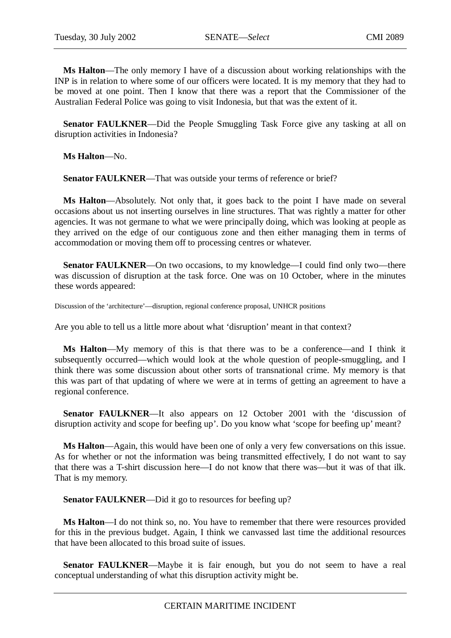**Ms Halton**—The only memory I have of a discussion about working relationships with the INP is in relation to where some of our officers were located. It is my memory that they had to be moved at one point. Then I know that there was a report that the Commissioner of the Australian Federal Police was going to visit Indonesia, but that was the extent of it.

**Senator FAULKNER—Did the People Smuggling Task Force give any tasking at all on** disruption activities in Indonesia?

**Ms Halton**—No.

Senator FAULKNER—That was outside your terms of reference or brief?

**Ms Halton**—Absolutely. Not only that, it goes back to the point I have made on several occasions about us not inserting ourselves in line structures. That was rightly a matter for other agencies. It was not germane to what we were principally doing, which was looking at people as they arrived on the edge of our contiguous zone and then either managing them in terms of accommodation or moving them off to processing centres or whatever.

**Senator FAULKNER—On** two occasions, to my knowledge—I could find only two—there was discussion of disruption at the task force. One was on 10 October, where in the minutes these words appeared:

Discussion of the 'architecture'—disruption, regional conference proposal, UNHCR positions

Are you able to tell us a little more about what 'disruption' meant in that context?

**Ms Halton**—My memory of this is that there was to be a conference—and I think it subsequently occurred—which would look at the whole question of people-smuggling, and I think there was some discussion about other sorts of transnational crime. My memory is that this was part of that updating of where we were at in terms of getting an agreement to have a regional conference.

**Senator FAULKNER—It** also appears on 12 October 2001 with the 'discussion of disruption activity and scope for beefing up'. Do you know what 'scope for beefing up' meant?

**Ms Halton**—Again, this would have been one of only a very few conversations on this issue. As for whether or not the information was being transmitted effectively, I do not want to say that there was a T-shirt discussion here—I do not know that there was—but it was of that ilk. That is my memory.

**Senator FAULKNER—Did** it go to resources for beefing up?

**Ms Halton**—I do not think so, no. You have to remember that there were resources provided for this in the previous budget. Again, I think we canvassed last time the additional resources that have been allocated to this broad suite of issues.

**Senator FAULKNER**—Maybe it is fair enough, but you do not seem to have a real conceptual understanding of what this disruption activity might be.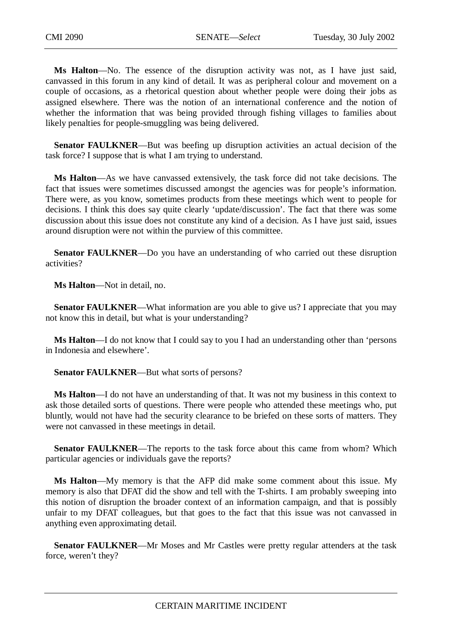**Ms Halton**—No. The essence of the disruption activity was not, as I have just said, canvassed in this forum in any kind of detail. It was as peripheral colour and movement on a couple of occasions, as a rhetorical question about whether people were doing their jobs as assigned elsewhere. There was the notion of an international conference and the notion of whether the information that was being provided through fishing villages to families about likely penalties for people-smuggling was being delivered.

**Senator FAULKNER—But** was beefing up disruption activities an actual decision of the task force? I suppose that is what I am trying to understand.

**Ms Halton**—As we have canvassed extensively, the task force did not take decisions. The fact that issues were sometimes discussed amongst the agencies was for people's information. There were, as you know, sometimes products from these meetings which went to people for decisions. I think this does say quite clearly 'update/discussion'. The fact that there was some discussion about this issue does not constitute any kind of a decision. As I have just said, issues around disruption were not within the purview of this committee.

**Senator FAULKNER**—Do you have an understanding of who carried out these disruption activities?

**Ms Halton**—Not in detail, no.

**Senator FAULKNER—What information are you able to give us? I appreciate that you may** not know this in detail, but what is your understanding?

**Ms Halton**—I do not know that I could say to you I had an understanding other than 'persons in Indonesia and elsewhere'.

**Senator FAULKNER**—But what sorts of persons?

**Ms Halton**—I do not have an understanding of that. It was not my business in this context to ask those detailed sorts of questions. There were people who attended these meetings who, put bluntly, would not have had the security clearance to be briefed on these sorts of matters. They were not canvassed in these meetings in detail.

**Senator FAULKNER**—The reports to the task force about this came from whom? Which particular agencies or individuals gave the reports?

**Ms Halton**—My memory is that the AFP did make some comment about this issue. My memory is also that DFAT did the show and tell with the T-shirts. I am probably sweeping into this notion of disruption the broader context of an information campaign, and that is possibly unfair to my DFAT colleagues, but that goes to the fact that this issue was not canvassed in anything even approximating detail.

**Senator FAULKNER**—Mr Moses and Mr Castles were pretty regular attenders at the task force, weren't they?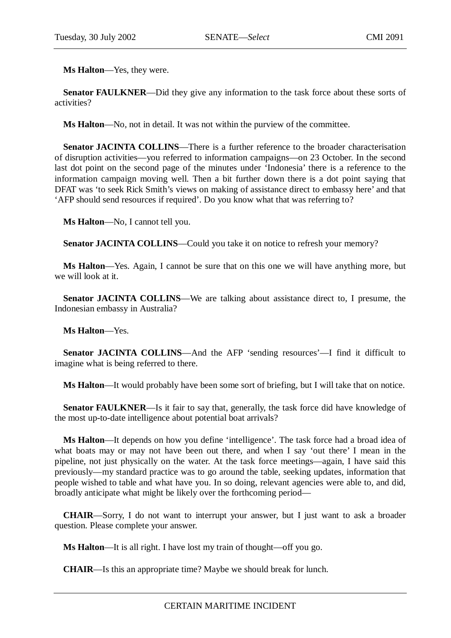**Ms Halton**—Yes, they were.

**Senator FAULKNER—Did they give any information to the task force about these sorts of** activities?

**Ms Halton**—No, not in detail. It was not within the purview of the committee.

**Senator JACINTA COLLINS**—There is a further reference to the broader characterisation of disruption activities—you referred to information campaigns—on 23 October. In the second last dot point on the second page of the minutes under 'Indonesia' there is a reference to the information campaign moving well. Then a bit further down there is a dot point saying that DFAT was 'to seek Rick Smith's views on making of assistance direct to embassy here' and that 'AFP should send resources if required'. Do you know what that was referring to?

**Ms Halton**—No, I cannot tell you.

Senator JACINTA COLLINS—Could you take it on notice to refresh your memory?

**Ms Halton**—Yes. Again, I cannot be sure that on this one we will have anything more, but we will look at it.

**Senator JACINTA COLLINS**—We are talking about assistance direct to, I presume, the Indonesian embassy in Australia?

**Ms Halton**—Yes.

**Senator JACINTA COLLINS**—And the AFP 'sending resources'—I find it difficult to imagine what is being referred to there.

**Ms Halton**—It would probably have been some sort of briefing, but I will take that on notice.

**Senator FAULKNER—Is** it fair to say that, generally, the task force did have knowledge of the most up-to-date intelligence about potential boat arrivals?

**Ms Halton**—It depends on how you define 'intelligence'. The task force had a broad idea of what boats may or may not have been out there, and when I say 'out there' I mean in the pipeline, not just physically on the water. At the task force meetings—again, I have said this previously—my standard practice was to go around the table, seeking updates, information that people wished to table and what have you. In so doing, relevant agencies were able to, and did, broadly anticipate what might be likely over the forthcoming period—

**CHAIR**—Sorry, I do not want to interrupt your answer, but I just want to ask a broader question. Please complete your answer.

**Ms Halton**—It is all right. I have lost my train of thought—off you go.

**CHAIR**—Is this an appropriate time? Maybe we should break for lunch.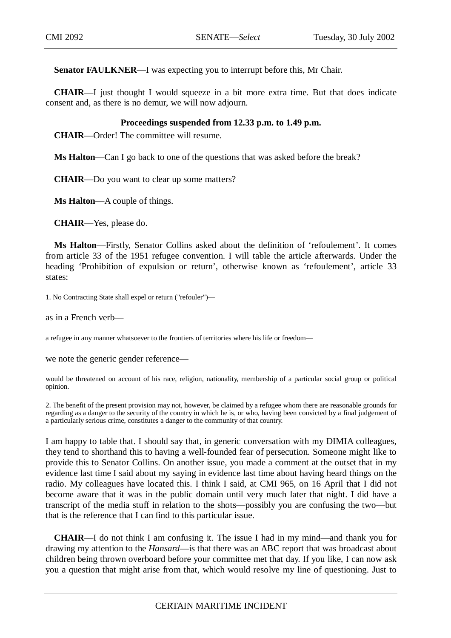**Senator FAULKNER—I** was expecting you to interrupt before this, Mr Chair.

**CHAIR**—I just thought I would squeeze in a bit more extra time. But that does indicate consent and, as there is no demur, we will now adjourn.

## **Proceedings suspended from 12.33 p.m. to 1.49 p.m.**

**CHAIR**—Order! The committee will resume.

**Ms Halton**—Can I go back to one of the questions that was asked before the break?

**CHAIR**—Do you want to clear up some matters?

**Ms Halton**—A couple of things.

**CHAIR**—Yes, please do.

**Ms Halton**—Firstly, Senator Collins asked about the definition of 'refoulement'. It comes from article 33 of the 1951 refugee convention. I will table the article afterwards. Under the heading 'Prohibition of expulsion or return', otherwise known as 'refoulement', article 33 states:

1. No Contracting State shall expel or return ("refouler")—

as in a French verb—

a refugee in any manner whatsoever to the frontiers of territories where his life or freedom—

we note the generic gender reference—

would be threatened on account of his race, religion, nationality, membership of a particular social group or political opinion.

2. The benefit of the present provision may not, however, be claimed by a refugee whom there are reasonable grounds for regarding as a danger to the security of the country in which he is, or who, having been convicted by a final judgement of a particularly serious crime, constitutes a danger to the community of that country.

I am happy to table that. I should say that, in generic conversation with my DIMIA colleagues, they tend to shorthand this to having a well-founded fear of persecution. Someone might like to provide this to Senator Collins. On another issue, you made a comment at the outset that in my evidence last time I said about my saying in evidence last time about having heard things on the radio. My colleagues have located this. I think I said, at CMI 965, on 16 April that I did not become aware that it was in the public domain until very much later that night. I did have a transcript of the media stuff in relation to the shots—possibly you are confusing the two—but that is the reference that I can find to this particular issue.

**CHAIR**—I do not think I am confusing it. The issue I had in my mind—and thank you for drawing my attention to the *Hansard*—is that there was an ABC report that was broadcast about children being thrown overboard before your committee met that day. If you like, I can now ask you a question that might arise from that, which would resolve my line of questioning. Just to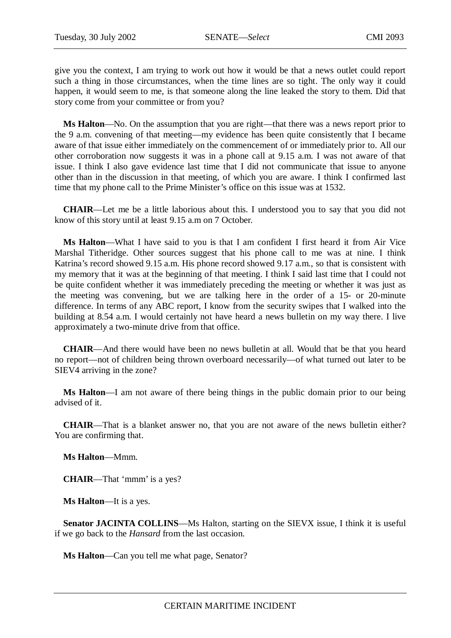give you the context, I am trying to work out how it would be that a news outlet could report such a thing in those circumstances, when the time lines are so tight. The only way it could happen, it would seem to me, is that someone along the line leaked the story to them. Did that story come from your committee or from you?

**Ms Halton**—No. On the assumption that you are right—that there was a news report prior to the 9 a.m. convening of that meeting—my evidence has been quite consistently that I became aware of that issue either immediately on the commencement of or immediately prior to. All our other corroboration now suggests it was in a phone call at 9.15 a.m. I was not aware of that issue. I think I also gave evidence last time that I did not communicate that issue to anyone other than in the discussion in that meeting, of which you are aware. I think I confirmed last time that my phone call to the Prime Minister's office on this issue was at 1532.

**CHAIR**—Let me be a little laborious about this. I understood you to say that you did not know of this story until at least 9.15 a.m on 7 October.

**Ms Halton**—What I have said to you is that I am confident I first heard it from Air Vice Marshal Titheridge. Other sources suggest that his phone call to me was at nine. I think Katrina's record showed 9.15 a.m. His phone record showed 9.17 a.m., so that is consistent with my memory that it was at the beginning of that meeting. I think I said last time that I could not be quite confident whether it was immediately preceding the meeting or whether it was just as the meeting was convening, but we are talking here in the order of a 15- or 20-minute difference. In terms of any ABC report, I know from the security swipes that I walked into the building at 8.54 a.m. I would certainly not have heard a news bulletin on my way there. I live approximately a two-minute drive from that office.

**CHAIR**—And there would have been no news bulletin at all. Would that be that you heard no report—not of children being thrown overboard necessarily—of what turned out later to be SIEV4 arriving in the zone?

**Ms Halton**—I am not aware of there being things in the public domain prior to our being advised of it.

**CHAIR**—That is a blanket answer no, that you are not aware of the news bulletin either? You are confirming that.

**Ms Halton**—Mmm.

**CHAIR**—That 'mmm' is a yes?

**Ms Halton**—It is a yes.

**Senator JACINTA COLLINS—Ms** Halton, starting on the SIEVX issue, I think it is useful if we go back to the *Hansard* from the last occasion.

**Ms Halton**—Can you tell me what page, Senator?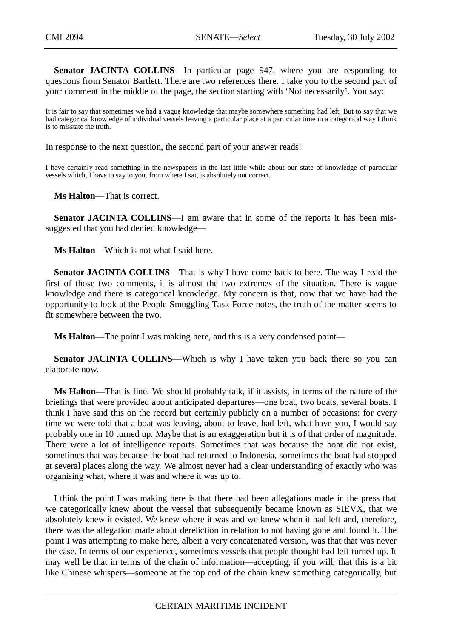**Senator JACINTA COLLINS**—In particular page 947, where you are responding to questions from Senator Bartlett. There are two references there. I take you to the second part of your comment in the middle of the page, the section starting with 'Not necessarily'. You say:

It is fair to say that sometimes we had a vague knowledge that maybe somewhere something had left. But to say that we had categorical knowledge of individual vessels leaving a particular place at a particular time in a categorical way I think is to misstate the truth.

In response to the next question, the second part of your answer reads:

I have certainly read something in the newspapers in the last little while about our state of knowledge of particular vessels which, I have to say to you, from where I sat, is absolutely not correct.

**Ms Halton**—That is correct.

Senator JACINTA COLLINS-I am aware that in some of the reports it has been missuggested that you had denied knowledge—

**Ms Halton**—Which is not what I said here.

**Senator JACINTA COLLINS**—That is why I have come back to here. The way I read the first of those two comments, it is almost the two extremes of the situation. There is vague knowledge and there is categorical knowledge. My concern is that, now that we have had the opportunity to look at the People Smuggling Task Force notes, the truth of the matter seems to fit somewhere between the two.

**Ms Halton**—The point I was making here, and this is a very condensed point—

**Senator JACINTA COLLINS—Which is why I have taken you back there so you can** elaborate now.

**Ms Halton**—That is fine. We should probably talk, if it assists, in terms of the nature of the briefings that were provided about anticipated departures—one boat, two boats, several boats. I think I have said this on the record but certainly publicly on a number of occasions: for every time we were told that a boat was leaving, about to leave, had left, what have you, I would say probably one in 10 turned up. Maybe that is an exaggeration but it is of that order of magnitude. There were a lot of intelligence reports. Sometimes that was because the boat did not exist, sometimes that was because the boat had returned to Indonesia, sometimes the boat had stopped at several places along the way. We almost never had a clear understanding of exactly who was organising what, where it was and where it was up to.

I think the point I was making here is that there had been allegations made in the press that we categorically knew about the vessel that subsequently became known as SIEVX, that we absolutely knew it existed. We knew where it was and we knew when it had left and, therefore, there was the allegation made about dereliction in relation to not having gone and found it. The point I was attempting to make here, albeit a very concatenated version, was that that was never the case. In terms of our experience, sometimes vessels that people thought had left turned up. It may well be that in terms of the chain of information—accepting, if you will, that this is a bit like Chinese whispers—someone at the top end of the chain knew something categorically, but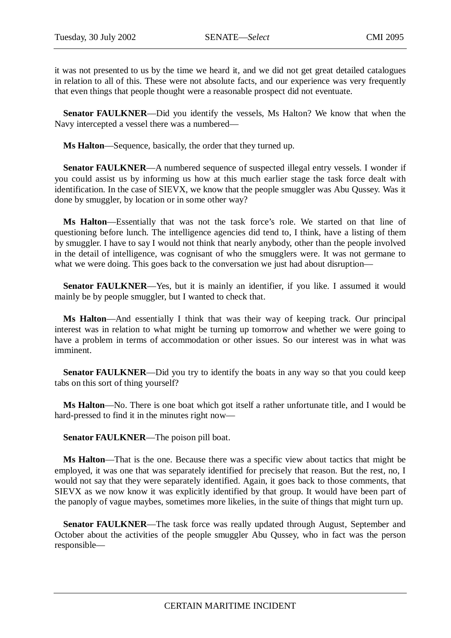it was not presented to us by the time we heard it, and we did not get great detailed catalogues in relation to all of this. These were not absolute facts, and our experience was very frequently that even things that people thought were a reasonable prospect did not eventuate.

**Senator FAULKNER—Did** you identify the vessels, Ms Halton? We know that when the Navy intercepted a vessel there was a numbered—

**Ms Halton**—Sequence, basically, the order that they turned up.

**Senator FAULKNER—A** numbered sequence of suspected illegal entry vessels. I wonder if you could assist us by informing us how at this much earlier stage the task force dealt with identification. In the case of SIEVX, we know that the people smuggler was Abu Qussey. Was it done by smuggler, by location or in some other way?

**Ms Halton**—Essentially that was not the task force's role. We started on that line of questioning before lunch. The intelligence agencies did tend to, I think, have a listing of them by smuggler. I have to say I would not think that nearly anybody, other than the people involved in the detail of intelligence, was cognisant of who the smugglers were. It was not germane to what we were doing. This goes back to the conversation we just had about disruption—

**Senator FAULKNER—Yes, but it is mainly an identifier, if you like. I assumed it would** mainly be by people smuggler, but I wanted to check that.

**Ms Halton**—And essentially I think that was their way of keeping track. Our principal interest was in relation to what might be turning up tomorrow and whether we were going to have a problem in terms of accommodation or other issues. So our interest was in what was imminent.

**Senator FAULKNER—Did** you try to identify the boats in any way so that you could keep tabs on this sort of thing yourself?

**Ms Halton**—No. There is one boat which got itself a rather unfortunate title, and I would be hard-pressed to find it in the minutes right now—

**Senator FAULKNER**—The poison pill boat.

**Ms Halton**—That is the one. Because there was a specific view about tactics that might be employed, it was one that was separately identified for precisely that reason. But the rest, no, I would not say that they were separately identified. Again, it goes back to those comments, that SIEVX as we now know it was explicitly identified by that group. It would have been part of the panoply of vague maybes, sometimes more likelies, in the suite of things that might turn up.

**Senator FAULKNER—The task force was really updated through August, September and** October about the activities of the people smuggler Abu Qussey, who in fact was the person responsible—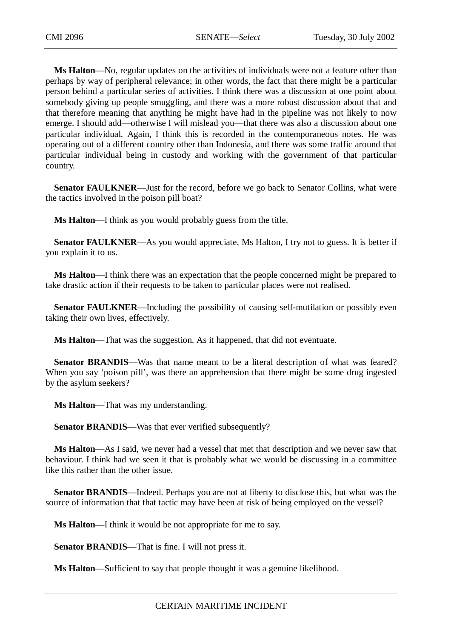**Ms Halton**—No, regular updates on the activities of individuals were not a feature other than perhaps by way of peripheral relevance; in other words, the fact that there might be a particular person behind a particular series of activities. I think there was a discussion at one point about somebody giving up people smuggling, and there was a more robust discussion about that and that therefore meaning that anything he might have had in the pipeline was not likely to now emerge. I should add—otherwise I will mislead you—that there was also a discussion about one particular individual. Again, I think this is recorded in the contemporaneous notes. He was operating out of a different country other than Indonesia, and there was some traffic around that particular individual being in custody and working with the government of that particular country.

**Senator FAULKNER—Just** for the record, before we go back to Senator Collins, what were the tactics involved in the poison pill boat?

**Ms Halton**—I think as you would probably guess from the title.

**Senator FAULKNER—As** you would appreciate, Ms Halton, I try not to guess. It is better if you explain it to us.

**Ms Halton**—I think there was an expectation that the people concerned might be prepared to take drastic action if their requests to be taken to particular places were not realised.

**Senator FAULKNER—Including the possibility of causing self-mutilation or possibly even** taking their own lives, effectively.

**Ms Halton**—That was the suggestion. As it happened, that did not eventuate.

**Senator BRANDIS—Was** that name meant to be a literal description of what was feared? When you say 'poison pill', was there an apprehension that there might be some drug ingested by the asylum seekers?

**Ms Halton**—That was my understanding.

**Senator BRANDIS—Was that ever verified subsequently?** 

**Ms Halton**—As I said, we never had a vessel that met that description and we never saw that behaviour. I think had we seen it that is probably what we would be discussing in a committee like this rather than the other issue.

**Senator BRANDIS**—Indeed. Perhaps you are not at liberty to disclose this, but what was the source of information that that tactic may have been at risk of being employed on the vessel?

**Ms Halton**—I think it would be not appropriate for me to say.

**Senator BRANDIS**—That is fine. I will not press it.

**Ms Halton**—Sufficient to say that people thought it was a genuine likelihood.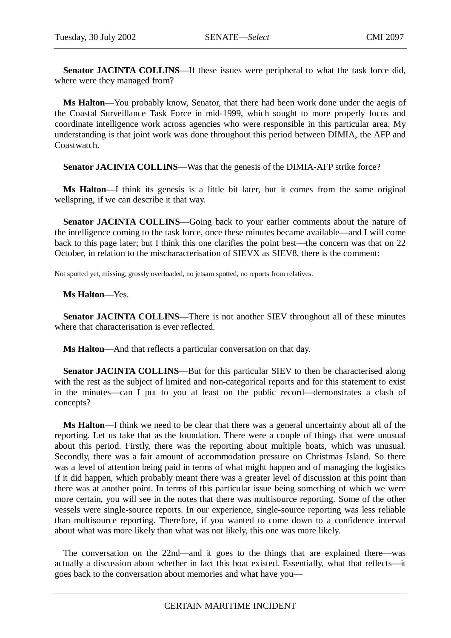Senator JACINTA COLLINS—If these issues were peripheral to what the task force did, where were they managed from?

**Ms Halton**—You probably know, Senator, that there had been work done under the aegis of the Coastal Surveillance Task Force in mid-1999, which sought to more properly focus and coordinate intelligence work across agencies who were responsible in this particular area. My understanding is that joint work was done throughout this period between DIMIA, the AFP and Coastwatch.

**Senator JACINTA COLLINS—Was that the genesis of the DIMIA-AFP strike force?** 

**Ms Halton**—I think its genesis is a little bit later, but it comes from the same original wellspring, if we can describe it that way.

Senator JACINTA COLLINS—Going back to your earlier comments about the nature of the intelligence coming to the task force, once these minutes became available—and I will come back to this page later; but I think this one clarifies the point best—the concern was that on 22 October, in relation to the mischaracterisation of SIEVX as SIEV8, there is the comment:

Not spotted yet, missing, grossly overloaded, no jetsam spotted, no reports from relatives.

## **Ms Halton**—Yes.

**Senator JACINTA COLLINS**—There is not another SIEV throughout all of these minutes where that characterisation is ever reflected.

**Ms Halton**—And that reflects a particular conversation on that day.

**Senator JACINTA COLLINS—But for this particular SIEV to then be characterised along** with the rest as the subject of limited and non-categorical reports and for this statement to exist in the minutes—can I put to you at least on the public record—demonstrates a clash of concepts?

**Ms Halton**—I think we need to be clear that there was a general uncertainty about all of the reporting. Let us take that as the foundation. There were a couple of things that were unusual about this period. Firstly, there was the reporting about multiple boats, which was unusual. Secondly, there was a fair amount of accommodation pressure on Christmas Island. So there was a level of attention being paid in terms of what might happen and of managing the logistics if it did happen, which probably meant there was a greater level of discussion at this point than there was at another point. In terms of this particular issue being something of which we were more certain, you will see in the notes that there was multisource reporting. Some of the other vessels were single-source reports. In our experience, single-source reporting was less reliable than multisource reporting. Therefore, if you wanted to come down to a confidence interval about what was more likely than what was not likely, this one was more likely.

The conversation on the 22nd—and it goes to the things that are explained there—was actually a discussion about whether in fact this boat existed. Essentially, what that reflects—it goes back to the conversation about memories and what have you—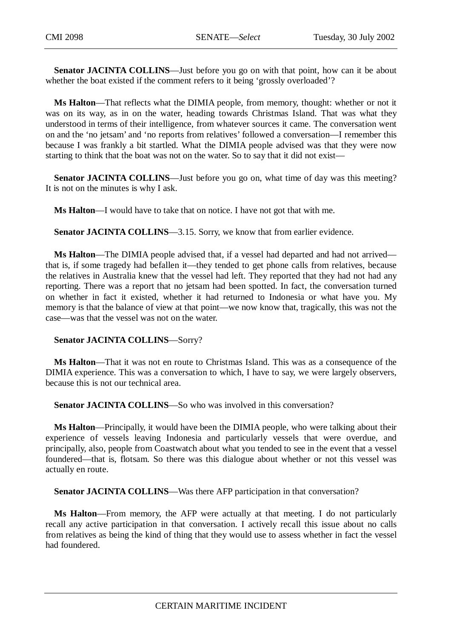**Senator JACINTA COLLINS**—Just before you go on with that point, how can it be about whether the boat existed if the comment refers to it being 'grossly overloaded'?

**Ms Halton**—That reflects what the DIMIA people, from memory, thought: whether or not it was on its way, as in on the water, heading towards Christmas Island. That was what they understood in terms of their intelligence, from whatever sources it came. The conversation went on and the 'no jetsam' and 'no reports from relatives' followed a conversation—I remember this because I was frankly a bit startled. What the DIMIA people advised was that they were now starting to think that the boat was not on the water. So to say that it did not exist—

**Senator JACINTA COLLINS—Just before you go on, what time of day was this meeting?** It is not on the minutes is why I ask.

**Ms Halton**—I would have to take that on notice. I have not got that with me.

**Senator JACINTA COLLINS**—3.15. Sorry, we know that from earlier evidence.

**Ms Halton**—The DIMIA people advised that, if a vessel had departed and had not arrived that is, if some tragedy had befallen it—they tended to get phone calls from relatives, because the relatives in Australia knew that the vessel had left. They reported that they had not had any reporting. There was a report that no jetsam had been spotted. In fact, the conversation turned on whether in fact it existed, whether it had returned to Indonesia or what have you. My memory is that the balance of view at that point—we now know that, tragically, this was not the case—was that the vessel was not on the water.

## **Senator JACINTA COLLINS**—Sorry?

**Ms Halton**—That it was not en route to Christmas Island. This was as a consequence of the DIMIA experience. This was a conversation to which, I have to say, we were largely observers, because this is not our technical area.

**Senator JACINTA COLLINS**—So who was involved in this conversation?

**Ms Halton**—Principally, it would have been the DIMIA people, who were talking about their experience of vessels leaving Indonesia and particularly vessels that were overdue, and principally, also, people from Coastwatch about what you tended to see in the event that a vessel foundered—that is, flotsam. So there was this dialogue about whether or not this vessel was actually en route.

**Senator JACINTA COLLINS—Was there AFP participation in that conversation?** 

**Ms Halton**—From memory, the AFP were actually at that meeting. I do not particularly recall any active participation in that conversation. I actively recall this issue about no calls from relatives as being the kind of thing that they would use to assess whether in fact the vessel had foundered.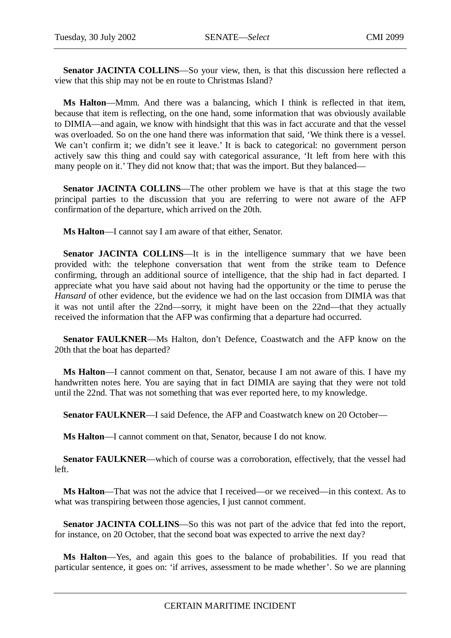Senator JACINTA COLLINS-So your view, then, is that this discussion here reflected a view that this ship may not be en route to Christmas Island?

**Ms Halton**—Mmm. And there was a balancing, which I think is reflected in that item, because that item is reflecting, on the one hand, some information that was obviously available to DIMIA—and again, we know with hindsight that this was in fact accurate and that the vessel was overloaded. So on the one hand there was information that said, 'We think there is a vessel. We can't confirm it; we didn't see it leave.' It is back to categorical: no government person actively saw this thing and could say with categorical assurance, 'It left from here with this many people on it.' They did not know that; that was the import. But they balanced—

**Senator JACINTA COLLINS**—The other problem we have is that at this stage the two principal parties to the discussion that you are referring to were not aware of the AFP confirmation of the departure, which arrived on the 20th.

**Ms Halton**—I cannot say I am aware of that either, Senator.

**Senator JACINTA COLLINS—It** is in the intelligence summary that we have been provided with: the telephone conversation that went from the strike team to Defence confirming, through an additional source of intelligence, that the ship had in fact departed. I appreciate what you have said about not having had the opportunity or the time to peruse the *Hansard* of other evidence, but the evidence we had on the last occasion from DIMIA was that it was not until after the 22nd—sorry, it might have been on the 22nd—that they actually received the information that the AFP was confirming that a departure had occurred.

**Senator FAULKNER—Ms** Halton, don't Defence, Coastwatch and the AFP know on the 20th that the boat has departed?

**Ms Halton**—I cannot comment on that, Senator, because I am not aware of this. I have my handwritten notes here. You are saying that in fact DIMIA are saying that they were not told until the 22nd. That was not something that was ever reported here, to my knowledge.

**Senator FAULKNER**—I said Defence, the AFP and Coastwatch knew on 20 October—

**Ms Halton**—I cannot comment on that, Senator, because I do not know.

**Senator FAULKNER—which of course was a corroboration, effectively, that the vessel had** left.

**Ms Halton**—That was not the advice that I received—or we received—in this context. As to what was transpiring between those agencies, I just cannot comment.

**Senator JACINTA COLLINS**—So this was not part of the advice that fed into the report, for instance, on 20 October, that the second boat was expected to arrive the next day?

**Ms Halton**—Yes, and again this goes to the balance of probabilities. If you read that particular sentence, it goes on: 'if arrives, assessment to be made whether'. So we are planning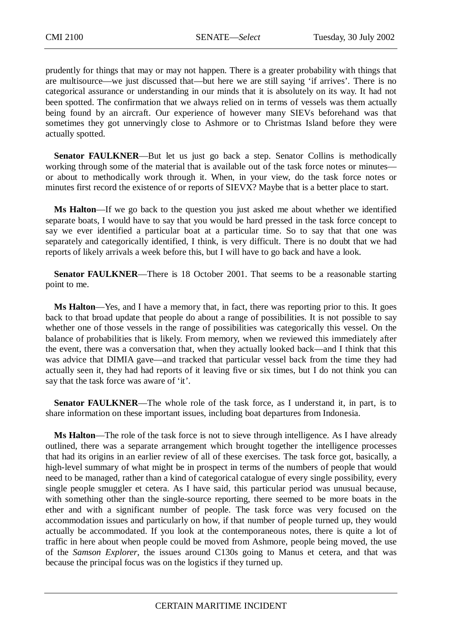prudently for things that may or may not happen. There is a greater probability with things that are multisource—we just discussed that—but here we are still saying 'if arrives'. There is no categorical assurance or understanding in our minds that it is absolutely on its way. It had not been spotted. The confirmation that we always relied on in terms of vessels was them actually being found by an aircraft. Our experience of however many SIEVs beforehand was that sometimes they got unnervingly close to Ashmore or to Christmas Island before they were actually spotted.

**Senator FAULKNER—But let us just go back a step. Senator Collins is methodically** working through some of the material that is available out of the task force notes or minutes or about to methodically work through it. When, in your view, do the task force notes or minutes first record the existence of or reports of SIEVX? Maybe that is a better place to start.

**Ms Halton**—If we go back to the question you just asked me about whether we identified separate boats, I would have to say that you would be hard pressed in the task force concept to say we ever identified a particular boat at a particular time. So to say that that one was separately and categorically identified, I think, is very difficult. There is no doubt that we had reports of likely arrivals a week before this, but I will have to go back and have a look.

**Senator FAULKNER—There is 18 October 2001. That seems to be a reasonable starting** point to me.

**Ms Halton**—Yes, and I have a memory that, in fact, there was reporting prior to this. It goes back to that broad update that people do about a range of possibilities. It is not possible to say whether one of those vessels in the range of possibilities was categorically this vessel. On the balance of probabilities that is likely. From memory, when we reviewed this immediately after the event, there was a conversation that, when they actually looked back—and I think that this was advice that DIMIA gave—and tracked that particular vessel back from the time they had actually seen it, they had had reports of it leaving five or six times, but I do not think you can say that the task force was aware of 'it'.

**Senator FAULKNER—The whole role of the task force, as I understand it, in part, is to** share information on these important issues, including boat departures from Indonesia.

**Ms Halton**—The role of the task force is not to sieve through intelligence. As I have already outlined, there was a separate arrangement which brought together the intelligence processes that had its origins in an earlier review of all of these exercises. The task force got, basically, a high-level summary of what might be in prospect in terms of the numbers of people that would need to be managed, rather than a kind of categorical catalogue of every single possibility, every single people smuggler et cetera. As I have said, this particular period was unusual because, with something other than the single-source reporting, there seemed to be more boats in the ether and with a significant number of people. The task force was very focused on the accommodation issues and particularly on how, if that number of people turned up, they would actually be accommodated. If you look at the contemporaneous notes, there is quite a lot of traffic in here about when people could be moved from Ashmore, people being moved, the use of the *Samson Explorer*, the issues around C130s going to Manus et cetera, and that was because the principal focus was on the logistics if they turned up.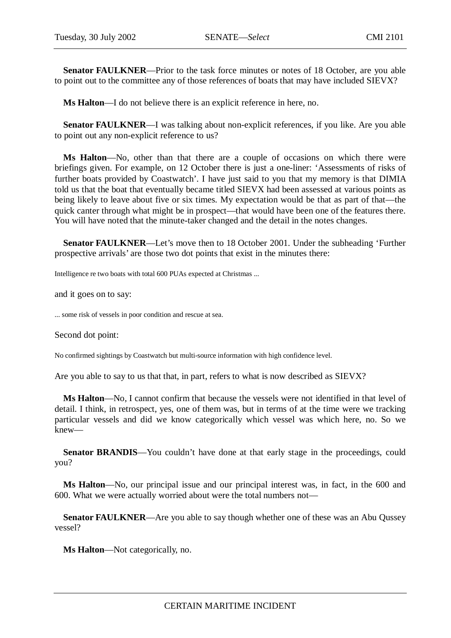**Senator FAULKNER**—Prior to the task force minutes or notes of 18 October, are you able to point out to the committee any of those references of boats that may have included SIEVX?

**Ms Halton**—I do not believe there is an explicit reference in here, no.

**Senator FAULKNER—I** was talking about non-explicit references, if you like. Are you able to point out any non-explicit reference to us?

**Ms Halton**—No, other than that there are a couple of occasions on which there were briefings given. For example, on 12 October there is just a one-liner: 'Assessments of risks of further boats provided by Coastwatch'. I have just said to you that my memory is that DIMIA told us that the boat that eventually became titled SIEVX had been assessed at various points as being likely to leave about five or six times. My expectation would be that as part of that—the quick canter through what might be in prospect—that would have been one of the features there. You will have noted that the minute-taker changed and the detail in the notes changes.

**Senator FAULKNER**—Let's move then to 18 October 2001. Under the subheading 'Further prospective arrivals' are those two dot points that exist in the minutes there:

Intelligence re two boats with total 600 PUAs expected at Christmas ...

and it goes on to say:

... some risk of vessels in poor condition and rescue at sea.

Second dot point:

No confirmed sightings by Coastwatch but multi-source information with high confidence level.

Are you able to say to us that that, in part, refers to what is now described as SIEVX?

**Ms Halton**—No, I cannot confirm that because the vessels were not identified in that level of detail. I think, in retrospect, yes, one of them was, but in terms of at the time were we tracking particular vessels and did we know categorically which vessel was which here, no. So we knew—

**Senator BRANDIS**—You couldn't have done at that early stage in the proceedings, could you?

**Ms Halton**—No, our principal issue and our principal interest was, in fact, in the 600 and 600. What we were actually worried about were the total numbers not—

**Senator FAULKNER**—Are you able to say though whether one of these was an Abu Qussey vessel?

**Ms Halton**—Not categorically, no.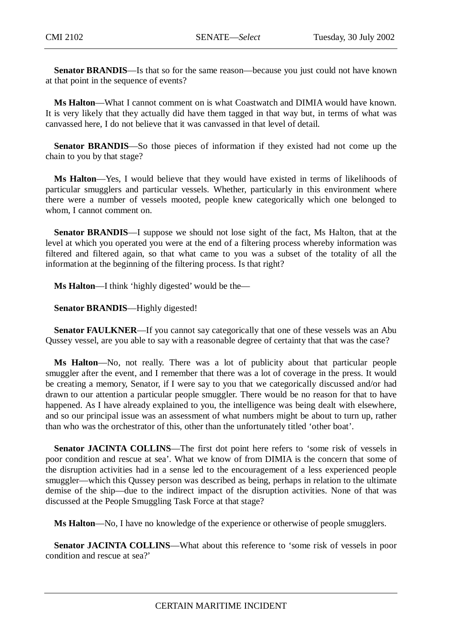**Senator BRANDIS**—Is that so for the same reason—because you just could not have known at that point in the sequence of events?

**Ms Halton**—What I cannot comment on is what Coastwatch and DIMIA would have known. It is very likely that they actually did have them tagged in that way but, in terms of what was canvassed here, I do not believe that it was canvassed in that level of detail.

**Senator BRANDIS**—So those pieces of information if they existed had not come up the chain to you by that stage?

**Ms Halton**—Yes, I would believe that they would have existed in terms of likelihoods of particular smugglers and particular vessels. Whether, particularly in this environment where there were a number of vessels mooted, people knew categorically which one belonged to whom, I cannot comment on.

**Senator BRANDIS**—I suppose we should not lose sight of the fact, Ms Halton, that at the level at which you operated you were at the end of a filtering process whereby information was filtered and filtered again, so that what came to you was a subset of the totality of all the information at the beginning of the filtering process. Is that right?

**Ms Halton**—I think 'highly digested' would be the—

**Senator BRANDIS**—Highly digested!

**Senator FAULKNER—If** you cannot say categorically that one of these vessels was an Abu Qussey vessel, are you able to say with a reasonable degree of certainty that that was the case?

**Ms Halton**—No, not really. There was a lot of publicity about that particular people smuggler after the event, and I remember that there was a lot of coverage in the press. It would be creating a memory, Senator, if I were say to you that we categorically discussed and/or had drawn to our attention a particular people smuggler. There would be no reason for that to have happened. As I have already explained to you, the intelligence was being dealt with elsewhere, and so our principal issue was an assessment of what numbers might be about to turn up, rather than who was the orchestrator of this, other than the unfortunately titled 'other boat'.

**Senator JACINTA COLLINS—The first dot point here refers to 'some risk of vessels in** poor condition and rescue at sea'. What we know of from DIMIA is the concern that some of the disruption activities had in a sense led to the encouragement of a less experienced people smuggler—which this Qussey person was described as being, perhaps in relation to the ultimate demise of the ship—due to the indirect impact of the disruption activities. None of that was discussed at the People Smuggling Task Force at that stage?

**Ms Halton**—No, I have no knowledge of the experience or otherwise of people smugglers.

**Senator JACINTA COLLINS—What about this reference to 'some risk of vessels in poor** condition and rescue at sea?'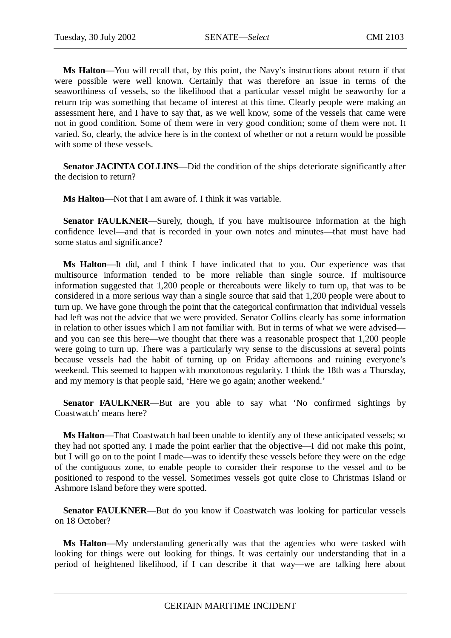**Ms Halton**—You will recall that, by this point, the Navy's instructions about return if that were possible were well known. Certainly that was therefore an issue in terms of the seaworthiness of vessels, so the likelihood that a particular vessel might be seaworthy for a return trip was something that became of interest at this time. Clearly people were making an assessment here, and I have to say that, as we well know, some of the vessels that came were not in good condition. Some of them were in very good condition; some of them were not. It varied. So, clearly, the advice here is in the context of whether or not a return would be possible with some of these vessels.

**Senator JACINTA COLLINS—Did the condition of the ships deteriorate significantly after** the decision to return?

**Ms Halton**—Not that I am aware of. I think it was variable.

**Senator FAULKNER**—Surely, though, if you have multisource information at the high confidence level—and that is recorded in your own notes and minutes—that must have had some status and significance?

**Ms Halton**—It did, and I think I have indicated that to you. Our experience was that multisource information tended to be more reliable than single source. If multisource information suggested that 1,200 people or thereabouts were likely to turn up, that was to be considered in a more serious way than a single source that said that 1,200 people were about to turn up. We have gone through the point that the categorical confirmation that individual vessels had left was not the advice that we were provided. Senator Collins clearly has some information in relation to other issues which I am not familiar with. But in terms of what we were advised and you can see this here—we thought that there was a reasonable prospect that 1,200 people were going to turn up. There was a particularly wry sense to the discussions at several points because vessels had the habit of turning up on Friday afternoons and ruining everyone's weekend. This seemed to happen with monotonous regularity. I think the 18th was a Thursday, and my memory is that people said, 'Here we go again; another weekend.'

**Senator FAULKNER**—But are you able to say what 'No confirmed sightings by Coastwatch' means here?

**Ms Halton**—That Coastwatch had been unable to identify any of these anticipated vessels; so they had not spotted any. I made the point earlier that the objective—I did not make this point, but I will go on to the point I made—was to identify these vessels before they were on the edge of the contiguous zone, to enable people to consider their response to the vessel and to be positioned to respond to the vessel. Sometimes vessels got quite close to Christmas Island or Ashmore Island before they were spotted.

**Senator FAULKNER—But do you know if Coastwatch was looking for particular vessels** on 18 October?

**Ms Halton**—My understanding generically was that the agencies who were tasked with looking for things were out looking for things. It was certainly our understanding that in a period of heightened likelihood, if I can describe it that way—we are talking here about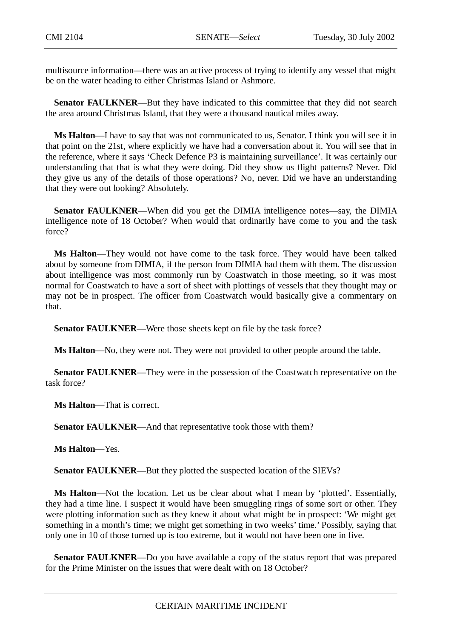multisource information—there was an active process of trying to identify any vessel that might be on the water heading to either Christmas Island or Ashmore.

**Senator FAULKNER**—But they have indicated to this committee that they did not search the area around Christmas Island, that they were a thousand nautical miles away.

**Ms Halton**—I have to say that was not communicated to us, Senator. I think you will see it in that point on the 21st, where explicitly we have had a conversation about it. You will see that in the reference, where it says 'Check Defence P3 is maintaining surveillance'. It was certainly our understanding that that is what they were doing. Did they show us flight patterns? Never. Did they give us any of the details of those operations? No, never. Did we have an understanding that they were out looking? Absolutely.

**Senator FAULKNER**—When did you get the DIMIA intelligence notes—say, the DIMIA intelligence note of 18 October? When would that ordinarily have come to you and the task force?

**Ms Halton**—They would not have come to the task force. They would have been talked about by someone from DIMIA, if the person from DIMIA had them with them. The discussion about intelligence was most commonly run by Coastwatch in those meeting, so it was most normal for Coastwatch to have a sort of sheet with plottings of vessels that they thought may or may not be in prospect. The officer from Coastwatch would basically give a commentary on that.

**Senator FAULKNER—Were those sheets kept on file by the task force?** 

**Ms Halton**—No, they were not. They were not provided to other people around the table.

**Senator FAULKNER—They were in the possession of the Coastwatch representative on the** task force?

**Ms Halton**—That is correct.

**Senator FAULKNER**—And that representative took those with them?

**Ms Halton**—Yes.

**Senator FAULKNER**—But they plotted the suspected location of the SIEVs?

**Ms Halton**—Not the location. Let us be clear about what I mean by 'plotted'. Essentially, they had a time line. I suspect it would have been smuggling rings of some sort or other. They were plotting information such as they knew it about what might be in prospect: 'We might get something in a month's time; we might get something in two weeks' time.' Possibly, saying that only one in 10 of those turned up is too extreme, but it would not have been one in five.

**Senator FAULKNER**—Do you have available a copy of the status report that was prepared for the Prime Minister on the issues that were dealt with on 18 October?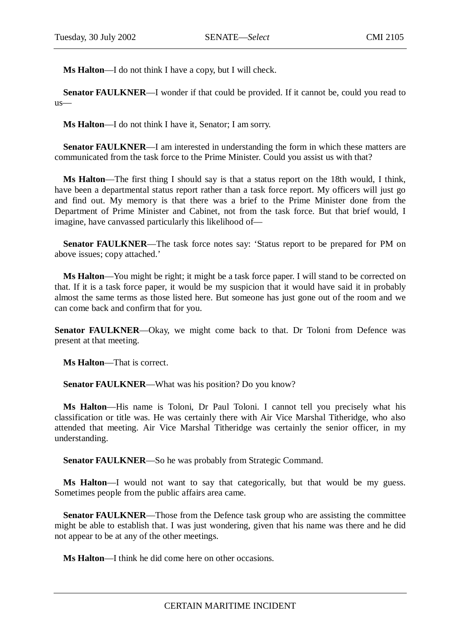**Ms Halton**—I do not think I have a copy, but I will check.

**Senator FAULKNER—I** wonder if that could be provided. If it cannot be, could you read to us—

**Ms Halton**—I do not think I have it, Senator; I am sorry.

**Senator FAULKNER**—I am interested in understanding the form in which these matters are communicated from the task force to the Prime Minister. Could you assist us with that?

**Ms Halton**—The first thing I should say is that a status report on the 18th would, I think, have been a departmental status report rather than a task force report. My officers will just go and find out. My memory is that there was a brief to the Prime Minister done from the Department of Prime Minister and Cabinet, not from the task force. But that brief would, I imagine, have canvassed particularly this likelihood of—

**Senator FAULKNER—The task force notes say: 'Status report to be prepared for PM on** above issues; copy attached.'

**Ms Halton**—You might be right; it might be a task force paper. I will stand to be corrected on that. If it is a task force paper, it would be my suspicion that it would have said it in probably almost the same terms as those listed here. But someone has just gone out of the room and we can come back and confirm that for you.

**Senator FAULKNER—Okay, we might come back to that. Dr Toloni from Defence was** present at that meeting.

**Ms Halton**—That is correct.

**Senator FAULKNER**—What was his position? Do you know?

**Ms Halton**—His name is Toloni, Dr Paul Toloni. I cannot tell you precisely what his classification or title was. He was certainly there with Air Vice Marshal Titheridge, who also attended that meeting. Air Vice Marshal Titheridge was certainly the senior officer, in my understanding.

**Senator FAULKNER—So he was probably from Strategic Command.** 

**Ms Halton**—I would not want to say that categorically, but that would be my guess. Sometimes people from the public affairs area came.

**Senator FAULKNER—Those from the Defence task group who are assisting the committee** might be able to establish that. I was just wondering, given that his name was there and he did not appear to be at any of the other meetings.

**Ms Halton**—I think he did come here on other occasions.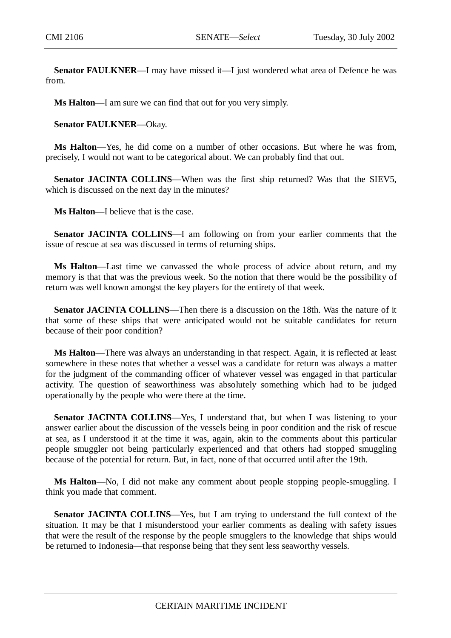**Senator FAULKNER—I** may have missed it—I just wondered what area of Defence he was from.

**Ms Halton**—I am sure we can find that out for you very simply.

**Senator FAULKNER**—Okay.

**Ms Halton**—Yes, he did come on a number of other occasions. But where he was from, precisely, I would not want to be categorical about. We can probably find that out.

Senator JACINTA COLLINS—When was the first ship returned? Was that the SIEV5, which is discussed on the next day in the minutes?

**Ms Halton**—I believe that is the case.

**Senator JACINTA COLLINS**—I am following on from your earlier comments that the issue of rescue at sea was discussed in terms of returning ships.

**Ms Halton**—Last time we canvassed the whole process of advice about return, and my memory is that that was the previous week. So the notion that there would be the possibility of return was well known amongst the key players for the entirety of that week.

**Senator JACINTA COLLINS—Then there is a discussion on the 18th. Was the nature of it** that some of these ships that were anticipated would not be suitable candidates for return because of their poor condition?

**Ms Halton**—There was always an understanding in that respect. Again, it is reflected at least somewhere in these notes that whether a vessel was a candidate for return was always a matter for the judgment of the commanding officer of whatever vessel was engaged in that particular activity. The question of seaworthiness was absolutely something which had to be judged operationally by the people who were there at the time.

**Senator JACINTA COLLINS**—Yes, I understand that, but when I was listening to your answer earlier about the discussion of the vessels being in poor condition and the risk of rescue at sea, as I understood it at the time it was, again, akin to the comments about this particular people smuggler not being particularly experienced and that others had stopped smuggling because of the potential for return. But, in fact, none of that occurred until after the 19th.

**Ms Halton**—No, I did not make any comment about people stopping people-smuggling. I think you made that comment.

**Senator JACINTA COLLINS—Yes, but I am trying to understand the full context of the** situation. It may be that I misunderstood your earlier comments as dealing with safety issues that were the result of the response by the people smugglers to the knowledge that ships would be returned to Indonesia—that response being that they sent less seaworthy vessels.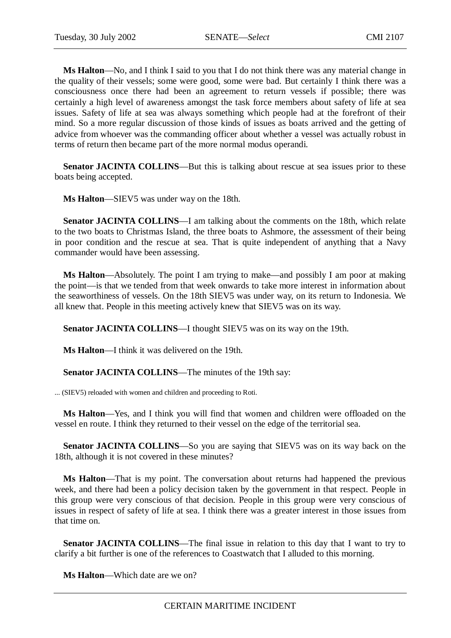**Ms Halton**—No, and I think I said to you that I do not think there was any material change in the quality of their vessels; some were good, some were bad. But certainly I think there was a consciousness once there had been an agreement to return vessels if possible; there was certainly a high level of awareness amongst the task force members about safety of life at sea issues. Safety of life at sea was always something which people had at the forefront of their mind. So a more regular discussion of those kinds of issues as boats arrived and the getting of advice from whoever was the commanding officer about whether a vessel was actually robust in terms of return then became part of the more normal modus operandi.

**Senator JACINTA COLLINS—But this is talking about rescue at sea issues prior to these** boats being accepted.

**Ms Halton**—SIEV5 was under way on the 18th.

**Senator JACINTA COLLINS**—I am talking about the comments on the 18th, which relate to the two boats to Christmas Island, the three boats to Ashmore, the assessment of their being in poor condition and the rescue at sea. That is quite independent of anything that a Navy commander would have been assessing.

**Ms Halton**—Absolutely. The point I am trying to make—and possibly I am poor at making the point—is that we tended from that week onwards to take more interest in information about the seaworthiness of vessels. On the 18th SIEV5 was under way, on its return to Indonesia. We all knew that. People in this meeting actively knew that SIEV5 was on its way.

**Senator JACINTA COLLINS**—I thought SIEV5 was on its way on the 19th.

**Ms Halton**—I think it was delivered on the 19th.

**Senator JACINTA COLLINS**—The minutes of the 19th say:

... (SIEV5) reloaded with women and children and proceeding to Roti.

**Ms Halton**—Yes, and I think you will find that women and children were offloaded on the vessel en route. I think they returned to their vessel on the edge of the territorial sea.

**Senator JACINTA COLLINS**—So you are saying that SIEV5 was on its way back on the 18th, although it is not covered in these minutes?

**Ms Halton**—That is my point. The conversation about returns had happened the previous week, and there had been a policy decision taken by the government in that respect. People in this group were very conscious of that decision. People in this group were very conscious of issues in respect of safety of life at sea. I think there was a greater interest in those issues from that time on.

**Senator JACINTA COLLINS—The final issue in relation to this day that I want to try to** clarify a bit further is one of the references to Coastwatch that I alluded to this morning.

**Ms Halton**—Which date are we on?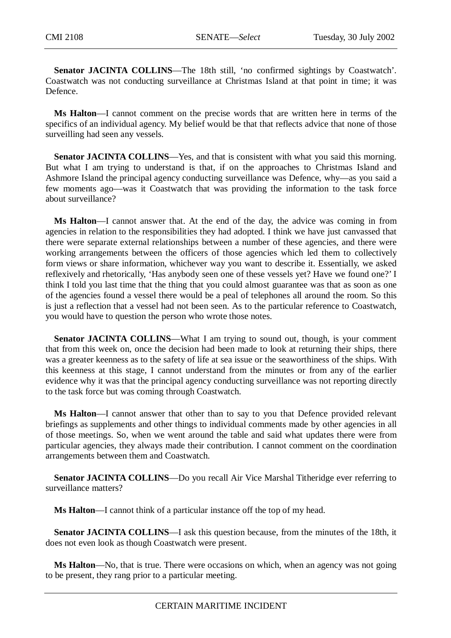Senator JACINTA COLLINS—The 18th still, 'no confirmed sightings by Coastwatch'. Coastwatch was not conducting surveillance at Christmas Island at that point in time; it was Defence.

**Ms Halton**—I cannot comment on the precise words that are written here in terms of the specifics of an individual agency. My belief would be that that reflects advice that none of those surveilling had seen any vessels.

**Senator JACINTA COLLINS**—Yes, and that is consistent with what you said this morning. But what I am trying to understand is that, if on the approaches to Christmas Island and Ashmore Island the principal agency conducting surveillance was Defence, why—as you said a few moments ago—was it Coastwatch that was providing the information to the task force about surveillance?

**Ms Halton**—I cannot answer that. At the end of the day, the advice was coming in from agencies in relation to the responsibilities they had adopted. I think we have just canvassed that there were separate external relationships between a number of these agencies, and there were working arrangements between the officers of those agencies which led them to collectively form views or share information, whichever way you want to describe it. Essentially, we asked reflexively and rhetorically, 'Has anybody seen one of these vessels yet? Have we found one?' I think I told you last time that the thing that you could almost guarantee was that as soon as one of the agencies found a vessel there would be a peal of telephones all around the room. So this is just a reflection that a vessel had not been seen. As to the particular reference to Coastwatch, you would have to question the person who wrote those notes.

**Senator JACINTA COLLINS—What I am trying to sound out, though, is your comment** that from this week on, once the decision had been made to look at returning their ships, there was a greater keenness as to the safety of life at sea issue or the seaworthiness of the ships. With this keenness at this stage, I cannot understand from the minutes or from any of the earlier evidence why it was that the principal agency conducting surveillance was not reporting directly to the task force but was coming through Coastwatch.

**Ms Halton**—I cannot answer that other than to say to you that Defence provided relevant briefings as supplements and other things to individual comments made by other agencies in all of those meetings. So, when we went around the table and said what updates there were from particular agencies, they always made their contribution. I cannot comment on the coordination arrangements between them and Coastwatch.

**Senator JACINTA COLLINS**—Do you recall Air Vice Marshal Titheridge ever referring to surveillance matters?

**Ms Halton**—I cannot think of a particular instance off the top of my head.

**Senator JACINTA COLLINS**—I ask this question because, from the minutes of the 18th, it does not even look as though Coastwatch were present.

**Ms Halton**—No, that is true. There were occasions on which, when an agency was not going to be present, they rang prior to a particular meeting.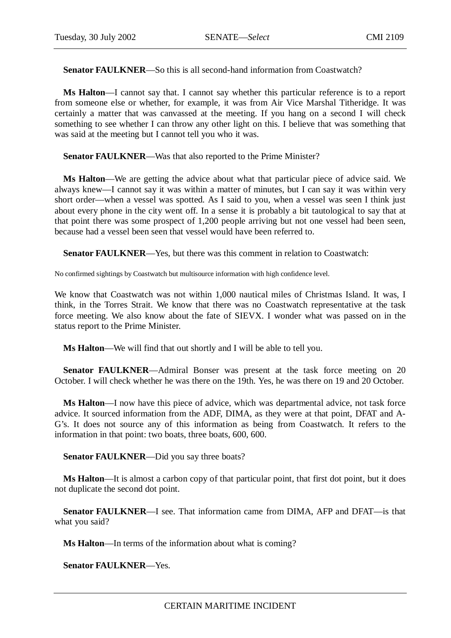**Senator FAULKNER—So this is all second-hand information from Coastwatch?** 

**Ms Halton**—I cannot say that. I cannot say whether this particular reference is to a report from someone else or whether, for example, it was from Air Vice Marshal Titheridge. It was certainly a matter that was canvassed at the meeting. If you hang on a second I will check something to see whether I can throw any other light on this. I believe that was something that was said at the meeting but I cannot tell you who it was.

**Senator FAULKNER**—Was that also reported to the Prime Minister?

**Ms Halton**—We are getting the advice about what that particular piece of advice said. We always knew—I cannot say it was within a matter of minutes, but I can say it was within very short order—when a vessel was spotted. As I said to you, when a vessel was seen I think just about every phone in the city went off. In a sense it is probably a bit tautological to say that at that point there was some prospect of 1,200 people arriving but not one vessel had been seen, because had a vessel been seen that vessel would have been referred to.

**Senator FAULKNER**—Yes, but there was this comment in relation to Coastwatch:

No confirmed sightings by Coastwatch but multisource information with high confidence level.

We know that Coastwatch was not within 1,000 nautical miles of Christmas Island. It was, I think, in the Torres Strait. We know that there was no Coastwatch representative at the task force meeting. We also know about the fate of SIEVX. I wonder what was passed on in the status report to the Prime Minister.

**Ms Halton**—We will find that out shortly and I will be able to tell you.

**Senator FAULKNER—Admiral Bonser was present at the task force meeting on 20** October. I will check whether he was there on the 19th. Yes, he was there on 19 and 20 October.

**Ms Halton**—I now have this piece of advice, which was departmental advice, not task force advice. It sourced information from the ADF, DIMA, as they were at that point, DFAT and A-G's. It does not source any of this information as being from Coastwatch. It refers to the information in that point: two boats, three boats, 600, 600.

**Senator FAULKNER—Did you say three boats?** 

**Ms Halton**—It is almost a carbon copy of that particular point, that first dot point, but it does not duplicate the second dot point.

**Senator FAULKNER**—I see. That information came from DIMA, AFP and DFAT—is that what you said?

**Ms Halton**—In terms of the information about what is coming?

**Senator FAULKNER**—Yes.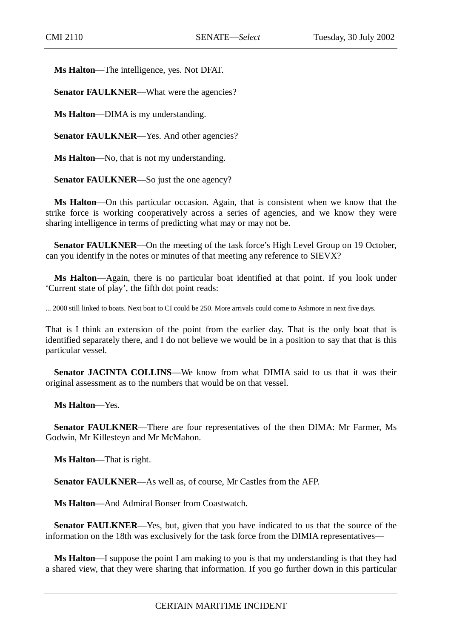**Ms Halton**—The intelligence, yes. Not DFAT.

**Senator FAULKNER—What were the agencies?** 

**Ms Halton**—DIMA is my understanding.

Senator FAULKNER—Yes. And other agencies?

**Ms Halton**—No, that is not my understanding.

**Senator FAULKNER—So just the one agency?** 

**Ms Halton**—On this particular occasion. Again, that is consistent when we know that the strike force is working cooperatively across a series of agencies, and we know they were sharing intelligence in terms of predicting what may or may not be.

**Senator FAULKNER—On the meeting of the task force's High Level Group on 19 October,** can you identify in the notes or minutes of that meeting any reference to SIEVX?

**Ms Halton**—Again, there is no particular boat identified at that point. If you look under 'Current state of play', the fifth dot point reads:

... 2000 still linked to boats. Next boat to CI could be 250. More arrivals could come to Ashmore in next five days.

That is I think an extension of the point from the earlier day. That is the only boat that is identified separately there, and I do not believe we would be in a position to say that that is this particular vessel.

**Senator JACINTA COLLINS—We know from what DIMIA said to us that it was their** original assessment as to the numbers that would be on that vessel.

**Ms Halton**—Yes.

**Senator FAULKNER**—There are four representatives of the then DIMA: Mr Farmer, Ms Godwin, Mr Killesteyn and Mr McMahon.

**Ms Halton**—That is right.

**Senator FAULKNER**—As well as, of course, Mr Castles from the AFP.

**Ms Halton**—And Admiral Bonser from Coastwatch.

**Senator FAULKNER**—Yes, but, given that you have indicated to us that the source of the information on the 18th was exclusively for the task force from the DIMIA representatives—

**Ms Halton**—I suppose the point I am making to you is that my understanding is that they had a shared view, that they were sharing that information. If you go further down in this particular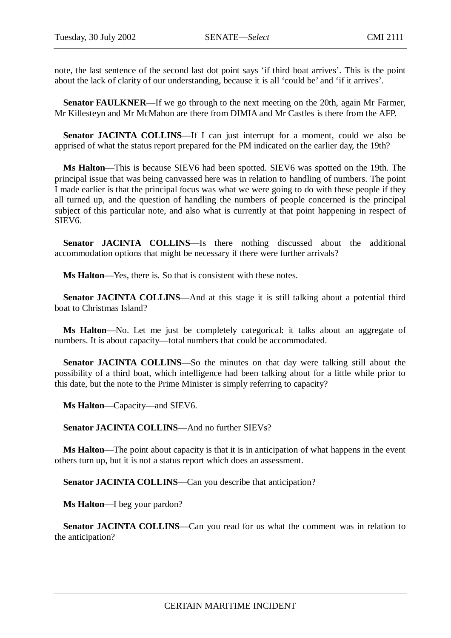note, the last sentence of the second last dot point says 'if third boat arrives'. This is the point about the lack of clarity of our understanding, because it is all 'could be' and 'if it arrives'.

**Senator FAULKNER—If** we go through to the next meeting on the 20th, again Mr Farmer, Mr Killesteyn and Mr McMahon are there from DIMIA and Mr Castles is there from the AFP.

**Senator JACINTA COLLINS—If** I can just interrupt for a moment, could we also be apprised of what the status report prepared for the PM indicated on the earlier day, the 19th?

**Ms Halton**—This is because SIEV6 had been spotted. SIEV6 was spotted on the 19th. The principal issue that was being canvassed here was in relation to handling of numbers. The point I made earlier is that the principal focus was what we were going to do with these people if they all turned up, and the question of handling the numbers of people concerned is the principal subject of this particular note, and also what is currently at that point happening in respect of SIEV6.

**Senator JACINTA COLLINS**—Is there nothing discussed about the additional accommodation options that might be necessary if there were further arrivals?

**Ms Halton**—Yes, there is. So that is consistent with these notes.

**Senator JACINTA COLLINS—And at this stage it is still talking about a potential third** boat to Christmas Island?

**Ms Halton**—No. Let me just be completely categorical: it talks about an aggregate of numbers. It is about capacity—total numbers that could be accommodated.

**Senator JACINTA COLLINS**—So the minutes on that day were talking still about the possibility of a third boat, which intelligence had been talking about for a little while prior to this date, but the note to the Prime Minister is simply referring to capacity?

**Ms Halton**—Capacity—and SIEV6.

**Senator JACINTA COLLINS**—And no further SIEVs?

**Ms Halton**—The point about capacity is that it is in anticipation of what happens in the event others turn up, but it is not a status report which does an assessment.

**Senator JACINTA COLLINS—Can you describe that anticipation?** 

**Ms Halton**—I beg your pardon?

**Senator JACINTA COLLINS—Can** you read for us what the comment was in relation to the anticipation?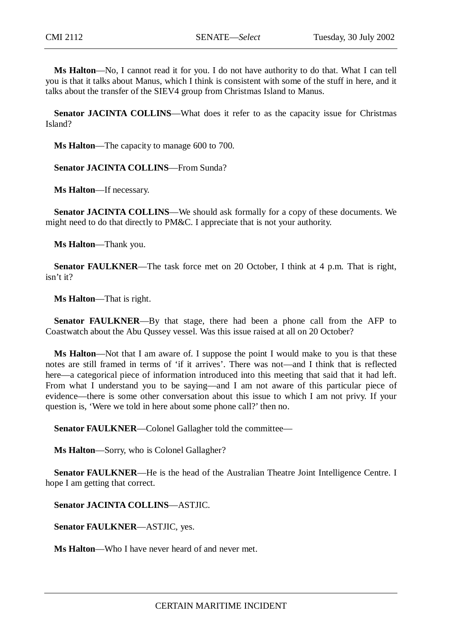**Ms Halton**—No, I cannot read it for you. I do not have authority to do that. What I can tell you is that it talks about Manus, which I think is consistent with some of the stuff in here, and it talks about the transfer of the SIEV4 group from Christmas Island to Manus.

**Senator JACINTA COLLINS—What does it refer to as the capacity issue for Christmas** Island?

**Ms Halton**—The capacity to manage 600 to 700.

**Senator JACINTA COLLINS**—From Sunda?

**Ms Halton**—If necessary.

**Senator JACINTA COLLINS**—We should ask formally for a copy of these documents. We might need to do that directly to PM&C. I appreciate that is not your authority.

**Ms Halton**—Thank you.

**Senator FAULKNER—The task force met on 20 October, I think at 4 p.m. That is right,** isn't it?

**Ms Halton**—That is right.

**Senator FAULKNER**—By that stage, there had been a phone call from the AFP to Coastwatch about the Abu Qussey vessel. Was this issue raised at all on 20 October?

**Ms Halton**—Not that I am aware of. I suppose the point I would make to you is that these notes are still framed in terms of 'if it arrives'. There was not—and I think that is reflected here—a categorical piece of information introduced into this meeting that said that it had left. From what I understand you to be saying—and I am not aware of this particular piece of evidence—there is some other conversation about this issue to which I am not privy. If your question is, 'Were we told in here about some phone call?' then no.

**Senator FAULKNER**—Colonel Gallagher told the committee—

**Ms Halton**—Sorry, who is Colonel Gallagher?

**Senator FAULKNER**—He is the head of the Australian Theatre Joint Intelligence Centre. I hope I am getting that correct.

**Senator JACINTA COLLINS**—ASTJIC.

**Senator FAULKNER**—ASTJIC, yes.

**Ms Halton**—Who I have never heard of and never met.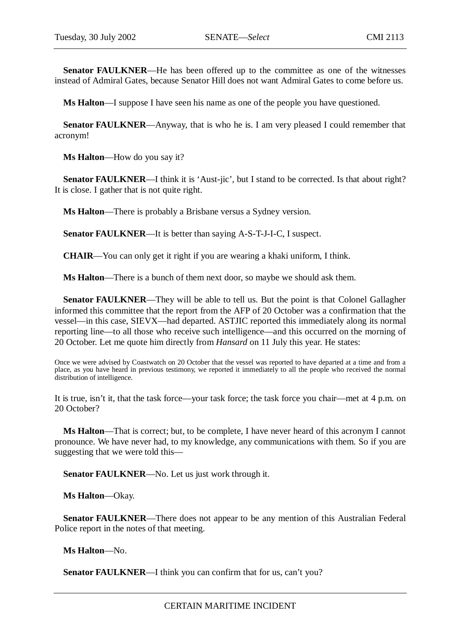**Senator FAULKNER**—He has been offered up to the committee as one of the witnesses instead of Admiral Gates, because Senator Hill does not want Admiral Gates to come before us.

**Ms Halton**—I suppose I have seen his name as one of the people you have questioned.

**Senator FAULKNER—Anyway, that is who he is. I am very pleased I could remember that** acronym!

**Ms Halton**—How do you say it?

Senator FAULKNER—I think it is 'Aust-jic', but I stand to be corrected. Is that about right? It is close. I gather that is not quite right.

**Ms Halton**—There is probably a Brisbane versus a Sydney version.

**Senator FAULKNER**—It is better than saying A-S-T-J-I-C, I suspect.

**CHAIR**—You can only get it right if you are wearing a khaki uniform, I think.

**Ms Halton**—There is a bunch of them next door, so maybe we should ask them.

**Senator FAULKNER—They will be able to tell us. But the point is that Colonel Gallagher** informed this committee that the report from the AFP of 20 October was a confirmation that the vessel—in this case, SIEVX—had departed. ASTJIC reported this immediately along its normal reporting line—to all those who receive such intelligence—and this occurred on the morning of 20 October. Let me quote him directly from *Hansard* on 11 July this year. He states:

Once we were advised by Coastwatch on 20 October that the vessel was reported to have departed at a time and from a place, as you have heard in previous testimony, we reported it immediately to all the people who received the normal distribution of intelligence.

It is true, isn't it, that the task force—your task force; the task force you chair—met at 4 p.m. on 20 October?

**Ms Halton**—That is correct; but, to be complete, I have never heard of this acronym I cannot pronounce. We have never had, to my knowledge, any communications with them. So if you are suggesting that we were told this—

Senator FAULKNER—No. Let us just work through it.

**Ms Halton**—Okay.

**Senator FAULKNER**—There does not appear to be any mention of this Australian Federal Police report in the notes of that meeting.

**Ms Halton**—No.

**Senator FAULKNER—I** think you can confirm that for us, can't you?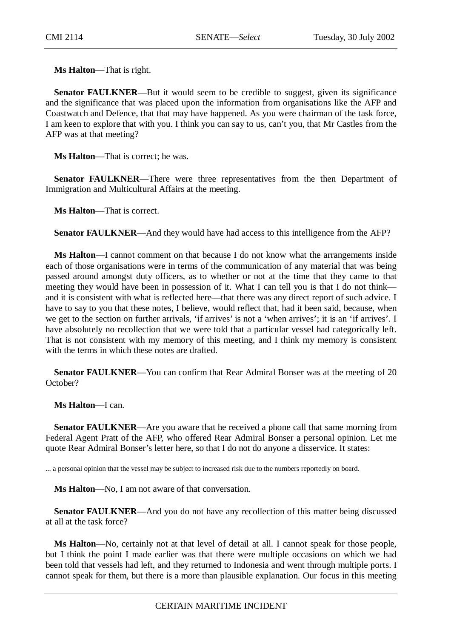**Ms Halton**—That is right.

**Senator FAULKNER—But it would seem to be credible to suggest, given its significance** and the significance that was placed upon the information from organisations like the AFP and Coastwatch and Defence, that that may have happened. As you were chairman of the task force, I am keen to explore that with you. I think you can say to us, can't you, that Mr Castles from the AFP was at that meeting?

**Ms Halton**—That is correct; he was.

**Senator FAULKNER**—There were three representatives from the then Department of Immigration and Multicultural Affairs at the meeting.

**Ms Halton**—That is correct.

**Senator FAULKNER**—And they would have had access to this intelligence from the AFP?

**Ms Halton**—I cannot comment on that because I do not know what the arrangements inside each of those organisations were in terms of the communication of any material that was being passed around amongst duty officers, as to whether or not at the time that they came to that meeting they would have been in possession of it. What I can tell you is that I do not think and it is consistent with what is reflected here—that there was any direct report of such advice. I have to say to you that these notes, I believe, would reflect that, had it been said, because, when we get to the section on further arrivals, 'if arrives' is not a 'when arrives'; it is an 'if arrives'. I have absolutely no recollection that we were told that a particular vessel had categorically left. That is not consistent with my memory of this meeting, and I think my memory is consistent with the terms in which these notes are drafted.

**Senator FAULKNER—You can confirm that Rear Admiral Bonser was at the meeting of 20** October?

**Ms Halton**—I can.

**Senator FAULKNER**—Are you aware that he received a phone call that same morning from Federal Agent Pratt of the AFP, who offered Rear Admiral Bonser a personal opinion. Let me quote Rear Admiral Bonser's letter here, so that I do not do anyone a disservice. It states:

... a personal opinion that the vessel may be subject to increased risk due to the numbers reportedly on board.

**Ms Halton**—No, I am not aware of that conversation.

**Senator FAULKNER—And you do not have any recollection of this matter being discussed** at all at the task force?

**Ms Halton**—No, certainly not at that level of detail at all. I cannot speak for those people, but I think the point I made earlier was that there were multiple occasions on which we had been told that vessels had left, and they returned to Indonesia and went through multiple ports. I cannot speak for them, but there is a more than plausible explanation. Our focus in this meeting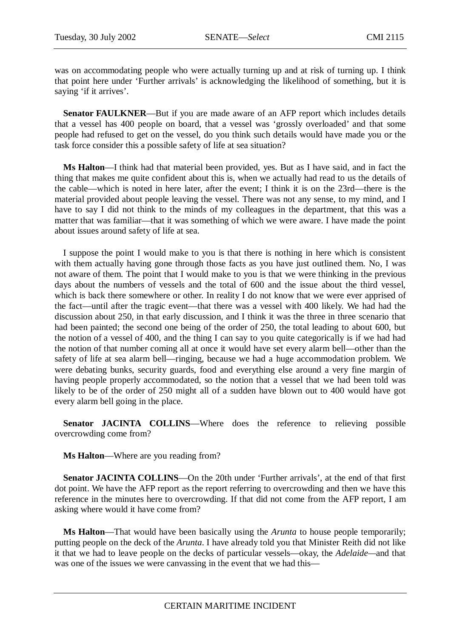was on accommodating people who were actually turning up and at risk of turning up. I think that point here under 'Further arrivals' is acknowledging the likelihood of something, but it is saying 'if it arrives'.

**Senator FAULKNER**—But if you are made aware of an AFP report which includes details that a vessel has 400 people on board, that a vessel was 'grossly overloaded' and that some people had refused to get on the vessel, do you think such details would have made you or the task force consider this a possible safety of life at sea situation?

**Ms Halton**—I think had that material been provided, yes. But as I have said, and in fact the thing that makes me quite confident about this is, when we actually had read to us the details of the cable—which is noted in here later, after the event; I think it is on the 23rd—there is the material provided about people leaving the vessel. There was not any sense, to my mind, and I have to say I did not think to the minds of my colleagues in the department, that this was a matter that was familiar—that it was something of which we were aware. I have made the point about issues around safety of life at sea.

I suppose the point I would make to you is that there is nothing in here which is consistent with them actually having gone through those facts as you have just outlined them. No, I was not aware of them. The point that I would make to you is that we were thinking in the previous days about the numbers of vessels and the total of 600 and the issue about the third vessel, which is back there somewhere or other. In reality I do not know that we were ever apprised of the fact—until after the tragic event—that there was a vessel with 400 likely. We had had the discussion about 250, in that early discussion, and I think it was the three in three scenario that had been painted; the second one being of the order of 250, the total leading to about 600, but the notion of a vessel of 400, and the thing I can say to you quite categorically is if we had had the notion of that number coming all at once it would have set every alarm bell—other than the safety of life at sea alarm bell—ringing, because we had a huge accommodation problem. We were debating bunks, security guards, food and everything else around a very fine margin of having people properly accommodated, so the notion that a vessel that we had been told was likely to be of the order of 250 might all of a sudden have blown out to 400 would have got every alarm bell going in the place.

**Senator JACINTA COLLINS—Where** does the reference to relieving possible overcrowding come from?

**Ms Halton**—Where are you reading from?

**Senator JACINTA COLLINS**—On the 20th under 'Further arrivals', at the end of that first dot point. We have the AFP report as the report referring to overcrowding and then we have this reference in the minutes here to overcrowding. If that did not come from the AFP report, I am asking where would it have come from?

**Ms Halton**—That would have been basically using the *Arunta* to house people temporarily; putting people on the deck of the *Arunta*. I have already told you that Minister Reith did not like it that we had to leave people on the decks of particular vessels—okay, the *Adelaide—*and that was one of the issues we were canvassing in the event that we had this—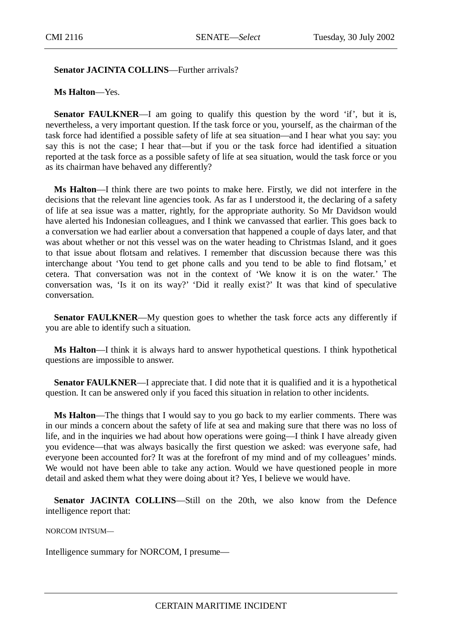## **Senator JACINTA COLLINS**—Further arrivals?

## **Ms Halton**—Yes.

**Senator FAULKNER**—I am going to qualify this question by the word 'if', but it is, nevertheless, a very important question. If the task force or you, yourself, as the chairman of the task force had identified a possible safety of life at sea situation—and I hear what you say: you say this is not the case; I hear that—but if you or the task force had identified a situation reported at the task force as a possible safety of life at sea situation, would the task force or you as its chairman have behaved any differently?

**Ms Halton**—I think there are two points to make here. Firstly, we did not interfere in the decisions that the relevant line agencies took. As far as I understood it, the declaring of a safety of life at sea issue was a matter, rightly, for the appropriate authority. So Mr Davidson would have alerted his Indonesian colleagues, and I think we canvassed that earlier. This goes back to a conversation we had earlier about a conversation that happened a couple of days later, and that was about whether or not this vessel was on the water heading to Christmas Island, and it goes to that issue about flotsam and relatives. I remember that discussion because there was this interchange about 'You tend to get phone calls and you tend to be able to find flotsam,' et cetera. That conversation was not in the context of 'We know it is on the water.' The conversation was, 'Is it on its way?' 'Did it really exist?' It was that kind of speculative conversation.

**Senator FAULKNER—My** question goes to whether the task force acts any differently if you are able to identify such a situation.

**Ms Halton**—I think it is always hard to answer hypothetical questions. I think hypothetical questions are impossible to answer.

**Senator FAULKNER—I** appreciate that. I did note that it is qualified and it is a hypothetical question. It can be answered only if you faced this situation in relation to other incidents.

**Ms Halton**—The things that I would say to you go back to my earlier comments. There was in our minds a concern about the safety of life at sea and making sure that there was no loss of life, and in the inquiries we had about how operations were going—I think I have already given you evidence—that was always basically the first question we asked: was everyone safe, had everyone been accounted for? It was at the forefront of my mind and of my colleagues' minds. We would not have been able to take any action. Would we have questioned people in more detail and asked them what they were doing about it? Yes, I believe we would have.

Senator JACINTA COLLINS—Still on the 20th, we also know from the Defence intelligence report that:

NORCOM INTSUM—

Intelligence summary for NORCOM, I presume—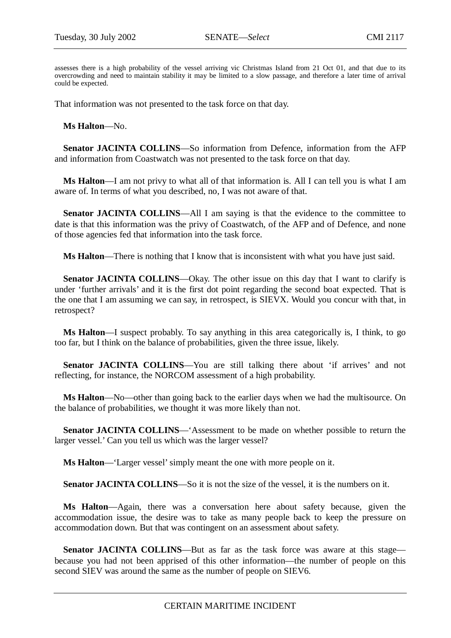assesses there is a high probability of the vessel arriving vic Christmas Island from 21 Oct 01, and that due to its overcrowding and need to maintain stability it may be limited to a slow passage, and therefore a later time of arrival could be expected.

That information was not presented to the task force on that day.

**Ms Halton**—No.

**Senator JACINTA COLLINS**—So information from Defence, information from the AFP and information from Coastwatch was not presented to the task force on that day.

**Ms Halton**—I am not privy to what all of that information is. All I can tell you is what I am aware of. In terms of what you described, no, I was not aware of that.

**Senator JACINTA COLLINS—All I** am saying is that the evidence to the committee to date is that this information was the privy of Coastwatch, of the AFP and of Defence, and none of those agencies fed that information into the task force.

**Ms Halton**—There is nothing that I know that is inconsistent with what you have just said.

**Senator JACINTA COLLINS—Okay.** The other issue on this day that I want to clarify is under 'further arrivals' and it is the first dot point regarding the second boat expected. That is the one that I am assuming we can say, in retrospect, is SIEVX. Would you concur with that, in retrospect?

**Ms Halton**—I suspect probably. To say anything in this area categorically is, I think, to go too far, but I think on the balance of probabilities, given the three issue, likely.

**Senator JACINTA COLLINS**—You are still talking there about 'if arrives' and not reflecting, for instance, the NORCOM assessment of a high probability.

**Ms Halton**—No—other than going back to the earlier days when we had the multisource. On the balance of probabilities, we thought it was more likely than not.

**Senator JACINTA COLLINS**—'Assessment to be made on whether possible to return the larger vessel.' Can you tell us which was the larger vessel?

**Ms Halton**—'Larger vessel' simply meant the one with more people on it.

**Senator JACINTA COLLINS**—So it is not the size of the vessel, it is the numbers on it.

**Ms Halton**—Again, there was a conversation here about safety because, given the accommodation issue, the desire was to take as many people back to keep the pressure on accommodation down. But that was contingent on an assessment about safety.

**Senator JACINTA COLLINS—But** as far as the task force was aware at this stage because you had not been apprised of this other information—the number of people on this second SIEV was around the same as the number of people on SIEV6.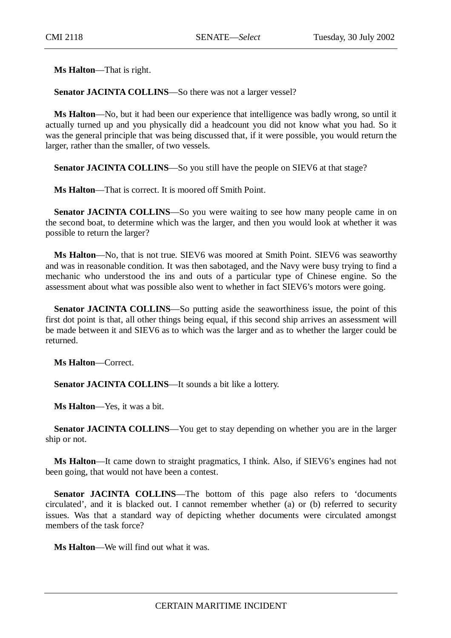**Ms Halton**—That is right.

**Senator JACINTA COLLINS**—So there was not a larger vessel?

**Ms Halton**—No, but it had been our experience that intelligence was badly wrong, so until it actually turned up and you physically did a headcount you did not know what you had. So it was the general principle that was being discussed that, if it were possible, you would return the larger, rather than the smaller, of two vessels.

**Senator JACINTA COLLINS—So you still have the people on SIEV6 at that stage?** 

**Ms Halton**—That is correct. It is moored off Smith Point.

**Senator JACINTA COLLINS—So** you were waiting to see how many people came in on the second boat, to determine which was the larger, and then you would look at whether it was possible to return the larger?

**Ms Halton**—No, that is not true. SIEV6 was moored at Smith Point. SIEV6 was seaworthy and was in reasonable condition. It was then sabotaged, and the Navy were busy trying to find a mechanic who understood the ins and outs of a particular type of Chinese engine. So the assessment about what was possible also went to whether in fact SIEV6's motors were going.

**Senator JACINTA COLLINS**—So putting aside the seaworthiness issue, the point of this first dot point is that, all other things being equal, if this second ship arrives an assessment will be made between it and SIEV6 as to which was the larger and as to whether the larger could be returned.

**Ms Halton**—Correct.

Senator JACINTA COLLINS-It sounds a bit like a lottery.

**Ms Halton**—Yes, it was a bit.

**Senator JACINTA COLLINS**—You get to stay depending on whether you are in the larger ship or not.

**Ms Halton**—It came down to straight pragmatics, I think. Also, if SIEV6's engines had not been going, that would not have been a contest.

**Senator JACINTA COLLINS—The bottom of this page also refers to 'documents'** circulated', and it is blacked out. I cannot remember whether (a) or (b) referred to security issues. Was that a standard way of depicting whether documents were circulated amongst members of the task force?

**Ms Halton**—We will find out what it was.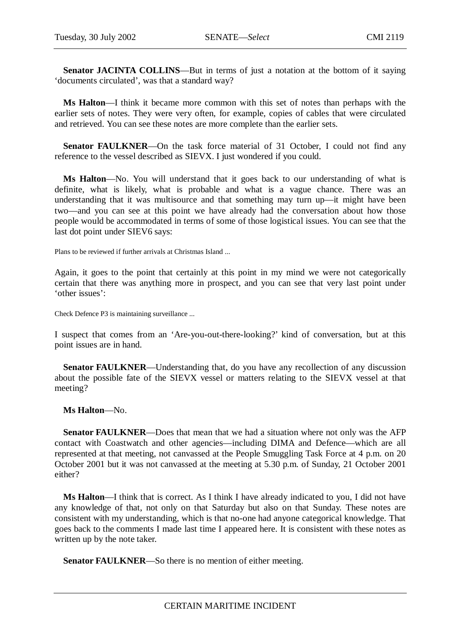**Senator JACINTA COLLINS—But in terms of just a notation at the bottom of it saying** 'documents circulated', was that a standard way?

**Ms Halton**—I think it became more common with this set of notes than perhaps with the earlier sets of notes. They were very often, for example, copies of cables that were circulated and retrieved. You can see these notes are more complete than the earlier sets.

**Senator FAULKNER**—On the task force material of 31 October, I could not find any reference to the vessel described as SIEVX. I just wondered if you could.

**Ms Halton**—No. You will understand that it goes back to our understanding of what is definite, what is likely, what is probable and what is a vague chance. There was an understanding that it was multisource and that something may turn up—it might have been two—and you can see at this point we have already had the conversation about how those people would be accommodated in terms of some of those logistical issues. You can see that the last dot point under SIEV6 says:

Plans to be reviewed if further arrivals at Christmas Island ...

Again, it goes to the point that certainly at this point in my mind we were not categorically certain that there was anything more in prospect, and you can see that very last point under 'other issues':

Check Defence P3 is maintaining surveillance ...

I suspect that comes from an 'Are-you-out-there-looking?' kind of conversation, but at this point issues are in hand.

**Senator FAULKNER—Understanding that, do you have any recollection of any discussion** about the possible fate of the SIEVX vessel or matters relating to the SIEVX vessel at that meeting?

**Ms Halton**—No.

**Senator FAULKNER**—Does that mean that we had a situation where not only was the AFP contact with Coastwatch and other agencies—including DIMA and Defence—which are all represented at that meeting, not canvassed at the People Smuggling Task Force at 4 p.m. on 20 October 2001 but it was not canvassed at the meeting at 5.30 p.m. of Sunday, 21 October 2001 either?

**Ms Halton**—I think that is correct. As I think I have already indicated to you, I did not have any knowledge of that, not only on that Saturday but also on that Sunday. These notes are consistent with my understanding, which is that no-one had anyone categorical knowledge. That goes back to the comments I made last time I appeared here. It is consistent with these notes as written up by the note taker.

**Senator FAULKNER**—So there is no mention of either meeting.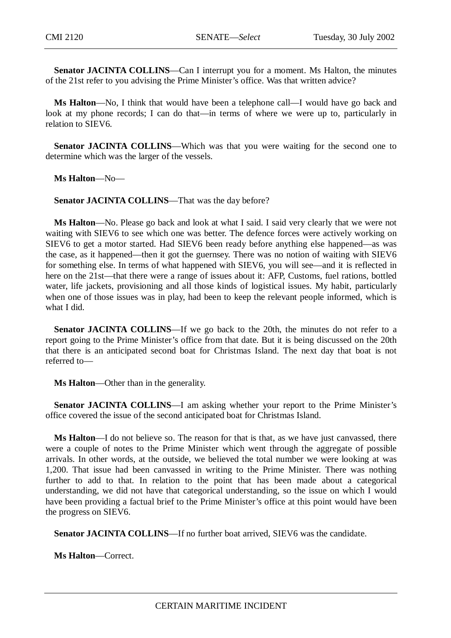**Senator JACINTA COLLINS**—Can I interrupt you for a moment. Ms Halton, the minutes of the 21st refer to you advising the Prime Minister's office. Was that written advice?

**Ms Halton**—No, I think that would have been a telephone call—I would have go back and look at my phone records; I can do that—in terms of where we were up to, particularly in relation to SIEV6.

**Senator JACINTA COLLINS—Which was that you were waiting for the second one to** determine which was the larger of the vessels.

**Ms Halton**—No—

**Senator JACINTA COLLINS—That was the day before?** 

**Ms Halton**—No. Please go back and look at what I said. I said very clearly that we were not waiting with SIEV6 to see which one was better. The defence forces were actively working on SIEV6 to get a motor started. Had SIEV6 been ready before anything else happened—as was the case, as it happened—then it got the guernsey. There was no notion of waiting with SIEV6 for something else. In terms of what happened with SIEV6, you will see—and it is reflected in here on the 21st—that there were a range of issues about it: AFP, Customs, fuel rations, bottled water, life jackets, provisioning and all those kinds of logistical issues. My habit, particularly when one of those issues was in play, had been to keep the relevant people informed, which is what I did.

**Senator JACINTA COLLINS—If** we go back to the 20th, the minutes do not refer to a report going to the Prime Minister's office from that date. But it is being discussed on the 20th that there is an anticipated second boat for Christmas Island. The next day that boat is not referred to—

**Ms Halton**—Other than in the generality.

**Senator JACINTA COLLINS—I** am asking whether your report to the Prime Minister's office covered the issue of the second anticipated boat for Christmas Island.

**Ms Halton**—I do not believe so. The reason for that is that, as we have just canvassed, there were a couple of notes to the Prime Minister which went through the aggregate of possible arrivals. In other words, at the outside, we believed the total number we were looking at was 1,200. That issue had been canvassed in writing to the Prime Minister. There was nothing further to add to that. In relation to the point that has been made about a categorical understanding, we did not have that categorical understanding, so the issue on which I would have been providing a factual brief to the Prime Minister's office at this point would have been the progress on SIEV6.

**Senator JACINTA COLLINS**—If no further boat arrived, SIEV6 was the candidate.

**Ms Halton**—Correct.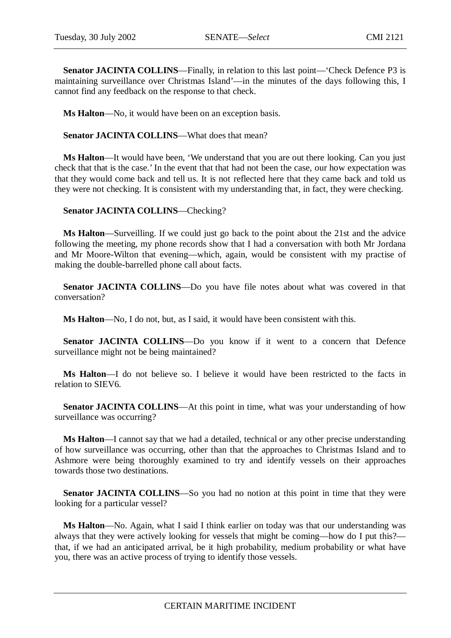**Senator JACINTA COLLINS**—Finally, in relation to this last point—'Check Defence P3 is maintaining surveillance over Christmas Island'—in the minutes of the days following this, I cannot find any feedback on the response to that check.

**Ms Halton**—No, it would have been on an exception basis.

**Senator JACINTA COLLINS**—What does that mean?

**Ms Halton**—It would have been, 'We understand that you are out there looking. Can you just check that that is the case.' In the event that that had not been the case, our how expectation was that they would come back and tell us. It is not reflected here that they came back and told us they were not checking. It is consistent with my understanding that, in fact, they were checking.

**Senator JACINTA COLLINS**—Checking?

**Ms Halton**—Surveilling. If we could just go back to the point about the 21st and the advice following the meeting, my phone records show that I had a conversation with both Mr Jordana and Mr Moore-Wilton that evening—which, again, would be consistent with my practise of making the double-barrelled phone call about facts.

**Senator JACINTA COLLINS**—Do you have file notes about what was covered in that conversation?

**Ms Halton**—No, I do not, but, as I said, it would have been consistent with this.

**Senator JACINTA COLLINS**—Do you know if it went to a concern that Defence surveillance might not be being maintained?

**Ms Halton**—I do not believe so. I believe it would have been restricted to the facts in relation to SIEV6.

**Senator JACINTA COLLINS—At this point in time, what was your understanding of how** surveillance was occurring?

**Ms Halton**—I cannot say that we had a detailed, technical or any other precise understanding of how surveillance was occurring, other than that the approaches to Christmas Island and to Ashmore were being thoroughly examined to try and identify vessels on their approaches towards those two destinations.

**Senator JACINTA COLLINS**—So you had no notion at this point in time that they were looking for a particular vessel?

**Ms Halton**—No. Again, what I said I think earlier on today was that our understanding was always that they were actively looking for vessels that might be coming—how do I put this? that, if we had an anticipated arrival, be it high probability, medium probability or what have you, there was an active process of trying to identify those vessels.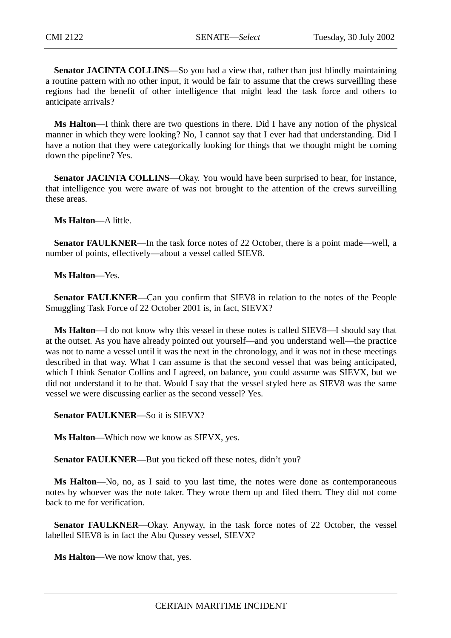**Senator JACINTA COLLINS**—So you had a view that, rather than just blindly maintaining a routine pattern with no other input, it would be fair to assume that the crews surveilling these regions had the benefit of other intelligence that might lead the task force and others to anticipate arrivals?

**Ms Halton**—I think there are two questions in there. Did I have any notion of the physical manner in which they were looking? No, I cannot say that I ever had that understanding. Did I have a notion that they were categorically looking for things that we thought might be coming down the pipeline? Yes.

**Senator JACINTA COLLINS—Okay.** You would have been surprised to hear, for instance, that intelligence you were aware of was not brought to the attention of the crews surveilling these areas.

**Ms Halton**—A little.

**Senator FAULKNER—In** the task force notes of 22 October, there is a point made—well, a number of points, effectively—about a vessel called SIEV8.

**Ms Halton**—Yes.

**Senator FAULKNER**—Can you confirm that SIEV8 in relation to the notes of the People Smuggling Task Force of 22 October 2001 is, in fact, SIEVX?

**Ms Halton**—I do not know why this vessel in these notes is called SIEV8—I should say that at the outset. As you have already pointed out yourself—and you understand well—the practice was not to name a vessel until it was the next in the chronology, and it was not in these meetings described in that way. What I can assume is that the second vessel that was being anticipated, which I think Senator Collins and I agreed, on balance, you could assume was SIEVX, but we did not understand it to be that. Would I say that the vessel styled here as SIEV8 was the same vessel we were discussing earlier as the second vessel? Yes.

**Senator FAULKNER**—So it is SIEVX?

**Ms Halton**—Which now we know as SIEVX, yes.

**Senator FAULKNER—But you ticked off these notes, didn't you?** 

**Ms Halton**—No, no, as I said to you last time, the notes were done as contemporaneous notes by whoever was the note taker. They wrote them up and filed them. They did not come back to me for verification.

**Senator FAULKNER—Okay.** Anyway, in the task force notes of 22 October, the vessel labelled SIEV8 is in fact the Abu Qussey vessel, SIEVX?

**Ms Halton**—We now know that, yes.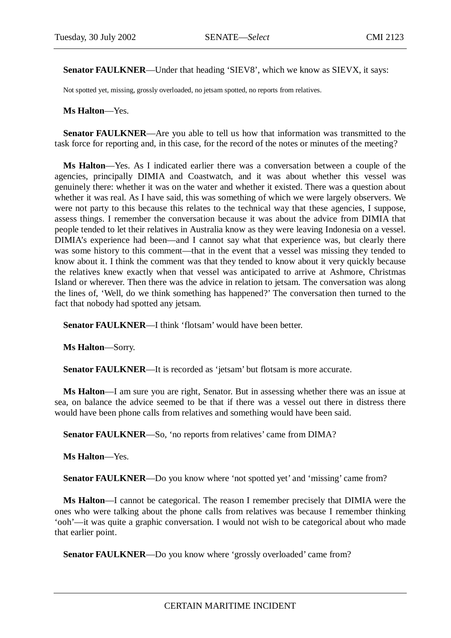**Senator FAULKNER**—Under that heading 'SIEV8', which we know as SIEVX, it says:

Not spotted yet, missing, grossly overloaded, no jetsam spotted, no reports from relatives.

**Ms Halton**—Yes.

**Senator FAULKNER**—Are you able to tell us how that information was transmitted to the task force for reporting and, in this case, for the record of the notes or minutes of the meeting?

**Ms Halton**—Yes. As I indicated earlier there was a conversation between a couple of the agencies, principally DIMIA and Coastwatch, and it was about whether this vessel was genuinely there: whether it was on the water and whether it existed. There was a question about whether it was real. As I have said, this was something of which we were largely observers. We were not party to this because this relates to the technical way that these agencies, I suppose, assess things. I remember the conversation because it was about the advice from DIMIA that people tended to let their relatives in Australia know as they were leaving Indonesia on a vessel. DIMIA's experience had been—and I cannot say what that experience was, but clearly there was some history to this comment—that in the event that a vessel was missing they tended to know about it. I think the comment was that they tended to know about it very quickly because the relatives knew exactly when that vessel was anticipated to arrive at Ashmore, Christmas Island or wherever. Then there was the advice in relation to jetsam. The conversation was along the lines of, 'Well, do we think something has happened?' The conversation then turned to the fact that nobody had spotted any jetsam.

**Senator FAULKNER—I** think 'flotsam' would have been better.

**Ms Halton**—Sorry.

**Senator FAULKNER—It** is recorded as 'jetsam' but flotsam is more accurate.

**Ms Halton**—I am sure you are right, Senator. But in assessing whether there was an issue at sea, on balance the advice seemed to be that if there was a vessel out there in distress there would have been phone calls from relatives and something would have been said.

Senator FAULKNER—So, 'no reports from relatives' came from DIMA?

**Ms Halton**—Yes.

**Senator FAULKNER—Do** you know where 'not spotted yet' and 'missing' came from?

**Ms Halton**—I cannot be categorical. The reason I remember precisely that DIMIA were the ones who were talking about the phone calls from relatives was because I remember thinking 'ooh'—it was quite a graphic conversation. I would not wish to be categorical about who made that earlier point.

**Senator FAULKNER—Do** you know where 'grossly overloaded' came from?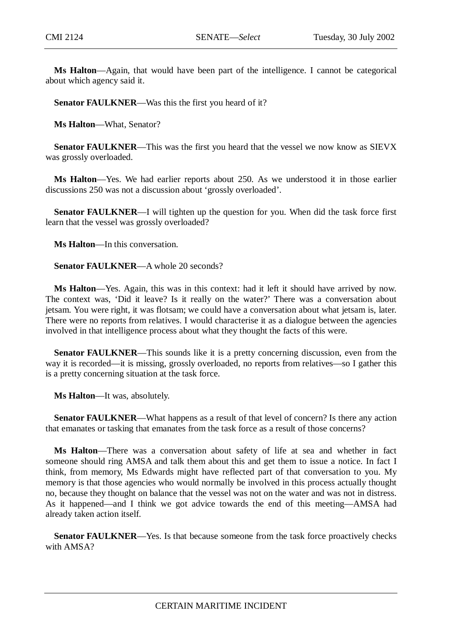**Ms Halton**—Again, that would have been part of the intelligence. I cannot be categorical about which agency said it.

**Senator FAULKNER—Was this the first you heard of it?** 

**Ms Halton**—What, Senator?

**Senator FAULKNER**—This was the first you heard that the vessel we now know as SIEVX was grossly overloaded.

**Ms Halton**—Yes. We had earlier reports about 250. As we understood it in those earlier discussions 250 was not a discussion about 'grossly overloaded'.

**Senator FAULKNER**—I will tighten up the question for you. When did the task force first learn that the vessel was grossly overloaded?

**Ms Halton**—In this conversation.

**Senator FAULKNER—A** whole 20 seconds?

**Ms Halton**—Yes. Again, this was in this context: had it left it should have arrived by now. The context was, 'Did it leave? Is it really on the water?' There was a conversation about jetsam. You were right, it was flotsam; we could have a conversation about what jetsam is, later. There were no reports from relatives. I would characterise it as a dialogue between the agencies involved in that intelligence process about what they thought the facts of this were.

**Senator FAULKNER—This sounds like it is a pretty concerning discussion, even from the** way it is recorded—it is missing, grossly overloaded, no reports from relatives—so I gather this is a pretty concerning situation at the task force.

**Ms Halton**—It was, absolutely.

**Senator FAULKNER—What happens as a result of that level of concern? Is there any action** that emanates or tasking that emanates from the task force as a result of those concerns?

**Ms Halton**—There was a conversation about safety of life at sea and whether in fact someone should ring AMSA and talk them about this and get them to issue a notice. In fact I think, from memory, Ms Edwards might have reflected part of that conversation to you. My memory is that those agencies who would normally be involved in this process actually thought no, because they thought on balance that the vessel was not on the water and was not in distress. As it happened—and I think we got advice towards the end of this meeting—AMSA had already taken action itself.

**Senator FAULKNER—Yes.** Is that because someone from the task force proactively checks with AMSA?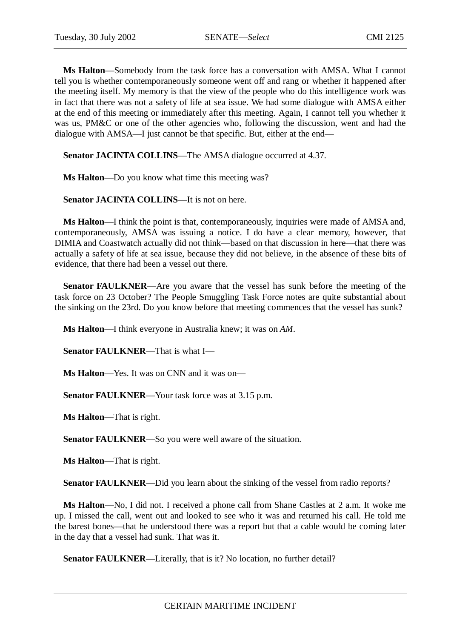**Ms Halton**—Somebody from the task force has a conversation with AMSA. What I cannot tell you is whether contemporaneously someone went off and rang or whether it happened after the meeting itself. My memory is that the view of the people who do this intelligence work was in fact that there was not a safety of life at sea issue. We had some dialogue with AMSA either at the end of this meeting or immediately after this meeting. Again, I cannot tell you whether it was us, PM&C or one of the other agencies who, following the discussion, went and had the dialogue with AMSA—I just cannot be that specific. But, either at the end—

**Senator JACINTA COLLINS—The AMSA dialogue occurred at 4.37.** 

**Ms Halton**—Do you know what time this meeting was?

**Senator JACINTA COLLINS**—It is not on here.

**Ms Halton**—I think the point is that, contemporaneously, inquiries were made of AMSA and, contemporaneously, AMSA was issuing a notice. I do have a clear memory, however, that DIMIA and Coastwatch actually did not think—based on that discussion in here—that there was actually a safety of life at sea issue, because they did not believe, in the absence of these bits of evidence, that there had been a vessel out there.

**Senator FAULKNER**—Are you aware that the vessel has sunk before the meeting of the task force on 23 October? The People Smuggling Task Force notes are quite substantial about the sinking on the 23rd. Do you know before that meeting commences that the vessel has sunk?

**Ms Halton**—I think everyone in Australia knew; it was on *AM*.

**Senator FAULKNER**—That is what I—

**Ms Halton**—Yes. It was on CNN and it was on—

**Senator FAULKNER**—Your task force was at 3.15 p.m.

**Ms Halton**—That is right.

**Senator FAULKNER**—So you were well aware of the situation.

**Ms Halton**—That is right.

**Senator FAULKNER—Did you learn about the sinking of the vessel from radio reports?** 

**Ms Halton**—No, I did not. I received a phone call from Shane Castles at 2 a.m. It woke me up. I missed the call, went out and looked to see who it was and returned his call. He told me the barest bones—that he understood there was a report but that a cable would be coming later in the day that a vessel had sunk. That was it.

Senator FAULKNER—Literally, that is it? No location, no further detail?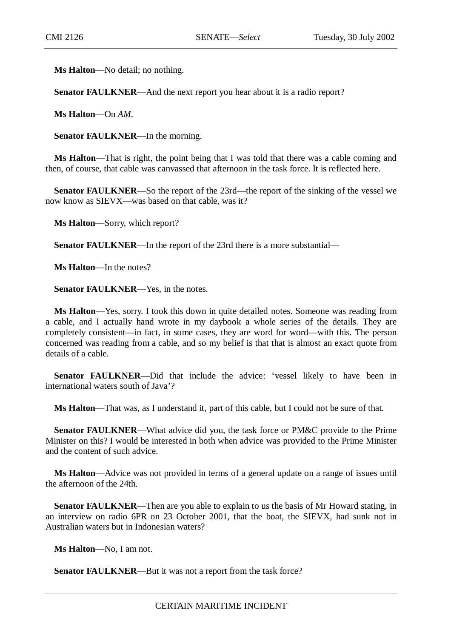**Ms Halton**—No detail; no nothing.

**Senator FAULKNER—And the next report you hear about it is a radio report?** 

**Ms Halton**—On *AM*.

**Senator FAULKNER**—In the morning.

**Ms Halton**—That is right, the point being that I was told that there was a cable coming and then, of course, that cable was canvassed that afternoon in the task force. It is reflected here.

**Senator FAULKNER**—So the report of the 23rd—the report of the sinking of the vessel we now know as SIEVX—was based on that cable, was it?

**Ms Halton**—Sorry, which report?

**Senator FAULKNER**—In the report of the 23rd there is a more substantial—

**Ms Halton**—In the notes?

**Senator FAULKNER—Yes, in the notes.** 

**Ms Halton**—Yes, sorry. I took this down in quite detailed notes. Someone was reading from a cable, and I actually hand wrote in my daybook a whole series of the details. They are completely consistent—in fact, in some cases, they are word for word—with this. The person concerned was reading from a cable, and so my belief is that that is almost an exact quote from details of a cable.

**Senator FAULKNER—Did** that include the advice: 'vessel likely to have been in international waters south of Java'?

**Ms Halton**—That was, as I understand it, part of this cable, but I could not be sure of that.

**Senator FAULKNER**—What advice did you, the task force or PM&C provide to the Prime Minister on this? I would be interested in both when advice was provided to the Prime Minister and the content of such advice.

**Ms Halton**—Advice was not provided in terms of a general update on a range of issues until the afternoon of the 24th.

**Senator FAULKNER**—Then are you able to explain to us the basis of Mr Howard stating, in an interview on radio 6PR on 23 October 2001, that the boat, the SIEVX, had sunk not in Australian waters but in Indonesian waters?

**Ms Halton**—No, I am not.

**Senator FAULKNER—But it was not a report from the task force?**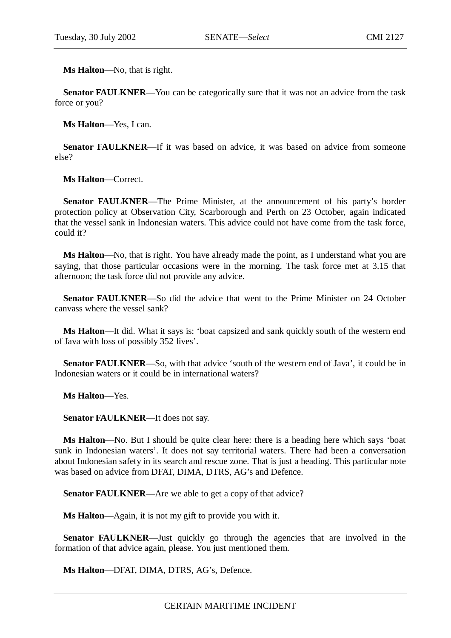**Ms Halton**—No, that is right.

**Senator FAULKNER—You can be categorically sure that it was not an advice from the task** force or you?

**Ms Halton**—Yes, I can.

**Senator FAULKNER—If** it was based on advice, it was based on advice from someone else?

**Ms Halton**—Correct.

**Senator FAULKNER**—The Prime Minister, at the announcement of his party's border protection policy at Observation City, Scarborough and Perth on 23 October, again indicated that the vessel sank in Indonesian waters. This advice could not have come from the task force, could it?

**Ms Halton**—No, that is right. You have already made the point, as I understand what you are saying, that those particular occasions were in the morning. The task force met at 3.15 that afternoon; the task force did not provide any advice.

**Senator FAULKNER—So did the advice that went to the Prime Minister on 24 October** canvass where the vessel sank?

**Ms Halton**—It did. What it says is: 'boat capsized and sank quickly south of the western end of Java with loss of possibly 352 lives'.

**Senator FAULKNER—So, with that advice 'south of the western end of Java', it could be in** Indonesian waters or it could be in international waters?

**Ms Halton**—Yes.

**Senator FAULKNER**—It does not say.

**Ms Halton**—No. But I should be quite clear here: there is a heading here which says 'boat sunk in Indonesian waters'. It does not say territorial waters. There had been a conversation about Indonesian safety in its search and rescue zone. That is just a heading. This particular note was based on advice from DFAT, DIMA, DTRS, AG's and Defence.

**Senator FAULKNER—Are** we able to get a copy of that advice?

**Ms Halton**—Again, it is not my gift to provide you with it.

**Senator FAULKNER—Just** quickly go through the agencies that are involved in the formation of that advice again, please. You just mentioned them.

**Ms Halton**—DFAT, DIMA, DTRS, AG's, Defence.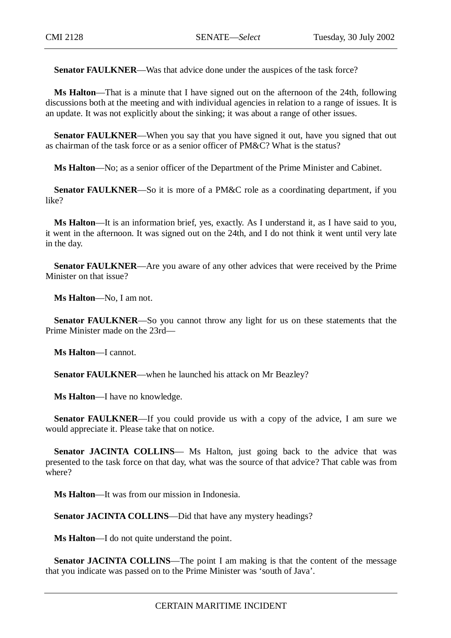**Senator FAULKNER—Was that advice done under the auspices of the task force?** 

**Ms Halton**—That is a minute that I have signed out on the afternoon of the 24th, following discussions both at the meeting and with individual agencies in relation to a range of issues. It is an update. It was not explicitly about the sinking; it was about a range of other issues.

**Senator FAULKNER—When** you say that you have signed it out, have you signed that out as chairman of the task force or as a senior officer of PM&C? What is the status?

**Ms Halton**—No; as a senior officer of the Department of the Prime Minister and Cabinet.

**Senator FAULKNER**—So it is more of a PM&C role as a coordinating department, if you like?

**Ms Halton**—It is an information brief, yes, exactly. As I understand it, as I have said to you, it went in the afternoon. It was signed out on the 24th, and I do not think it went until very late in the day.

**Senator FAULKNER**—Are you aware of any other advices that were received by the Prime Minister on that issue?

**Ms Halton**—No, I am not.

**Senator FAULKNER**—So you cannot throw any light for us on these statements that the Prime Minister made on the 23rd—

**Ms Halton**—I cannot.

**Senator FAULKNER**—when he launched his attack on Mr Beazley?

**Ms Halton**—I have no knowledge.

**Senator FAULKNER**—If you could provide us with a copy of the advice, I am sure we would appreciate it. Please take that on notice.

**Senator JACINTA COLLINS**— Ms Halton, just going back to the advice that was presented to the task force on that day, what was the source of that advice? That cable was from where?

**Ms Halton**—It was from our mission in Indonesia.

**Senator JACINTA COLLINS**—Did that have any mystery headings?

**Ms Halton**—I do not quite understand the point.

**Senator JACINTA COLLINS—The point I am making is that the content of the message** that you indicate was passed on to the Prime Minister was 'south of Java'.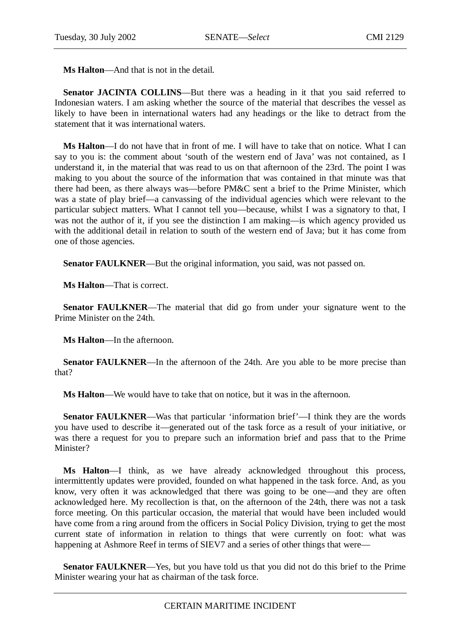**Ms Halton**—And that is not in the detail.

**Senator JACINTA COLLINS—But there was a heading in it that you said referred to** Indonesian waters. I am asking whether the source of the material that describes the vessel as likely to have been in international waters had any headings or the like to detract from the statement that it was international waters.

**Ms Halton**—I do not have that in front of me. I will have to take that on notice. What I can say to you is: the comment about 'south of the western end of Java' was not contained, as I understand it, in the material that was read to us on that afternoon of the 23rd. The point I was making to you about the source of the information that was contained in that minute was that there had been, as there always was—before PM&C sent a brief to the Prime Minister, which was a state of play brief—a canvassing of the individual agencies which were relevant to the particular subject matters. What I cannot tell you—because, whilst I was a signatory to that, I was not the author of it, if you see the distinction I am making—is which agency provided us with the additional detail in relation to south of the western end of Java; but it has come from one of those agencies.

**Senator FAULKNER**—But the original information, you said, was not passed on.

**Ms Halton**—That is correct.

**Senator FAULKNER—The material that did go from under your signature went to the** Prime Minister on the 24th.

**Ms Halton**—In the afternoon.

**Senator FAULKNER—In** the afternoon of the 24th. Are you able to be more precise than that?

**Ms Halton**—We would have to take that on notice, but it was in the afternoon.

**Senator FAULKNER—Was that particular 'information brief'—I think they are the words** you have used to describe it—generated out of the task force as a result of your initiative, or was there a request for you to prepare such an information brief and pass that to the Prime Minister?

**Ms Halton**—I think, as we have already acknowledged throughout this process, intermittently updates were provided, founded on what happened in the task force. And, as you know, very often it was acknowledged that there was going to be one—and they are often acknowledged here. My recollection is that, on the afternoon of the 24th, there was not a task force meeting. On this particular occasion, the material that would have been included would have come from a ring around from the officers in Social Policy Division, trying to get the most current state of information in relation to things that were currently on foot: what was happening at Ashmore Reef in terms of SIEV7 and a series of other things that were—

**Senator FAULKNER**—Yes, but you have told us that you did not do this brief to the Prime Minister wearing your hat as chairman of the task force.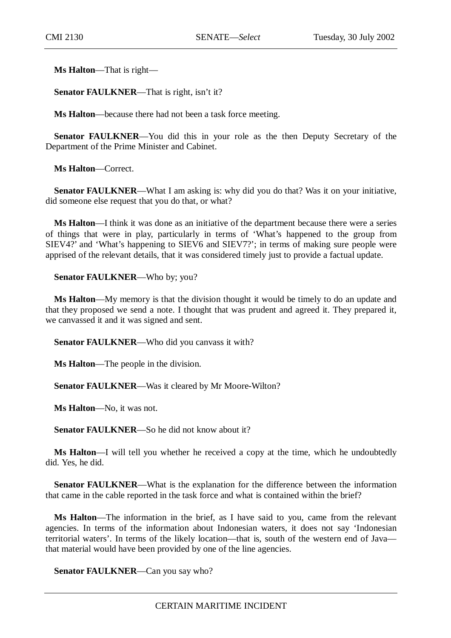**Ms Halton**—That is right—

**Senator FAULKNER**—That is right, isn't it?

**Ms Halton**—because there had not been a task force meeting.

**Senator FAULKNER**—You did this in your role as the then Deputy Secretary of the Department of the Prime Minister and Cabinet.

**Ms Halton**—Correct.

**Senator FAULKNER—What I am asking is: why did you do that? Was it on your initiative,** did someone else request that you do that, or what?

**Ms Halton**—I think it was done as an initiative of the department because there were a series of things that were in play, particularly in terms of 'What's happened to the group from SIEV4?' and 'What's happening to SIEV6 and SIEV7?'; in terms of making sure people were apprised of the relevant details, that it was considered timely just to provide a factual update.

**Senator FAULKNER**—Who by; you?

**Ms Halton**—My memory is that the division thought it would be timely to do an update and that they proposed we send a note. I thought that was prudent and agreed it. They prepared it, we canvassed it and it was signed and sent.

**Senator FAULKNER**—Who did you canvass it with?

**Ms Halton**—The people in the division.

**Senator FAULKNER**—Was it cleared by Mr Moore-Wilton?

**Ms Halton**—No, it was not.

**Senator FAULKNER—So he did not know about it?** 

**Ms Halton**—I will tell you whether he received a copy at the time, which he undoubtedly did. Yes, he did.

**Senator FAULKNER**—What is the explanation for the difference between the information that came in the cable reported in the task force and what is contained within the brief?

**Ms Halton**—The information in the brief, as I have said to you, came from the relevant agencies. In terms of the information about Indonesian waters, it does not say 'Indonesian territorial waters'. In terms of the likely location—that is, south of the western end of Java that material would have been provided by one of the line agencies.

**Senator FAULKNER**—Can you say who?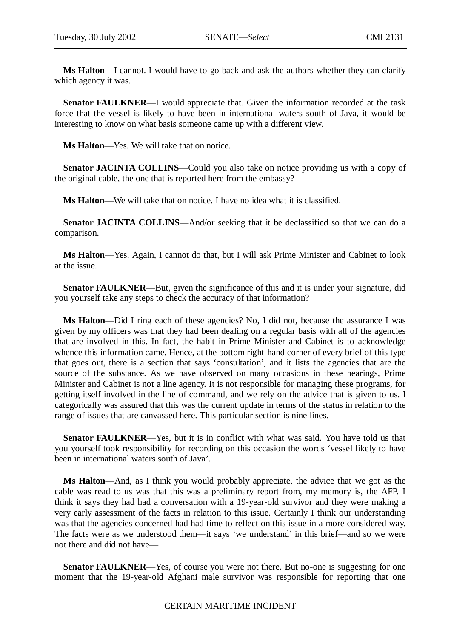**Ms Halton**—I cannot. I would have to go back and ask the authors whether they can clarify which agency it was.

**Senator FAULKNER**—I would appreciate that. Given the information recorded at the task force that the vessel is likely to have been in international waters south of Java, it would be interesting to know on what basis someone came up with a different view.

**Ms Halton**—Yes. We will take that on notice.

**Senator JACINTA COLLINS**—Could you also take on notice providing us with a copy of the original cable, the one that is reported here from the embassy?

**Ms Halton**—We will take that on notice. I have no idea what it is classified.

**Senator JACINTA COLLINS**—And/or seeking that it be declassified so that we can do a comparison.

**Ms Halton**—Yes. Again, I cannot do that, but I will ask Prime Minister and Cabinet to look at the issue.

**Senator FAULKNER**—But, given the significance of this and it is under your signature, did you yourself take any steps to check the accuracy of that information?

**Ms Halton**—Did I ring each of these agencies? No, I did not, because the assurance I was given by my officers was that they had been dealing on a regular basis with all of the agencies that are involved in this. In fact, the habit in Prime Minister and Cabinet is to acknowledge whence this information came. Hence, at the bottom right-hand corner of every brief of this type that goes out, there is a section that says 'consultation', and it lists the agencies that are the source of the substance. As we have observed on many occasions in these hearings, Prime Minister and Cabinet is not a line agency. It is not responsible for managing these programs, for getting itself involved in the line of command, and we rely on the advice that is given to us. I categorically was assured that this was the current update in terms of the status in relation to the range of issues that are canvassed here. This particular section is nine lines.

**Senator FAULKNER**—Yes, but it is in conflict with what was said. You have told us that you yourself took responsibility for recording on this occasion the words 'vessel likely to have been in international waters south of Java'.

**Ms Halton**—And, as I think you would probably appreciate, the advice that we got as the cable was read to us was that this was a preliminary report from, my memory is, the AFP. I think it says they had had a conversation with a 19-year-old survivor and they were making a very early assessment of the facts in relation to this issue. Certainly I think our understanding was that the agencies concerned had had time to reflect on this issue in a more considered way. The facts were as we understood them—it says 'we understand' in this brief—and so we were not there and did not have—

**Senator FAULKNER—Yes, of course you were not there. But no-one is suggesting for one** moment that the 19-year-old Afghani male survivor was responsible for reporting that one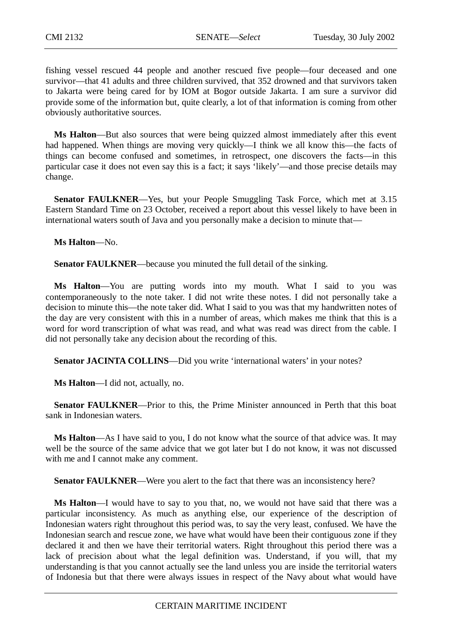fishing vessel rescued 44 people and another rescued five people—four deceased and one survivor—that 41 adults and three children survived, that 352 drowned and that survivors taken to Jakarta were being cared for by IOM at Bogor outside Jakarta. I am sure a survivor did provide some of the information but, quite clearly, a lot of that information is coming from other obviously authoritative sources.

**Ms Halton**—But also sources that were being quizzed almost immediately after this event had happened. When things are moving very quickly—I think we all know this—the facts of things can become confused and sometimes, in retrospect, one discovers the facts—in this particular case it does not even say this is a fact; it says 'likely'—and those precise details may change.

**Senator FAULKNER—Yes, but your People Smuggling Task Force, which met at 3.15** Eastern Standard Time on 23 October, received a report about this vessel likely to have been in international waters south of Java and you personally make a decision to minute that—

**Ms Halton**—No.

**Senator FAULKNER**—because you minuted the full detail of the sinking.

**Ms Halton**—You are putting words into my mouth. What I said to you was contemporaneously to the note taker. I did not write these notes. I did not personally take a decision to minute this—the note taker did. What I said to you was that my handwritten notes of the day are very consistent with this in a number of areas, which makes me think that this is a word for word transcription of what was read, and what was read was direct from the cable. I did not personally take any decision about the recording of this.

Senator JACINTA COLLINS—Did you write 'international waters' in your notes?

**Ms Halton**—I did not, actually, no.

**Senator FAULKNER**—Prior to this, the Prime Minister announced in Perth that this boat sank in Indonesian waters.

**Ms Halton**—As I have said to you, I do not know what the source of that advice was. It may well be the source of the same advice that we got later but I do not know, it was not discussed with me and I cannot make any comment.

**Senator FAULKNER—Were you alert to the fact that there was an inconsistency here?** 

**Ms Halton**—I would have to say to you that, no, we would not have said that there was a particular inconsistency. As much as anything else, our experience of the description of Indonesian waters right throughout this period was, to say the very least, confused. We have the Indonesian search and rescue zone, we have what would have been their contiguous zone if they declared it and then we have their territorial waters. Right throughout this period there was a lack of precision about what the legal definition was. Understand, if you will, that my understanding is that you cannot actually see the land unless you are inside the territorial waters of Indonesia but that there were always issues in respect of the Navy about what would have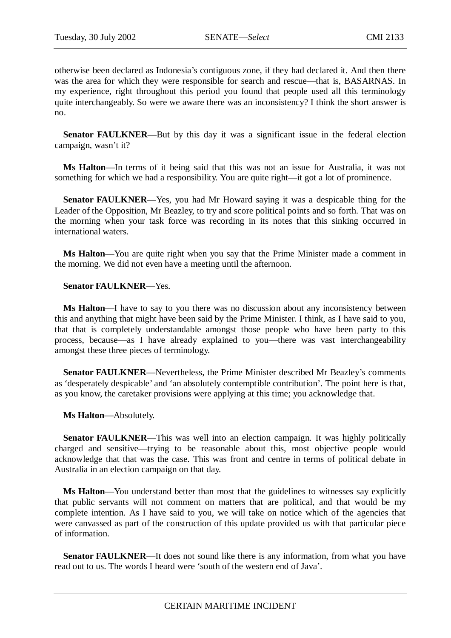otherwise been declared as Indonesia's contiguous zone, if they had declared it. And then there was the area for which they were responsible for search and rescue—that is, BASARNAS. In my experience, right throughout this period you found that people used all this terminology quite interchangeably. So were we aware there was an inconsistency? I think the short answer is no.

**Senator FAULKNER—But by this day it was a significant issue in the federal election** campaign, wasn't it?

**Ms Halton**—In terms of it being said that this was not an issue for Australia, it was not something for which we had a responsibility. You are quite right—it got a lot of prominence.

**Senator FAULKNER**—Yes, you had Mr Howard saying it was a despicable thing for the Leader of the Opposition, Mr Beazley, to try and score political points and so forth. That was on the morning when your task force was recording in its notes that this sinking occurred in international waters.

**Ms Halton**—You are quite right when you say that the Prime Minister made a comment in the morning. We did not even have a meeting until the afternoon.

#### **Senator FAULKNER**—Yes.

**Ms Halton**—I have to say to you there was no discussion about any inconsistency between this and anything that might have been said by the Prime Minister. I think, as I have said to you, that that is completely understandable amongst those people who have been party to this process, because—as I have already explained to you—there was vast interchangeability amongst these three pieces of terminology.

**Senator FAULKNER**—Nevertheless, the Prime Minister described Mr Beazley's comments as 'desperately despicable' and 'an absolutely contemptible contribution'. The point here is that, as you know, the caretaker provisions were applying at this time; you acknowledge that.

### **Ms Halton**—Absolutely.

**Senator FAULKNER—This was well into an election campaign. It was highly politically** charged and sensitive—trying to be reasonable about this, most objective people would acknowledge that that was the case. This was front and centre in terms of political debate in Australia in an election campaign on that day.

**Ms Halton**—You understand better than most that the guidelines to witnesses say explicitly that public servants will not comment on matters that are political, and that would be my complete intention. As I have said to you, we will take on notice which of the agencies that were canvassed as part of the construction of this update provided us with that particular piece of information.

**Senator FAULKNER—It does not sound like there is any information, from what you have** read out to us. The words I heard were 'south of the western end of Java'.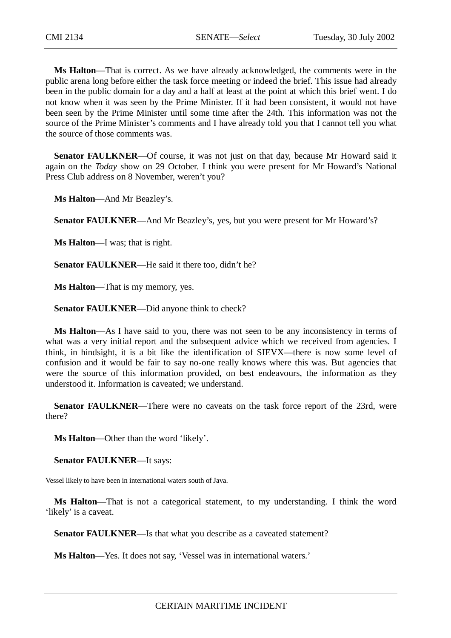**Ms Halton**—That is correct. As we have already acknowledged, the comments were in the public arena long before either the task force meeting or indeed the brief. This issue had already been in the public domain for a day and a half at least at the point at which this brief went. I do not know when it was seen by the Prime Minister. If it had been consistent, it would not have been seen by the Prime Minister until some time after the 24th. This information was not the source of the Prime Minister's comments and I have already told you that I cannot tell you what the source of those comments was.

**Senator FAULKNER**—Of course, it was not just on that day, because Mr Howard said it again on the *Today* show on 29 October. I think you were present for Mr Howard's National Press Club address on 8 November, weren't you?

**Ms Halton**—And Mr Beazley's.

**Senator FAULKNER**—And Mr Beazley's, yes, but you were present for Mr Howard's?

**Ms Halton**—I was; that is right.

**Senator FAULKNER**—He said it there too, didn't he?

**Ms Halton**—That is my memory, yes.

**Senator FAULKNER**—Did anyone think to check?

**Ms Halton**—As I have said to you, there was not seen to be any inconsistency in terms of what was a very initial report and the subsequent advice which we received from agencies. I think, in hindsight, it is a bit like the identification of SIEVX—there is now some level of confusion and it would be fair to say no-one really knows where this was. But agencies that were the source of this information provided, on best endeavours, the information as they understood it. Information is caveated; we understand.

**Senator FAULKNER—There were no caveats on the task force report of the 23rd, were** there?

**Ms Halton**—Other than the word 'likely'.

**Senator FAULKNER**—It says:

Vessel likely to have been in international waters south of Java.

**Ms Halton**—That is not a categorical statement, to my understanding. I think the word 'likely' is a caveat.

**Senator FAULKNER**—Is that what you describe as a caveated statement?

**Ms Halton**—Yes. It does not say, 'Vessel was in international waters.'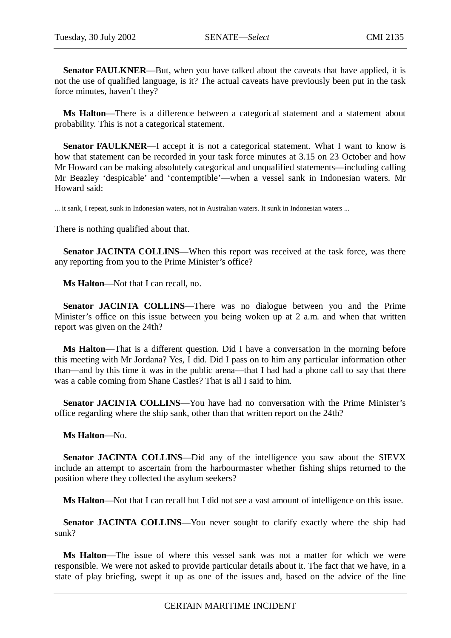**Senator FAULKNER—But, when you have talked about the caveats that have applied, it is** not the use of qualified language, is it? The actual caveats have previously been put in the task force minutes, haven't they?

**Ms Halton**—There is a difference between a categorical statement and a statement about probability. This is not a categorical statement.

**Senator FAULKNER—I** accept it is not a categorical statement. What I want to know is how that statement can be recorded in your task force minutes at 3.15 on 23 October and how Mr Howard can be making absolutely categorical and unqualified statements—including calling Mr Beazley 'despicable' and 'contemptible'—when a vessel sank in Indonesian waters. Mr Howard said:

... it sank, I repeat, sunk in Indonesian waters, not in Australian waters. It sunk in Indonesian waters ...

There is nothing qualified about that.

**Senator JACINTA COLLINS—When this report was received at the task force, was there** any reporting from you to the Prime Minister's office?

**Ms Halton**—Not that I can recall, no.

**Senator JACINTA COLLINS**—There was no dialogue between you and the Prime Minister's office on this issue between you being woken up at 2 a.m. and when that written report was given on the 24th?

**Ms Halton**—That is a different question. Did I have a conversation in the morning before this meeting with Mr Jordana? Yes, I did. Did I pass on to him any particular information other than—and by this time it was in the public arena—that I had had a phone call to say that there was a cable coming from Shane Castles? That is all I said to him.

**Senator JACINTA COLLINS**—You have had no conversation with the Prime Minister's office regarding where the ship sank, other than that written report on the 24th?

### **Ms Halton**—No.

**Senator JACINTA COLLINS**—Did any of the intelligence you saw about the SIEVX include an attempt to ascertain from the harbourmaster whether fishing ships returned to the position where they collected the asylum seekers?

**Ms Halton**—Not that I can recall but I did not see a vast amount of intelligence on this issue.

Senator JACINTA COLLINS-You never sought to clarify exactly where the ship had sunk?

**Ms Halton**—The issue of where this vessel sank was not a matter for which we were responsible. We were not asked to provide particular details about it. The fact that we have, in a state of play briefing, swept it up as one of the issues and, based on the advice of the line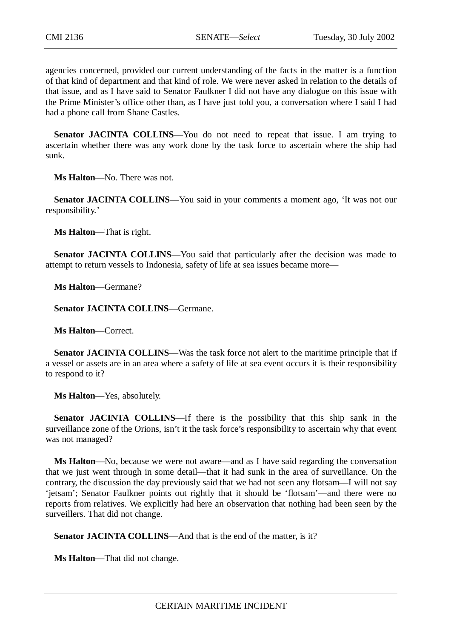agencies concerned, provided our current understanding of the facts in the matter is a function of that kind of department and that kind of role. We were never asked in relation to the details of that issue, and as I have said to Senator Faulkner I did not have any dialogue on this issue with the Prime Minister's office other than, as I have just told you, a conversation where I said I had had a phone call from Shane Castles.

**Senator JACINTA COLLINS**—You do not need to repeat that issue. I am trying to ascertain whether there was any work done by the task force to ascertain where the ship had sunk.

**Ms Halton**—No. There was not.

**Senator JACINTA COLLINS**—You said in your comments a moment ago, 'It was not our responsibility.'

**Ms Halton**—That is right.

**Senator JACINTA COLLINS—You** said that particularly after the decision was made to attempt to return vessels to Indonesia, safety of life at sea issues became more—

**Ms Halton**—Germane?

**Senator JACINTA COLLINS**—Germane.

**Ms Halton**—Correct.

**Senator JACINTA COLLINS—Was the task force not alert to the maritime principle that if** a vessel or assets are in an area where a safety of life at sea event occurs it is their responsibility to respond to it?

**Ms Halton**—Yes, absolutely.

**Senator JACINTA COLLINS**—If there is the possibility that this ship sank in the surveillance zone of the Orions, isn't it the task force's responsibility to ascertain why that event was not managed?

**Ms Halton**—No, because we were not aware—and as I have said regarding the conversation that we just went through in some detail—that it had sunk in the area of surveillance. On the contrary, the discussion the day previously said that we had not seen any flotsam—I will not say 'jetsam'; Senator Faulkner points out rightly that it should be 'flotsam'—and there were no reports from relatives. We explicitly had here an observation that nothing had been seen by the surveillers. That did not change.

**Senator JACINTA COLLINS—And that is the end of the matter, is it?** 

**Ms Halton**—That did not change.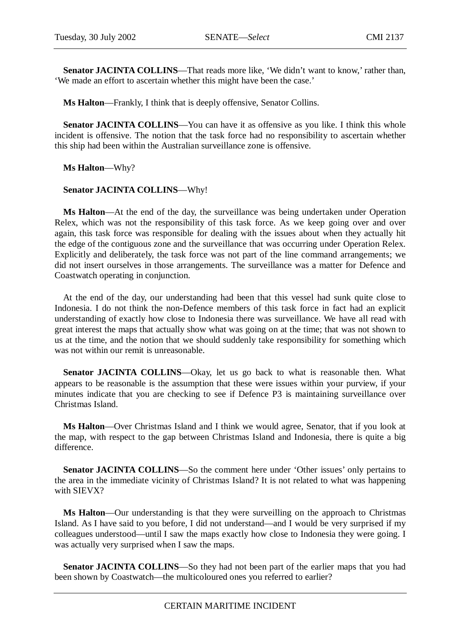Senator JACINTA COLLINS—That reads more like, 'We didn't want to know,' rather than, 'We made an effort to ascertain whether this might have been the case.'

**Ms Halton**—Frankly, I think that is deeply offensive, Senator Collins.

**Senator JACINTA COLLINS**—You can have it as offensive as you like. I think this whole incident is offensive. The notion that the task force had no responsibility to ascertain whether this ship had been within the Australian surveillance zone is offensive.

**Ms Halton**—Why?

# **Senator JACINTA COLLINS**—Why!

**Ms Halton**—At the end of the day, the surveillance was being undertaken under Operation Relex, which was not the responsibility of this task force. As we keep going over and over again, this task force was responsible for dealing with the issues about when they actually hit the edge of the contiguous zone and the surveillance that was occurring under Operation Relex. Explicitly and deliberately, the task force was not part of the line command arrangements; we did not insert ourselves in those arrangements. The surveillance was a matter for Defence and Coastwatch operating in conjunction.

At the end of the day, our understanding had been that this vessel had sunk quite close to Indonesia. I do not think the non-Defence members of this task force in fact had an explicit understanding of exactly how close to Indonesia there was surveillance. We have all read with great interest the maps that actually show what was going on at the time; that was not shown to us at the time, and the notion that we should suddenly take responsibility for something which was not within our remit is unreasonable.

**Senator JACINTA COLLINS**—Okay, let us go back to what is reasonable then. What appears to be reasonable is the assumption that these were issues within your purview, if your minutes indicate that you are checking to see if Defence P3 is maintaining surveillance over Christmas Island.

**Ms Halton**—Over Christmas Island and I think we would agree, Senator, that if you look at the map, with respect to the gap between Christmas Island and Indonesia, there is quite a big difference.

**Senator JACINTA COLLINS**—So the comment here under 'Other issues' only pertains to the area in the immediate vicinity of Christmas Island? It is not related to what was happening with SIEVX?

**Ms Halton**—Our understanding is that they were surveilling on the approach to Christmas Island. As I have said to you before, I did not understand—and I would be very surprised if my colleagues understood—until I saw the maps exactly how close to Indonesia they were going. I was actually very surprised when I saw the maps.

**Senator JACINTA COLLINS**—So they had not been part of the earlier maps that you had been shown by Coastwatch—the multicoloured ones you referred to earlier?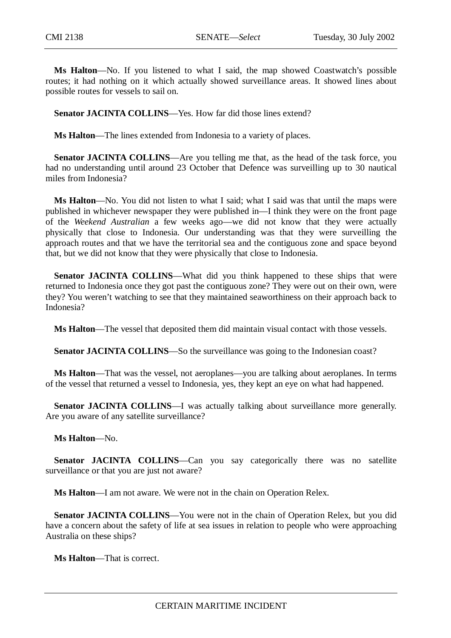**Ms Halton**—No. If you listened to what I said, the map showed Coastwatch's possible routes; it had nothing on it which actually showed surveillance areas. It showed lines about possible routes for vessels to sail on.

**Senator JACINTA COLLINS—Yes.** How far did those lines extend?

**Ms Halton**—The lines extended from Indonesia to a variety of places.

**Senator JACINTA COLLINS—Are** you telling me that, as the head of the task force, you had no understanding until around 23 October that Defence was surveilling up to 30 nautical miles from Indonesia?

**Ms Halton**—No. You did not listen to what I said; what I said was that until the maps were published in whichever newspaper they were published in—I think they were on the front page of the *Weekend Australian* a few weeks ago—we did not know that they were actually physically that close to Indonesia. Our understanding was that they were surveilling the approach routes and that we have the territorial sea and the contiguous zone and space beyond that, but we did not know that they were physically that close to Indonesia.

**Senator JACINTA COLLINS—What did you think happened to these ships that were** returned to Indonesia once they got past the contiguous zone? They were out on their own, were they? You weren't watching to see that they maintained seaworthiness on their approach back to Indonesia?

**Ms Halton**—The vessel that deposited them did maintain visual contact with those vessels.

Senator JACINTA COLLINS—So the surveillance was going to the Indonesian coast?

**Ms Halton**—That was the vessel, not aeroplanes—you are talking about aeroplanes. In terms of the vessel that returned a vessel to Indonesia, yes, they kept an eye on what had happened.

**Senator JACINTA COLLINS—I** was actually talking about surveillance more generally. Are you aware of any satellite surveillance?

**Ms Halton**—No.

**Senator JACINTA COLLINS—Can** you say categorically there was no satellite surveillance or that you are just not aware?

**Ms Halton**—I am not aware. We were not in the chain on Operation Relex.

**Senator JACINTA COLLINS**—You were not in the chain of Operation Relex, but you did have a concern about the safety of life at sea issues in relation to people who were approaching Australia on these ships?

**Ms Halton**—That is correct.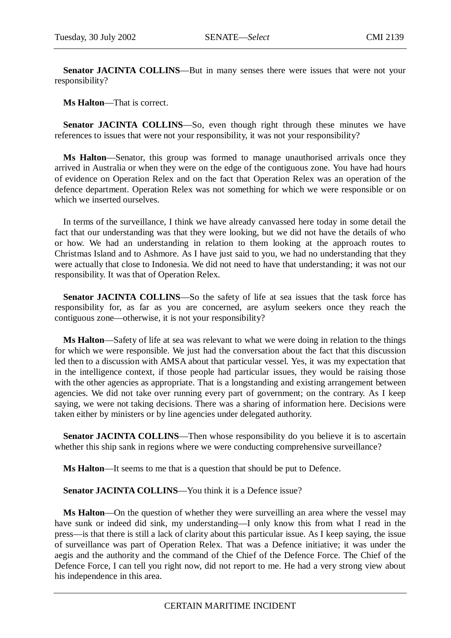**Senator JACINTA COLLINS—But in many senses there were issues that were not your** responsibility?

**Ms Halton**—That is correct.

**Senator JACINTA COLLINS**—So, even though right through these minutes we have references to issues that were not your responsibility, it was not your responsibility?

**Ms Halton**—Senator, this group was formed to manage unauthorised arrivals once they arrived in Australia or when they were on the edge of the contiguous zone. You have had hours of evidence on Operation Relex and on the fact that Operation Relex was an operation of the defence department. Operation Relex was not something for which we were responsible or on which we inserted ourselves.

In terms of the surveillance, I think we have already canvassed here today in some detail the fact that our understanding was that they were looking, but we did not have the details of who or how. We had an understanding in relation to them looking at the approach routes to Christmas Island and to Ashmore. As I have just said to you, we had no understanding that they were actually that close to Indonesia. We did not need to have that understanding; it was not our responsibility. It was that of Operation Relex.

Senator JACINTA COLLINS-So the safety of life at sea issues that the task force has responsibility for, as far as you are concerned, are asylum seekers once they reach the contiguous zone—otherwise, it is not your responsibility?

**Ms Halton**—Safety of life at sea was relevant to what we were doing in relation to the things for which we were responsible. We just had the conversation about the fact that this discussion led then to a discussion with AMSA about that particular vessel. Yes, it was my expectation that in the intelligence context, if those people had particular issues, they would be raising those with the other agencies as appropriate. That is a longstanding and existing arrangement between agencies. We did not take over running every part of government; on the contrary. As I keep saying, we were not taking decisions. There was a sharing of information here. Decisions were taken either by ministers or by line agencies under delegated authority.

**Senator JACINTA COLLINS—Then** whose responsibility do you believe it is to ascertain whether this ship sank in regions where we were conducting comprehensive surveillance?

**Ms Halton**—It seems to me that is a question that should be put to Defence.

**Senator JACINTA COLLINS—You think it is a Defence issue?** 

**Ms Halton**—On the question of whether they were surveilling an area where the vessel may have sunk or indeed did sink, my understanding—I only know this from what I read in the press—is that there is still a lack of clarity about this particular issue. As I keep saying, the issue of surveillance was part of Operation Relex. That was a Defence initiative; it was under the aegis and the authority and the command of the Chief of the Defence Force. The Chief of the Defence Force, I can tell you right now, did not report to me. He had a very strong view about his independence in this area.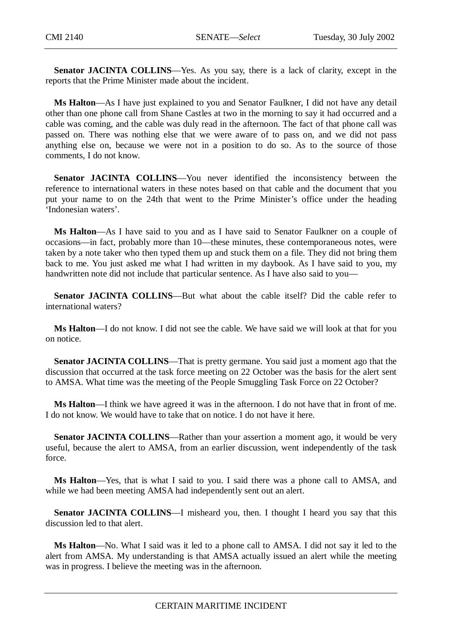**Senator JACINTA COLLINS**—Yes. As you say, there is a lack of clarity, except in the reports that the Prime Minister made about the incident.

**Ms Halton**—As I have just explained to you and Senator Faulkner, I did not have any detail other than one phone call from Shane Castles at two in the morning to say it had occurred and a cable was coming, and the cable was duly read in the afternoon. The fact of that phone call was passed on. There was nothing else that we were aware of to pass on, and we did not pass anything else on, because we were not in a position to do so. As to the source of those comments, I do not know.

**Senator JACINTA COLLINS**—You never identified the inconsistency between the reference to international waters in these notes based on that cable and the document that you put your name to on the 24th that went to the Prime Minister's office under the heading 'Indonesian waters'.

**Ms Halton**—As I have said to you and as I have said to Senator Faulkner on a couple of occasions—in fact, probably more than 10—these minutes, these contemporaneous notes, were taken by a note taker who then typed them up and stuck them on a file. They did not bring them back to me. You just asked me what I had written in my daybook. As I have said to you, my handwritten note did not include that particular sentence. As I have also said to you—

**Senator JACINTA COLLINS**—But what about the cable itself? Did the cable refer to international waters?

**Ms Halton**—I do not know. I did not see the cable. We have said we will look at that for you on notice.

**Senator JACINTA COLLINS**—That is pretty germane. You said just a moment ago that the discussion that occurred at the task force meeting on 22 October was the basis for the alert sent to AMSA. What time was the meeting of the People Smuggling Task Force on 22 October?

**Ms Halton**—I think we have agreed it was in the afternoon. I do not have that in front of me. I do not know. We would have to take that on notice. I do not have it here.

**Senator JACINTA COLLINS—Rather than your assertion a moment ago, it would be very** useful, because the alert to AMSA, from an earlier discussion, went independently of the task force.

**Ms Halton**—Yes, that is what I said to you. I said there was a phone call to AMSA, and while we had been meeting AMSA had independently sent out an alert.

**Senator JACINTA COLLINS**—I misheard you, then. I thought I heard you say that this discussion led to that alert.

**Ms Halton**—No. What I said was it led to a phone call to AMSA. I did not say it led to the alert from AMSA. My understanding is that AMSA actually issued an alert while the meeting was in progress. I believe the meeting was in the afternoon.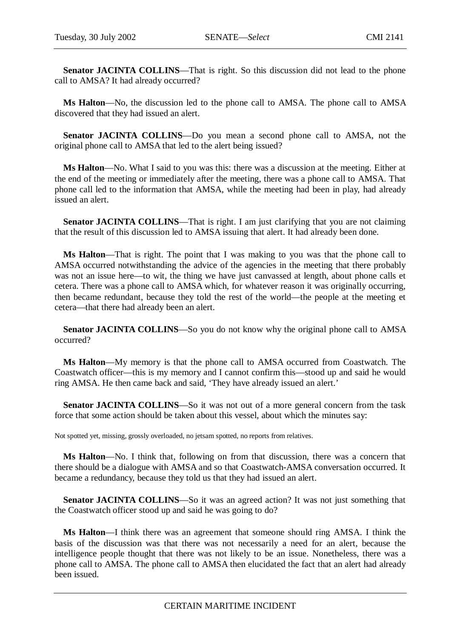**Senator JACINTA COLLINS**—That is right. So this discussion did not lead to the phone call to AMSA? It had already occurred?

**Ms Halton**—No, the discussion led to the phone call to AMSA. The phone call to AMSA discovered that they had issued an alert.

**Senator JACINTA COLLINS**—Do you mean a second phone call to AMSA, not the original phone call to AMSA that led to the alert being issued?

**Ms Halton**—No. What I said to you was this: there was a discussion at the meeting. Either at the end of the meeting or immediately after the meeting, there was a phone call to AMSA. That phone call led to the information that AMSA, while the meeting had been in play, had already issued an alert.

Senator JACINTA COLLINS—That is right. I am just clarifying that you are not claiming that the result of this discussion led to AMSA issuing that alert. It had already been done.

**Ms Halton**—That is right. The point that I was making to you was that the phone call to AMSA occurred notwithstanding the advice of the agencies in the meeting that there probably was not an issue here—to wit, the thing we have just canvassed at length, about phone calls et cetera. There was a phone call to AMSA which, for whatever reason it was originally occurring, then became redundant, because they told the rest of the world—the people at the meeting et cetera—that there had already been an alert.

**Senator JACINTA COLLINS**—So you do not know why the original phone call to AMSA occurred?

**Ms Halton**—My memory is that the phone call to AMSA occurred from Coastwatch. The Coastwatch officer—this is my memory and I cannot confirm this—stood up and said he would ring AMSA. He then came back and said, 'They have already issued an alert.'

**Senator JACINTA COLLINS**—So it was not out of a more general concern from the task force that some action should be taken about this vessel, about which the minutes say:

Not spotted yet, missing, grossly overloaded, no jetsam spotted, no reports from relatives.

**Ms Halton**—No. I think that, following on from that discussion, there was a concern that there should be a dialogue with AMSA and so that Coastwatch-AMSA conversation occurred. It became a redundancy, because they told us that they had issued an alert.

**Senator JACINTA COLLINS**—So it was an agreed action? It was not just something that the Coastwatch officer stood up and said he was going to do?

**Ms Halton**—I think there was an agreement that someone should ring AMSA. I think the basis of the discussion was that there was not necessarily a need for an alert, because the intelligence people thought that there was not likely to be an issue. Nonetheless, there was a phone call to AMSA. The phone call to AMSA then elucidated the fact that an alert had already been issued.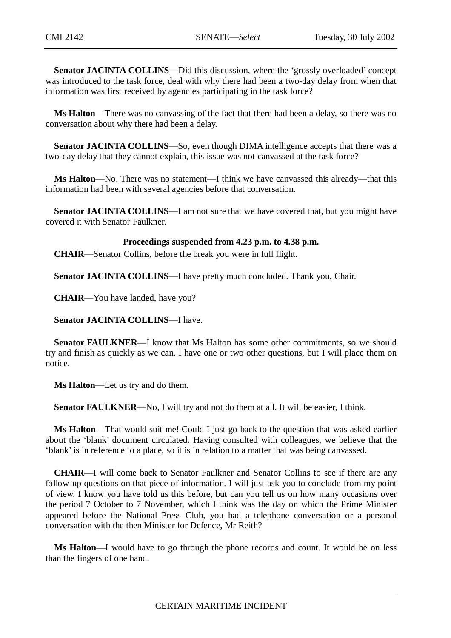**Senator JACINTA COLLINS**—Did this discussion, where the 'grossly overloaded' concept was introduced to the task force, deal with why there had been a two-day delay from when that information was first received by agencies participating in the task force?

**Ms Halton**—There was no canvassing of the fact that there had been a delay, so there was no conversation about why there had been a delay.

**Senator JACINTA COLLINS**—So, even though DIMA intelligence accepts that there was a two-day delay that they cannot explain, this issue was not canvassed at the task force?

**Ms Halton**—No. There was no statement—I think we have canvassed this already—that this information had been with several agencies before that conversation.

**Senator JACINTA COLLINS**—I am not sure that we have covered that, but you might have covered it with Senator Faulkner.

#### **Proceedings suspended from 4.23 p.m. to 4.38 p.m.**

**CHAIR**—Senator Collins, before the break you were in full flight.

**Senator JACINTA COLLINS—I** have pretty much concluded. Thank you, Chair.

**CHAIR**—You have landed, have you?

**Senator JACINTA COLLINS**—I have.

**Senator FAULKNER—I** know that Ms Halton has some other commitments, so we should try and finish as quickly as we can. I have one or two other questions, but I will place them on notice.

**Ms Halton**—Let us try and do them.

**Senator FAULKNER—No**, I will try and not do them at all. It will be easier, I think.

**Ms Halton**—That would suit me! Could I just go back to the question that was asked earlier about the 'blank' document circulated. Having consulted with colleagues, we believe that the 'blank' is in reference to a place, so it is in relation to a matter that was being canvassed.

**CHAIR**—I will come back to Senator Faulkner and Senator Collins to see if there are any follow-up questions on that piece of information. I will just ask you to conclude from my point of view. I know you have told us this before, but can you tell us on how many occasions over the period 7 October to 7 November, which I think was the day on which the Prime Minister appeared before the National Press Club, you had a telephone conversation or a personal conversation with the then Minister for Defence, Mr Reith?

**Ms Halton**—I would have to go through the phone records and count. It would be on less than the fingers of one hand.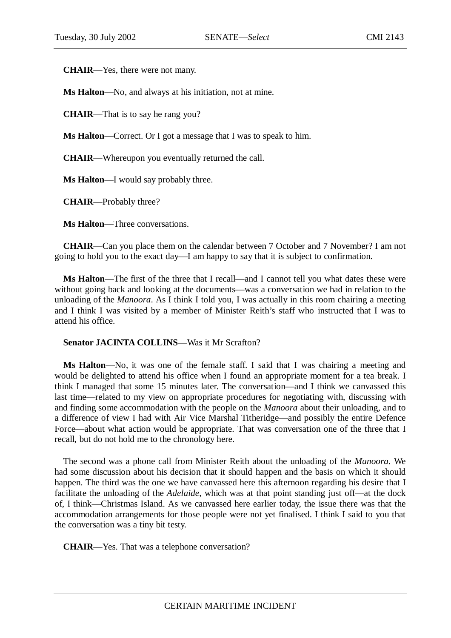**CHAIR**—Yes, there were not many.

**Ms Halton**—No, and always at his initiation, not at mine.

**CHAIR**—That is to say he rang you?

**Ms Halton**—Correct. Or I got a message that I was to speak to him.

**CHAIR**—Whereupon you eventually returned the call.

**Ms Halton**—I would say probably three.

**CHAIR**—Probably three?

**Ms Halton**—Three conversations.

**CHAIR**—Can you place them on the calendar between 7 October and 7 November? I am not going to hold you to the exact day—I am happy to say that it is subject to confirmation.

**Ms Halton**—The first of the three that I recall—and I cannot tell you what dates these were without going back and looking at the documents—was a conversation we had in relation to the unloading of the *Manoora*. As I think I told you, I was actually in this room chairing a meeting and I think I was visited by a member of Minister Reith's staff who instructed that I was to attend his office.

### **Senator JACINTA COLLINS**—Was it Mr Scrafton?

**Ms Halton**—No, it was one of the female staff. I said that I was chairing a meeting and would be delighted to attend his office when I found an appropriate moment for a tea break. I think I managed that some 15 minutes later. The conversation—and I think we canvassed this last time—related to my view on appropriate procedures for negotiating with, discussing with and finding some accommodation with the people on the *Manoora* about their unloading, and to a difference of view I had with Air Vice Marshal Titheridge—and possibly the entire Defence Force—about what action would be appropriate. That was conversation one of the three that I recall, but do not hold me to the chronology here.

The second was a phone call from Minister Reith about the unloading of the *Manoora*. We had some discussion about his decision that it should happen and the basis on which it should happen. The third was the one we have canvassed here this afternoon regarding his desire that I facilitate the unloading of the *Adelaide*, which was at that point standing just off—at the dock of, I think—Christmas Island. As we canvassed here earlier today, the issue there was that the accommodation arrangements for those people were not yet finalised. I think I said to you that the conversation was a tiny bit testy.

**CHAIR**—Yes. That was a telephone conversation?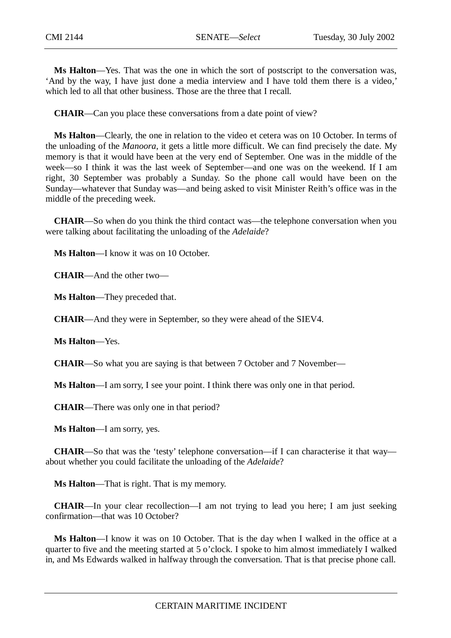**Ms Halton**—Yes. That was the one in which the sort of postscript to the conversation was, 'And by the way, I have just done a media interview and I have told them there is a video,' which led to all that other business. Those are the three that I recall.

**CHAIR**—Can you place these conversations from a date point of view?

**Ms Halton**—Clearly, the one in relation to the video et cetera was on 10 October. In terms of the unloading of the *Manoora*, it gets a little more difficult. We can find precisely the date. My memory is that it would have been at the very end of September. One was in the middle of the week—so I think it was the last week of September—and one was on the weekend. If I am right, 30 September was probably a Sunday. So the phone call would have been on the Sunday—whatever that Sunday was—and being asked to visit Minister Reith's office was in the middle of the preceding week.

**CHAIR**—So when do you think the third contact was—the telephone conversation when you were talking about facilitating the unloading of the *Adelaide*?

**Ms Halton**—I know it was on 10 October.

**CHAIR**—And the other two—

**Ms Halton**—They preceded that.

**CHAIR**—And they were in September, so they were ahead of the SIEV4.

**Ms Halton**—Yes.

**CHAIR**—So what you are saying is that between 7 October and 7 November—

**Ms Halton**—I am sorry, I see your point. I think there was only one in that period.

**CHAIR**—There was only one in that period?

**Ms Halton**—I am sorry, yes.

**CHAIR**—So that was the 'testy' telephone conversation—if I can characterise it that way about whether you could facilitate the unloading of the *Adelaide*?

**Ms Halton**—That is right. That is my memory.

**CHAIR**—In your clear recollection—I am not trying to lead you here; I am just seeking confirmation—that was 10 October?

**Ms Halton**—I know it was on 10 October. That is the day when I walked in the office at a quarter to five and the meeting started at 5 o'clock. I spoke to him almost immediately I walked in, and Ms Edwards walked in halfway through the conversation. That is that precise phone call.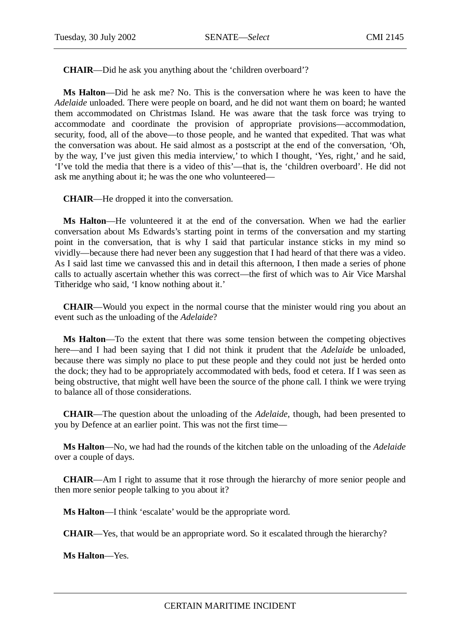**CHAIR**—Did he ask you anything about the 'children overboard'?

**Ms Halton**—Did he ask me? No. This is the conversation where he was keen to have the *Adelaide* unloaded. There were people on board, and he did not want them on board; he wanted them accommodated on Christmas Island. He was aware that the task force was trying to accommodate and coordinate the provision of appropriate provisions—accommodation, security, food, all of the above—to those people, and he wanted that expedited. That was what the conversation was about. He said almost as a postscript at the end of the conversation, 'Oh, by the way, I've just given this media interview,' to which I thought, 'Yes, right,' and he said, 'I've told the media that there is a video of this'—that is, the 'children overboard'. He did not ask me anything about it; he was the one who volunteered—

**CHAIR**—He dropped it into the conversation.

**Ms Halton**—He volunteered it at the end of the conversation. When we had the earlier conversation about Ms Edwards's starting point in terms of the conversation and my starting point in the conversation, that is why I said that particular instance sticks in my mind so vividly—because there had never been any suggestion that I had heard of that there was a video. As I said last time we canvassed this and in detail this afternoon, I then made a series of phone calls to actually ascertain whether this was correct—the first of which was to Air Vice Marshal Titheridge who said, 'I know nothing about it.'

**CHAIR**—Would you expect in the normal course that the minister would ring you about an event such as the unloading of the *Adelaide*?

**Ms Halton**—To the extent that there was some tension between the competing objectives here—and I had been saying that I did not think it prudent that the *Adelaide* be unloaded, because there was simply no place to put these people and they could not just be herded onto the dock; they had to be appropriately accommodated with beds, food et cetera. If I was seen as being obstructive, that might well have been the source of the phone call. I think we were trying to balance all of those considerations.

**CHAIR**—The question about the unloading of the *Adelaide*, though, had been presented to you by Defence at an earlier point. This was not the first time—

**Ms Halton**—No, we had had the rounds of the kitchen table on the unloading of the *Adelaide* over a couple of days.

**CHAIR**—Am I right to assume that it rose through the hierarchy of more senior people and then more senior people talking to you about it?

**Ms Halton**—I think 'escalate' would be the appropriate word.

**CHAIR**—Yes, that would be an appropriate word. So it escalated through the hierarchy?

**Ms Halton**—Yes.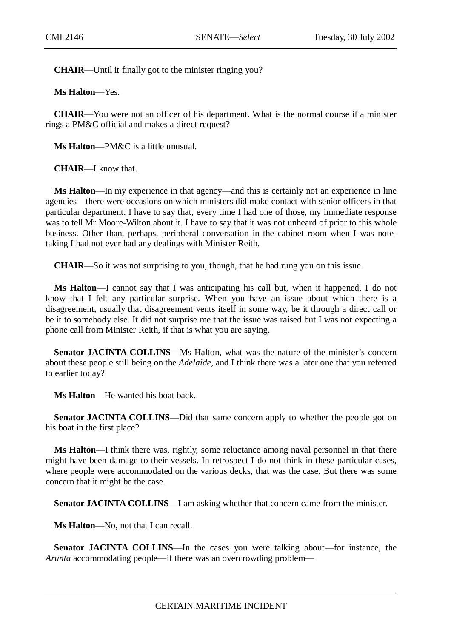**CHAIR**—Until it finally got to the minister ringing you?

**Ms Halton**—Yes.

**CHAIR**—You were not an officer of his department. What is the normal course if a minister rings a PM&C official and makes a direct request?

**Ms Halton**—PM&C is a little unusual.

**CHAIR**—I know that.

**Ms Halton**—In my experience in that agency—and this is certainly not an experience in line agencies—there were occasions on which ministers did make contact with senior officers in that particular department. I have to say that, every time I had one of those, my immediate response was to tell Mr Moore-Wilton about it. I have to say that it was not unheard of prior to this whole business. Other than, perhaps, peripheral conversation in the cabinet room when I was notetaking I had not ever had any dealings with Minister Reith.

**CHAIR**—So it was not surprising to you, though, that he had rung you on this issue.

**Ms Halton**—I cannot say that I was anticipating his call but, when it happened, I do not know that I felt any particular surprise. When you have an issue about which there is a disagreement, usually that disagreement vents itself in some way, be it through a direct call or be it to somebody else. It did not surprise me that the issue was raised but I was not expecting a phone call from Minister Reith, if that is what you are saying.

**Senator JACINTA COLLINS—Ms** Halton, what was the nature of the minister's concern about these people still being on the *Adelaide*, and I think there was a later one that you referred to earlier today?

**Ms Halton**—He wanted his boat back.

**Senator JACINTA COLLINS—Did that same concern apply to whether the people got on** his boat in the first place?

**Ms Halton**—I think there was, rightly, some reluctance among naval personnel in that there might have been damage to their vessels. In retrospect I do not think in these particular cases, where people were accommodated on the various decks, that was the case. But there was some concern that it might be the case.

**Senator JACINTA COLLINS**—I am asking whether that concern came from the minister.

**Ms Halton**—No, not that I can recall.

**Senator JACINTA COLLINS**—In the cases you were talking about—for instance, the *Arunta* accommodating people—if there was an overcrowding problem—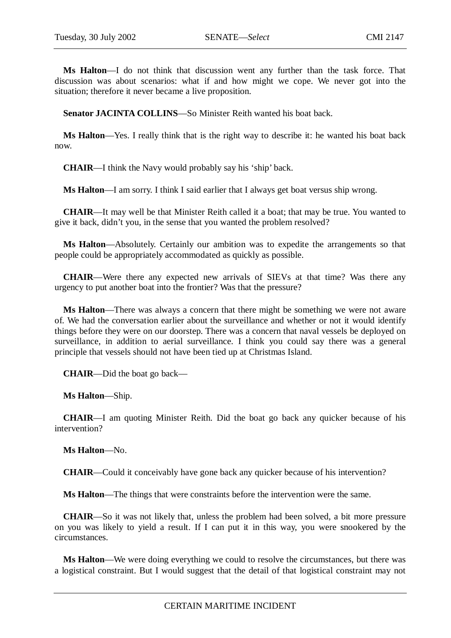**Ms Halton**—I do not think that discussion went any further than the task force. That discussion was about scenarios: what if and how might we cope. We never got into the situation; therefore it never became a live proposition.

**Senator JACINTA COLLINS**—So Minister Reith wanted his boat back.

**Ms Halton**—Yes. I really think that is the right way to describe it: he wanted his boat back now.

**CHAIR**—I think the Navy would probably say his 'ship' back.

**Ms Halton**—I am sorry. I think I said earlier that I always get boat versus ship wrong.

**CHAIR**—It may well be that Minister Reith called it a boat; that may be true. You wanted to give it back, didn't you, in the sense that you wanted the problem resolved?

**Ms Halton**—Absolutely. Certainly our ambition was to expedite the arrangements so that people could be appropriately accommodated as quickly as possible.

**CHAIR**—Were there any expected new arrivals of SIEVs at that time? Was there any urgency to put another boat into the frontier? Was that the pressure?

**Ms Halton**—There was always a concern that there might be something we were not aware of. We had the conversation earlier about the surveillance and whether or not it would identify things before they were on our doorstep. There was a concern that naval vessels be deployed on surveillance, in addition to aerial surveillance. I think you could say there was a general principle that vessels should not have been tied up at Christmas Island.

**CHAIR**—Did the boat go back—

**Ms Halton**—Ship.

**CHAIR**—I am quoting Minister Reith. Did the boat go back any quicker because of his intervention?

**Ms Halton**—No.

**CHAIR**—Could it conceivably have gone back any quicker because of his intervention?

**Ms Halton**—The things that were constraints before the intervention were the same.

**CHAIR**—So it was not likely that, unless the problem had been solved, a bit more pressure on you was likely to yield a result. If I can put it in this way, you were snookered by the circumstances.

**Ms Halton**—We were doing everything we could to resolve the circumstances, but there was a logistical constraint. But I would suggest that the detail of that logistical constraint may not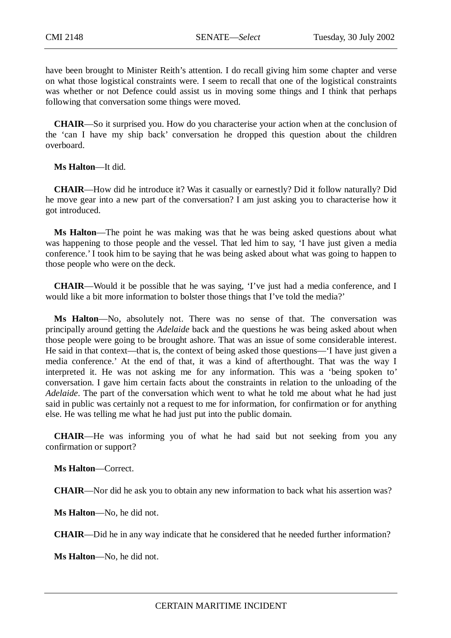have been brought to Minister Reith's attention. I do recall giving him some chapter and verse on what those logistical constraints were. I seem to recall that one of the logistical constraints was whether or not Defence could assist us in moving some things and I think that perhaps following that conversation some things were moved.

**CHAIR**—So it surprised you. How do you characterise your action when at the conclusion of the 'can I have my ship back' conversation he dropped this question about the children overboard.

**Ms Halton**—It did.

**CHAIR**—How did he introduce it? Was it casually or earnestly? Did it follow naturally? Did he move gear into a new part of the conversation? I am just asking you to characterise how it got introduced.

**Ms Halton**—The point he was making was that he was being asked questions about what was happening to those people and the vessel. That led him to say, 'I have just given a media conference.' I took him to be saying that he was being asked about what was going to happen to those people who were on the deck.

**CHAIR**—Would it be possible that he was saying, 'I've just had a media conference, and I would like a bit more information to bolster those things that I've told the media?'

**Ms Halton**—No, absolutely not. There was no sense of that. The conversation was principally around getting the *Adelaide* back and the questions he was being asked about when those people were going to be brought ashore. That was an issue of some considerable interest. He said in that context—that is, the context of being asked those questions—'I have just given a media conference.' At the end of that, it was a kind of afterthought. That was the way I interpreted it. He was not asking me for any information. This was a 'being spoken to' conversation. I gave him certain facts about the constraints in relation to the unloading of the *Adelaide*. The part of the conversation which went to what he told me about what he had just said in public was certainly not a request to me for information, for confirmation or for anything else. He was telling me what he had just put into the public domain.

**CHAIR**—He was informing you of what he had said but not seeking from you any confirmation or support?

**Ms Halton**—Correct.

**CHAIR**—Nor did he ask you to obtain any new information to back what his assertion was?

**Ms Halton**—No, he did not.

**CHAIR**—Did he in any way indicate that he considered that he needed further information?

**Ms Halton**—No, he did not.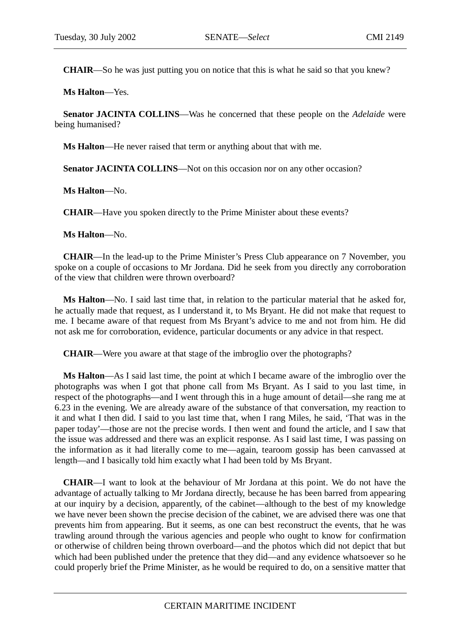**CHAIR**—So he was just putting you on notice that this is what he said so that you knew?

**Ms Halton**—Yes.

**Senator JACINTA COLLINS**—Was he concerned that these people on the *Adelaide* were being humanised?

**Ms Halton**—He never raised that term or anything about that with me.

**Senator JACINTA COLLINS—Not on this occasion nor on any other occasion?** 

**Ms Halton**—No.

**CHAIR**—Have you spoken directly to the Prime Minister about these events?

**Ms Halton**—No.

**CHAIR**—In the lead-up to the Prime Minister's Press Club appearance on 7 November, you spoke on a couple of occasions to Mr Jordana. Did he seek from you directly any corroboration of the view that children were thrown overboard?

**Ms Halton**—No. I said last time that, in relation to the particular material that he asked for, he actually made that request, as I understand it, to Ms Bryant. He did not make that request to me. I became aware of that request from Ms Bryant's advice to me and not from him. He did not ask me for corroboration, evidence, particular documents or any advice in that respect.

**CHAIR**—Were you aware at that stage of the imbroglio over the photographs?

**Ms Halton**—As I said last time, the point at which I became aware of the imbroglio over the photographs was when I got that phone call from Ms Bryant. As I said to you last time, in respect of the photographs—and I went through this in a huge amount of detail—she rang me at 6.23 in the evening. We are already aware of the substance of that conversation, my reaction to it and what I then did. I said to you last time that, when I rang Miles, he said, 'That was in the paper today'—those are not the precise words. I then went and found the article, and I saw that the issue was addressed and there was an explicit response. As I said last time, I was passing on the information as it had literally come to me—again, tearoom gossip has been canvassed at length—and I basically told him exactly what I had been told by Ms Bryant.

**CHAIR**—I want to look at the behaviour of Mr Jordana at this point. We do not have the advantage of actually talking to Mr Jordana directly, because he has been barred from appearing at our inquiry by a decision, apparently, of the cabinet—although to the best of my knowledge we have never been shown the precise decision of the cabinet, we are advised there was one that prevents him from appearing. But it seems, as one can best reconstruct the events, that he was trawling around through the various agencies and people who ought to know for confirmation or otherwise of children being thrown overboard—and the photos which did not depict that but which had been published under the pretence that they did—and any evidence whatsoever so he could properly brief the Prime Minister, as he would be required to do, on a sensitive matter that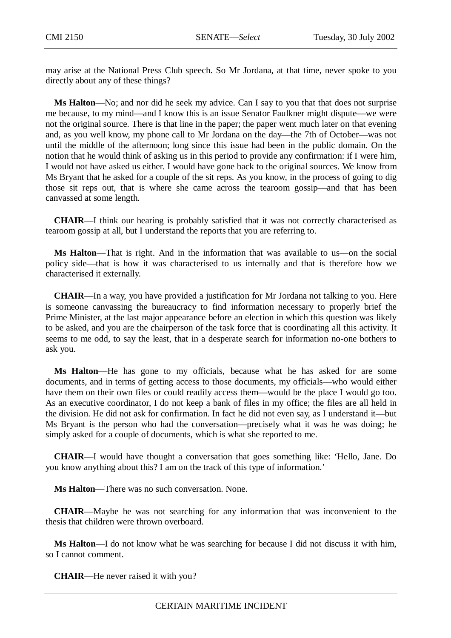may arise at the National Press Club speech. So Mr Jordana, at that time, never spoke to you directly about any of these things?

**Ms Halton**—No; and nor did he seek my advice. Can I say to you that that does not surprise me because, to my mind—and I know this is an issue Senator Faulkner might dispute—we were not the original source. There is that line in the paper; the paper went much later on that evening and, as you well know, my phone call to Mr Jordana on the day—the 7th of October—was not until the middle of the afternoon; long since this issue had been in the public domain. On the notion that he would think of asking us in this period to provide any confirmation: if I were him, I would not have asked us either. I would have gone back to the original sources. We know from Ms Bryant that he asked for a couple of the sit reps. As you know, in the process of going to dig those sit reps out, that is where she came across the tearoom gossip—and that has been canvassed at some length.

**CHAIR**—I think our hearing is probably satisfied that it was not correctly characterised as tearoom gossip at all, but I understand the reports that you are referring to.

**Ms Halton**—That is right. And in the information that was available to us—on the social policy side—that is how it was characterised to us internally and that is therefore how we characterised it externally.

**CHAIR**—In a way, you have provided a justification for Mr Jordana not talking to you. Here is someone canvassing the bureaucracy to find information necessary to properly brief the Prime Minister, at the last major appearance before an election in which this question was likely to be asked, and you are the chairperson of the task force that is coordinating all this activity. It seems to me odd, to say the least, that in a desperate search for information no-one bothers to ask you.

**Ms Halton**—He has gone to my officials, because what he has asked for are some documents, and in terms of getting access to those documents, my officials—who would either have them on their own files or could readily access them—would be the place I would go too. As an executive coordinator, I do not keep a bank of files in my office; the files are all held in the division. He did not ask for confirmation. In fact he did not even say, as I understand it—but Ms Bryant is the person who had the conversation—precisely what it was he was doing; he simply asked for a couple of documents, which is what she reported to me.

**CHAIR**—I would have thought a conversation that goes something like: 'Hello, Jane. Do you know anything about this? I am on the track of this type of information.'

**Ms Halton**—There was no such conversation. None.

**CHAIR**—Maybe he was not searching for any information that was inconvenient to the thesis that children were thrown overboard.

**Ms Halton**—I do not know what he was searching for because I did not discuss it with him, so I cannot comment.

**CHAIR**—He never raised it with you?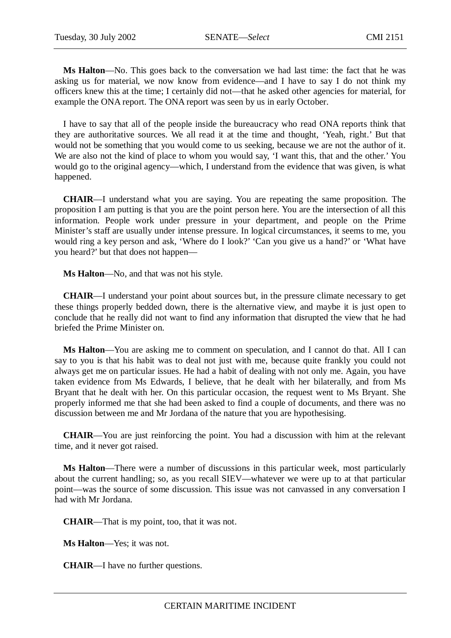**Ms Halton**—No. This goes back to the conversation we had last time: the fact that he was asking us for material, we now know from evidence—and I have to say I do not think my officers knew this at the time; I certainly did not—that he asked other agencies for material, for example the ONA report. The ONA report was seen by us in early October.

I have to say that all of the people inside the bureaucracy who read ONA reports think that they are authoritative sources. We all read it at the time and thought, 'Yeah, right.' But that would not be something that you would come to us seeking, because we are not the author of it. We are also not the kind of place to whom you would say, 'I want this, that and the other.' You would go to the original agency—which, I understand from the evidence that was given, is what happened.

**CHAIR**—I understand what you are saying. You are repeating the same proposition. The proposition I am putting is that you are the point person here. You are the intersection of all this information. People work under pressure in your department, and people on the Prime Minister's staff are usually under intense pressure. In logical circumstances, it seems to me, you would ring a key person and ask, 'Where do I look?' 'Can you give us a hand?' or 'What have you heard?' but that does not happen—

**Ms Halton**—No, and that was not his style.

**CHAIR**—I understand your point about sources but, in the pressure climate necessary to get these things properly bedded down, there is the alternative view, and maybe it is just open to conclude that he really did not want to find any information that disrupted the view that he had briefed the Prime Minister on.

**Ms Halton**—You are asking me to comment on speculation, and I cannot do that. All I can say to you is that his habit was to deal not just with me, because quite frankly you could not always get me on particular issues. He had a habit of dealing with not only me. Again, you have taken evidence from Ms Edwards, I believe, that he dealt with her bilaterally, and from Ms Bryant that he dealt with her. On this particular occasion, the request went to Ms Bryant. She properly informed me that she had been asked to find a couple of documents, and there was no discussion between me and Mr Jordana of the nature that you are hypothesising.

**CHAIR**—You are just reinforcing the point. You had a discussion with him at the relevant time, and it never got raised.

**Ms Halton**—There were a number of discussions in this particular week, most particularly about the current handling; so, as you recall SIEV—whatever we were up to at that particular point—was the source of some discussion. This issue was not canvassed in any conversation I had with Mr Jordana.

**CHAIR**—That is my point, too, that it was not.

**Ms Halton**—Yes; it was not.

**CHAIR**—I have no further questions.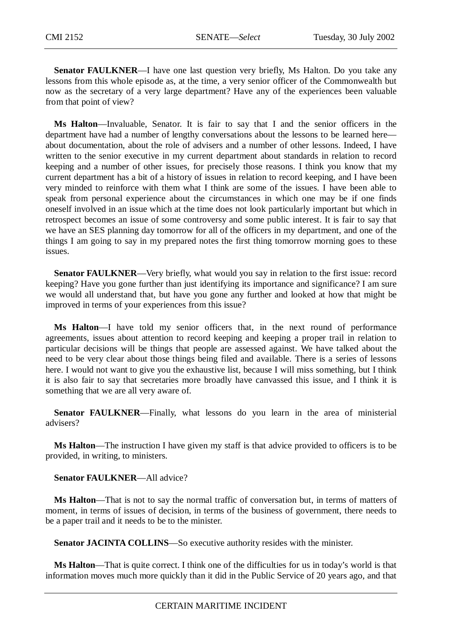**Senator FAULKNER—I** have one last question very briefly, Ms Halton. Do you take any lessons from this whole episode as, at the time, a very senior officer of the Commonwealth but now as the secretary of a very large department? Have any of the experiences been valuable from that point of view?

**Ms Halton**—Invaluable, Senator. It is fair to say that I and the senior officers in the department have had a number of lengthy conversations about the lessons to be learned here about documentation, about the role of advisers and a number of other lessons. Indeed, I have written to the senior executive in my current department about standards in relation to record keeping and a number of other issues, for precisely those reasons. I think you know that my current department has a bit of a history of issues in relation to record keeping, and I have been very minded to reinforce with them what I think are some of the issues. I have been able to speak from personal experience about the circumstances in which one may be if one finds oneself involved in an issue which at the time does not look particularly important but which in retrospect becomes an issue of some controversy and some public interest. It is fair to say that we have an SES planning day tomorrow for all of the officers in my department, and one of the things I am going to say in my prepared notes the first thing tomorrow morning goes to these issues.

**Senator FAULKNER—Very briefly, what would you say in relation to the first issue: record** keeping? Have you gone further than just identifying its importance and significance? I am sure we would all understand that, but have you gone any further and looked at how that might be improved in terms of your experiences from this issue?

**Ms Halton**—I have told my senior officers that, in the next round of performance agreements, issues about attention to record keeping and keeping a proper trail in relation to particular decisions will be things that people are assessed against. We have talked about the need to be very clear about those things being filed and available. There is a series of lessons here. I would not want to give you the exhaustive list, because I will miss something, but I think it is also fair to say that secretaries more broadly have canvassed this issue, and I think it is something that we are all very aware of.

**Senator FAULKNER**—Finally, what lessons do you learn in the area of ministerial advisers?

**Ms Halton**—The instruction I have given my staff is that advice provided to officers is to be provided, in writing, to ministers.

**Senator FAULKNER**—All advice?

**Ms Halton**—That is not to say the normal traffic of conversation but, in terms of matters of moment, in terms of issues of decision, in terms of the business of government, there needs to be a paper trail and it needs to be to the minister.

**Senator JACINTA COLLINS**—So executive authority resides with the minister.

**Ms Halton**—That is quite correct. I think one of the difficulties for us in today's world is that information moves much more quickly than it did in the Public Service of 20 years ago, and that